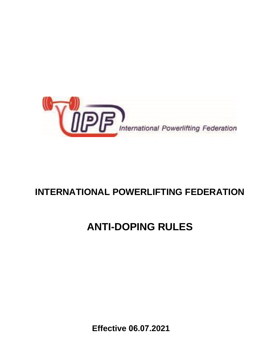

## **INTERNATIONAL POWERLIFTING FEDERATION**

# **ANTI-DOPING RULES**

**Effective 06.07.2021**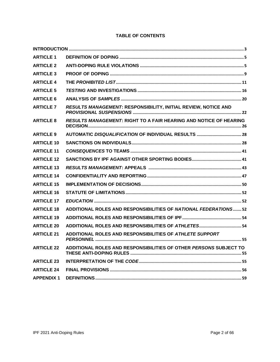## **TABLE OF CONTENTS**

| <b>ARTICLE 1</b>  |                                                                   |
|-------------------|-------------------------------------------------------------------|
| <b>ARTICLE 2</b>  |                                                                   |
| <b>ARTICLE 3</b>  |                                                                   |
| <b>ARTICLE 4</b>  |                                                                   |
| <b>ARTICLE 5</b>  |                                                                   |
| <b>ARTICLE 6</b>  |                                                                   |
| <b>ARTICLE 7</b>  | RESULTS MANAGEMENT: RESPONSIBILITY, INITIAL REVIEW, NOTICE AND    |
| <b>ARTICLE 8</b>  | RESULTS MANAGEMENT: RIGHT TO A FAIR HEARING AND NOTICE OF HEARING |
| <b>ARTICLE 9</b>  |                                                                   |
| <b>ARTICLE 10</b> |                                                                   |
| <b>ARTICLE 11</b> |                                                                   |
| <b>ARTICLE 12</b> |                                                                   |
| <b>ARTICLE 13</b> |                                                                   |
| <b>ARTICLE 14</b> |                                                                   |
| <b>ARTICLE 15</b> |                                                                   |
| <b>ARTICLE 16</b> |                                                                   |
| <b>ARTICLE 17</b> |                                                                   |
| <b>ARTICLE 18</b> | ADDITIONAL ROLES AND RESPONSIBILITIES OF NATIONAL FEDERATIONS 52  |
| <b>ARTICLE 19</b> |                                                                   |
| <b>ARTICLE 20</b> |                                                                   |
| <b>ARTICLE 21</b> | ADDITIONAL ROLES AND RESPONSIBILITIES OF ATHLETE SUPPORT          |
| <b>ARTICLE 22</b> | ADDITIONAL ROLES AND RESPONSIBILITIES OF OTHER PERSONS SUBJECT TO |
| <b>ARTICLE 23</b> |                                                                   |
| <b>ARTICLE 24</b> |                                                                   |
| <b>APPENDIX 1</b> |                                                                   |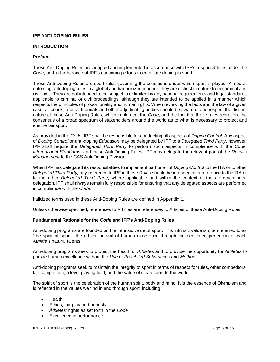#### <span id="page-2-0"></span>**IPF ANTI-DOPING RULES**

#### **INTRODUCTION**

#### **Preface**

These Anti-Doping Rules are adopted and implemented in accordance with IPF's responsibilities under the *Code*, and in furtherance of IPF's continuing efforts to eradicate doping in sport.

These Anti-Doping Rules are sport rules governing the conditions under which sport is played. Aimed at enforcing anti-doping rules in a global and harmonized manner, they are distinct in nature from criminal and civil laws. They are not intended to be subject to or limited by any national requirements and legal standards applicable to criminal or civil proceedings, although they are intended to be applied in a manner which respects the principles of proportionality and human rights. When reviewing the facts and the law of a given case, all courts, arbitral tribunals and other adjudicating bodies should be aware of and respect the distinct nature of these Anti-Doping Rules, which implement the *Code*, and the fact that these rules represent the consensus of a broad spectrum of stakeholders around the world as to what is necessary to protect and ensure fair sport.

As provided in the *Code*, IPF shall be responsible for conducting all aspects of *Doping Control*. Any aspect of *Doping Control* or anti-doping *Education* may be delegated by IPF to a *Delegated Third Party*, however, IPF shall require the *Delegated Third Party* to perform such aspects in compliance with the *Code*, *International Standards*, and these Anti-Doping Rules. IPF may delegate the relevant part of the *Results Management* to the CAS Anti-Doping Division.

When IPF has delegated its responsibilities to implement part or all of *Doping Control* to the ITA or to other *Delegated Third Party,* any reference to IPF in these *Rules* should be intended as a reference to the ITA or to the other *Delegated Third Party*, where applicable and within the context of the aforementioned delegation. IPF shall always remain fully responsible for ensuring that any delegated aspects are performed in compliance with the *Code*.

Italicized terms used in these Anti-Doping Rules are defined in Appendix 1.

Unless otherwise specified, references to Articles are references to Articles of these Anti-Doping Rules.

#### **Fundamental Rationale for the** *Code* **and IPF's Anti-Doping Rules**

Anti-doping programs are founded on the intrinsic value of sport. This intrinsic value is often referred to as "the spirit of sport": the ethical pursuit of human excellence through the dedicated perfection of each *Athlete's* natural talents.

Anti-doping programs seek to protect the health of *Athletes* and to provide the opportunity for *Athletes* to pursue human excellence without the *Use* of *Prohibited Substances* and *Methods*.

Anti-doping programs seek to maintain the integrity of sport in terms of respect for rules, other competitors, fair competition, a level playing field, and the value of clean sport to the world.

The spirit of sport is the celebration of the human spirit, body and mind. It is the essence of Olympism and is reflected in the values we find in and through sport, including:

- Health
- Ethics, fair play and honesty
- *Athletes'* rights as set forth in the *Code*
- Excellence in performance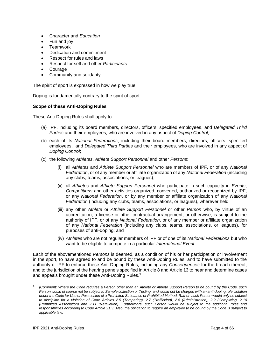- Character and *Education*
- Fun and joy
- Teamwork
- Dedication and commitment
- Respect for rules and laws
- Respect for self and other *Participants*
- **Courage**
- Community and solidarity

The spirit of sport is expressed in how we play true.

Doping is fundamentally contrary to the spirit of sport.

#### **Scope of these Anti-Doping Rules**

These Anti-Doping Rules shall apply to:

- (a) IPF, including its board members, directors, officers, specified employees, and *Delegated Third Parties* and their employees, who are involved in any aspect of *Doping Control*;
- (b) each of its *National Federations*, including their board members, directors, officers, specified employees, and *Delegated Third Parties* and their employees, who are involved in any aspect of *Doping Control*;
- (c) the following *Athletes*, *Athlete Support Personnel* and other *Persons*:
	- (i) all *Athletes* and *Athlete Support Personnel* who are members of IPF, or of any *National Federation*, or of any member or affiliate organization of any *National Federation* (including any clubs, teams, associations, or leagues);
	- (ii) all *Athletes* and *Athlete Support Personnel* who participate in such capacity in *Events*, *Competitions* and other activities organized, convened, authorized or recognized by IPF, or any *National Federation*, or by any member or affiliate organization of any *National Federation* (including any clubs, teams, associations, or leagues), wherever held;
	- (iii) any other *Athlete* or *Athlete Support Personnel* or other *Person* who, by virtue of an accreditation, a license or other contractual arrangement, or otherwise, is subject to the authority of IPF, or of any *National Federation*, or of any member or affiliate organization of any *National Federation* (including any clubs, teams, associations, or leagues), for purposes of anti-doping; and
	- (iv) *Athletes* who are not regular members of IPF or of one of its *National Federations* but who want to be eligible to compete in a particular *International Event*.

Each of the abovementioned *Persons* is deemed, as a condition of his or her participation or involvement in the sport, to have agreed to and be bound by these Anti-Doping Rules, and to have submitted to the authority of IPF to enforce these Anti-Doping Rules, including any *Consequences* for the breach thereof, and to the jurisdiction of the hearing panels specified in Article 8 and Article 13 to hear and determine cases and appeals brought under these Anti-Doping Rules. **1**

**<sup>1</sup>** *[Comment: Where the Code requires a Person other than an Athlete or Athlete Support Person to be bound by the Code, such Person would of course not be subject to Sample collection or Testing, and would not be charged with an anti-doping rule violation under the Code for Use or Possession of a Prohibited Substance or Prohibited Method. Rather, such Person would only be subject to discipline for a violation of Code Articles 2.5 (Tampering), 2.7 (Trafficking), 2.8 (Administration), 2.9 (Complicity), 2.10 (Prohibited Association) and 2.11 (Retaliation). Furthermore, such Person would be subject to the additional roles and responsibilities according to Code Article 21.3. Also, the obligation to require an employee to be bound by the Code is subject to applicable law.*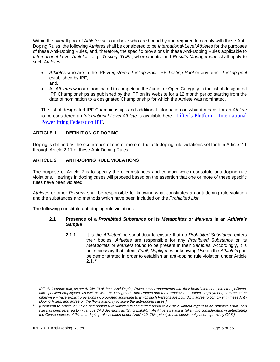Within the overall pool of *Athletes* set out above who are bound by and required to comply with these Anti-Doping Rules, the following *Athletes* shall be considered to be *International-Level Athletes* for the purposes of these Anti-Doping Rules, and, therefore, the specific provisions in these Anti-Doping Rules applicable to *International-Level Athletes* (e.g., *Testing*, *TUEs*, whereabouts, and *Results Management*) shall apply to such *Athletes*:

- *Athletes* who are in the IPF *Registered Testing Pool*, IPF *Testing Pool* or any other *Testing pool* established by IPF; and,
- All *Athletes* who are nominated to compete in the Junior or Open Category in the list of designated IPF Championships as published by the IPF on its website for a 12 month period starting from the date of nomination to a designated Championship for which the Athlete was nominated.

The list of designated IPF Championships and additional information on what it means for an *Athlete*  to be considered an *International Level Athlete* is available here : [Lifter's Platform -](https://www.powerlifting.sport/anti-doping/lifters-platform) International [Powerlifting Federation IPF.](https://www.powerlifting.sport/anti-doping/lifters-platform)

## <span id="page-4-0"></span>**ARTICLE 1 DEFINITION OF DOPING**

Doping is defined as the occurrence of one or more of the anti-doping rule violations set forth in Article 2.1 through Article 2.11 of these Anti-Doping Rules.

## <span id="page-4-1"></span>**ARTICLE 2 ANTI-DOPING RULE VIOLATIONS**

The purpose of Article 2 is to specify the circumstances and conduct which constitute anti-doping rule violations. Hearings in doping cases will proceed based on the assertion that one or more of these specific rules have been violated.

*Athletes* or other *Persons* shall be responsible for knowing what constitutes an anti-doping rule violation and the substances and methods which have been included on the *Prohibited List*.

The following constitute anti-doping rule violations:

#### **2.1 Presence of a** *Prohibited Substance* **or its** *Metabolites* **or** *Markers* **in an** *Athlete's Sample*

**2.1.1** It is the *Athletes'* personal duty to ensure that no *Prohibited Substance* enters their bodies. *Athletes* are responsible for any *Prohibited Substance* or its *Metabolites* or *Markers* found to be present in their *Samples*. Accordingly, it is not necessary that intent, *Fault*, *Negligence* or knowing *Use* on the *Athlete's* part be demonstrated in order to establish an anti-doping rule violation under Article 2.1. **<sup>2</sup>**

*IPF shall ensure that, as per Article 19 of these Anti-Doping Rules, any arrangements with their board members, directors, officers, and specified employees, as well as with the Delegated Third Parties and their employees – either employment, contractual or otherwise – have explicit provisions incorporated according to which such Persons are bound by, agree to comply with these Anti-Doping Rules, and agree on the IPF's authority to solve the anti-doping cases.]*

**<sup>2</sup>** *[Comment to Article 2.1.1: An anti-doping rule violation is committed under this Article without regard to an Athlete's Fault. This rule has been referred to in various CAS decisions as "Strict Liability". An Athlete's Fault is taken into consideration in determining the Consequences of this anti-doping rule violation under Article 10. This principle has consistently been upheld by CAS.]*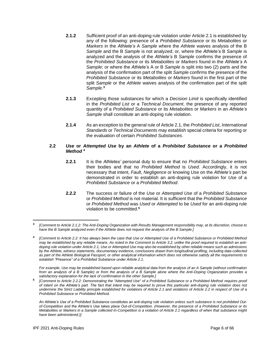- **2.1.2** Sufficient proof of an anti-doping rule violation under Article 2.1 is established by any of the following: presence of a *Prohibited Substance* or its *Metabolites* or *Markers* in the *Athlete's* A *Sample* where the *Athlete* waives analysis of the B *Sample* and the B *Sample* is not analyzed; or, where the *Athlete's* B *Sample* is analyzed and the analysis of the *Athlete's* B *Sample* confirms the presence of the *Prohibited Substance* or its *Metabolites* or *Markers* found in the *Athlete's* A *Sample*; or where the *Athlete's* A or B *Sample* is split into two (2) parts and the analysis of the confirmation part of the split *Sample* confirms the presence of the *Prohibited Substance* or its *Metabolites* or *Markers* found in the first part of the split *Sample* or the *Athlete* waives analysis of the confirmation part of the split *Sample*. **3**
- **2.1.3** Excepting those substances for which a *Decision Limit* is specifically identified in the *Prohibited List* or a *Technical Document*, the presence of any reported quantity of a *Prohibited Substance* or its *Metabolites* or *Markers* in an *Athlete's Sample* shall constitute an anti-doping rule violation.
- **2.1.4** As an exception to the general rule of Article 2.1, the *Prohibited List*, *International Standards* or *Technical Documents* may establish special criteria for reporting or the evaluation of certain *Prohibited Substances*.

## **2.2** *Use* **or** *Attempted Use* **by an** *Athlete* **of a** *Prohibited Substance* **or a** *Prohibited Method* **<sup>4</sup>**

- **2.2.1** It is the *Athletes'* personal duty to ensure that no *Prohibited Substance* enters their bodies and that no *Prohibited Method* is *Used*. Accordingly, it is not necessary that intent, *Fault*, *Negligence* or knowing *Use* on the *Athlete's* part be demonstrated in order to establish an anti-doping rule violation for *Use* of a *Prohibited Substance* or a *Prohibited Method*.
- **2.2.2** The success or failure of the *Use* or *Attempted Use* of a *Prohibited Substance* or *Prohibited Method* is not material. It is sufficient that the *Prohibited Substance* or *Prohibited Method* was *Used* or *Attempted* to be *Used* for an anti-doping rule violation to be committed.**<sup>5</sup>**

*For example, Use may be established based upon reliable analytical data from the analysis of an A Sample (without confirmation from an analysis of a B Sample) or from the analysis of a B Sample alone where the Anti-Doping Organization provides a satisfactory explanation for the lack of confirmation in the other Sample.]*

**5** *[Comment to Article 2.2.2: Demonstrating the "Attempted Use" of a Prohibited Substance or a Prohibited Method requires proof of intent on the Athlete's part. The fact that intent may be required to prove this particular anti-doping rule violation does not undermine the Strict Liability principle established for violations of Article 2.1 and violations of Article 2.2 in respect of Use of a Prohibited Substance or Prohibited Method.* 

**<sup>3</sup>** *[Comment to Article 2.1.2: The Anti-Doping Organization with Results Management responsibility may, at its discretion, choose to have the B Sample analyzed even if the Athlete does not request the analysis of the B Sample.]*

**<sup>4</sup>** *[Comment to Article 2.2: It has always been the case that Use or Attempted Use of a Prohibited Substance or Prohibited Method* may be established by any reliable means. As noted in the Comment to Article 3.2, unlike the proof required to establish an anti*doping rule violation under Article 2.1, Use or Attempted Use may also be established by other reliable means such as admissions by the Athlete, witness statements, documentary evidence, conclusions drawn from longitudinal profiling, including data collected as part of the Athlete Biological Passport, or other analytical information which does not otherwise satisfy all the requirements to establish "Presence" of a Prohibited Substance under Article 2.1.* 

*An Athlete's Use of a Prohibited Substance constitutes an anti-doping rule violation unless such substance is not prohibited Outof-Competition and the Athlete's Use takes place Out-of-Competition. (However, the presence of a Prohibited Substance or its Metabolites or Markers in a Sample collected In-Competition is a violation of Article 2.1 regardless of when that substance might have been administered.)]*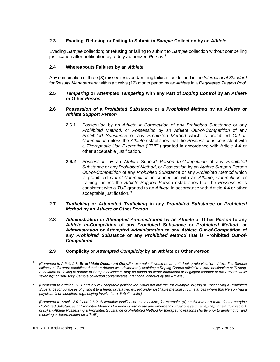## **2.3 Evading, Refusing or Failing to Submit to** *Sample* **Collection by an** *Athlete*

Evading *Sample* collection; or refusing or failing to submit to *Sample* collection without compelling justification after notification by a duly authorized *Person*. **6**

#### **2.4 Whereabouts Failures by an** *Athlete*

Any combination of three (3) missed tests and/or filing failures, as defined in the *International Standard* for *Results Management*, within a twelve (12) month period by an *Athlete* in a *Registered Testing Pool.*

#### **2.5** *Tampering* **or** *Attempted Tampering* **with any Part of** *Doping Control* **by an** *Athlete* **or Other** *Person*

#### **2.6** *Possession* **of a** *Prohibited Substance* **or a** *Prohibited Method* **by an** *Athlete* **or**  *Athlete Support Person*

- **2.6.1** *Possession* by an *Athlete In-Competition* of any *Prohibited Substance* or any *Prohibited Method*, or *Possession* by an *Athlete Out-of-Competition* of any *Prohibited Substance* or any *Prohibited Method* which is prohibited *Out-of-Competition* unless the *Athlete* establishes that the *Possession* is consistent with a *Therapeutic Use Exemption* ("*TUE*") granted in accordance with Article 4.4 or other acceptable justification.
- **2.6.2** *Possession* by an *Athlete Support Person In-Competition* of any *Prohibited Substance* or any *Prohibited Method*, or *Possession* by an *Athlete Support Person Out-of-Competition* of any *Prohibited Substance* or any *Prohibited Method* which is prohibited *Out-of-Competition* in connection with an *Athlete*, *Competition* or training, unless the *Athlete Support Person* establishes that the *Possession* is consistent with a *TUE* granted to an *Athlete* in accordance with Article 4.4 or other acceptable justification. **<sup>7</sup>**
- **2.7** *Trafficking* **or** *Attempted Trafficking* **in any** *Prohibited Substance* **or** *Prohibited Method* **by an** *Athlete* **or Other** *Person*
- **2.8** *Administration* **or** *Attempted Administration* **by an** *Athlete* **or Other** *Person* **to any**  *Athlete In-Competition* **of any** *Prohibited Substance* **or** *Prohibited Method***, or**  *Administration* **or** *Attempted Administration* **to any** *Athlete Out-of-Competition* **of any** *Prohibited Substance* **or any** *Prohibited Method* **that is Prohibited** *Out-of-Competition*
- **2.9 Complicity or** *Attempted Complicity* **by an** *Athlete* **or Other** *Person*

**<sup>6</sup>** *[Comment to Article 2.3: Error! Main Document Only.For example, it would be an anti-doping rule violation of "evading Sample collection" if it were established that an Athlete was deliberately avoiding a Doping Control official to evade notification or Testing. A violation of "failing to submit to Sample collection" may be based on either intentional or negligent conduct of the Athlete, while "evading" or "refusing" Sample collection contemplates intentional conduct by the Athlete.]*

**<sup>7</sup>** *[Comment to Articles 2.6.1 and 2.6.2: Acceptable justification would not include, for example, buying or Possessing a Prohibited Substance for purposes of giving it to a friend or relative, except under justifiable medical circumstances where that Person had a physician's prescription, e.g., buying Insulin for a diabetic child.]*

*<sup>[</sup>Comment to Article 2.6.1 and 2.6.2: Acceptable justification may include, for example, (a) an Athlete or a team doctor carrying Prohibited Substances or Prohibited Methods for dealing with acute and emergency situations (e.g., an epinephrine auto-injector), or (b) an Athlete Possessing a Prohibited Substance or Prohibited Method for therapeutic reasons shortly prior to applying for and receiving a determination on a TUE.]*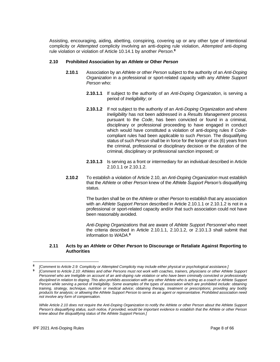Assisting, encouraging, aiding, abetting, conspiring, covering up or any other type of intentional complicity or *Attempted* complicity involving an anti-doping rule violation, *Attempted* anti-doping rule violation or violation of Article 10.14.1 by another *Person*. **8**

#### **2.10 Prohibited Association by an** *Athlete* **or Other** *Person*

- **2.10.1** Association by an *Athlete* or other *Person* subject to the authority of an *Anti-Doping Organization* in a professional or sport-related capacity with any *Athlete Support Person* who:
	- **2.10.1.1** If subject to the authority of an *Anti-Doping Organization*, is serving a period of *Ineligibility*; or
	- **2.10.1.2** If not subject to the authority of an *Anti-Doping Organization* and where *Ineligibility* has not been addressed in a *Results Management* process pursuant to the *Code*, has been convicted or found in a criminal, disciplinary or professional proceeding to have engaged in conduct which would have constituted a violation of anti-doping rules if *Code*compliant rules had been applicable to such *Person.* The disqualifying status of such *Person* shall be in force for the longer of six (6) years from the criminal, professional or disciplinary decision or the duration of the criminal, disciplinary or professional sanction imposed; or
	- **2.10.1.3** Is serving as a front or intermediary for an individual described in Article 2.10.1.1 or 2.10.1.2.
- **2.10.2** To establish a violation of Article 2.10, an *Anti-Doping Organization* must establish that the *Athlete* or other *Person* knew of the *Athlete Support Person'*s disqualifying status.

The burden shall be on the *Athlete* or other *Person* to establish that any association with an *Athlete Support Person* described in Article 2.10.1.1 or 2.10.1.2 is not in a professional or sport-related capacity and/or that such association could not have been reasonably avoided.

*Anti-Doping Organizations* that are aware of *Athlete Support Personnel* who meet the criteria described in Article 2.10.1.1, 2.10.1.2, or 2.10.1.3 shall submit that information to *WADA*. **9**

#### **2.11 Acts by an** *Athlete* **or Other** *Person* **to Discourage or Retaliate Against Reporting to Authorities**

**<sup>8</sup>** *[Comment to Article 2.9: Complicity or Attempted Complicity may include either physical or psychological assistance.]*

**<sup>9</sup>** *[Comment to Article 2.10: Athletes and other Persons must not work with coaches, trainers, physicians or other Athlete Support Personnel who are Ineligible on account of an anti-doping rule violation or who have been criminally convicted or professionally disciplined in relation to doping. This also prohibits association with any other Athlete who is acting as a coach or Athlete Support Person while serving a period of Ineligibility. Some examples of the types of association which are prohibited include: obtaining training, strategy, technique, nutrition or medical advice; obtaining therapy, treatment or prescriptions; providing any bodily products for analysis; or allowing the Athlete Support Person to serve as an agent or representative. Prohibited association need not involve any form of compensation.*

*While Article 2.10 does not require the Anti-Doping Organization to notify the Athlete or other Person about the Athlete Support Person's disqualifying status, such notice, if provided, would be important evidence to establish that the Athlete or other Person knew about the disqualifying status of the Athlete Support Person.]*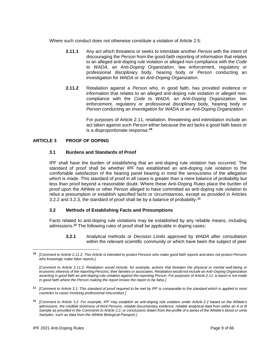Where such conduct does not otherwise constitute a violation of Article 2.5:

- **2.11.1** Any act which threatens or seeks to intimidate another *Person* with the intent of discouraging the *Person* from the good-faith reporting of information that relates to an alleged anti-doping rule violation or alleged non-compliance with the *Code* to *WADA*, an *Anti-Doping Organization*, law enforcement, regulatory or professional disciplinary body, hearing body or *Person* conducting an investigation for *WADA* or an *Anti-Doping Organization*.
- **2.11.2** Retaliation against a *Person* who, in good faith, has provided evidence or information that relates to an alleged anti-doping rule violation or alleged noncompliance with the *Code* to *WADA*, an *Anti-Doping Organization*, law enforcement, regulatory or professional disciplinary body, hearing body or *Person* conducting an investigation for *WADA* or an *Anti-Doping Organization*.

For purposes of Article 2.11, retaliation, threatening and intimidation include an act taken against such *Person* either because the act lacks a good faith basis or is a disproportionate response.**<sup>10</sup>**

## <span id="page-8-0"></span>**ARTICLE 3 PROOF OF DOPING**

## **3.1 Burdens and Standards of Proof**

IPF shall have the burden of establishing that an anti-doping rule violation has occurred. The standard of proof shall be whether IPF has established an anti-doping rule violation to the comfortable satisfaction of the hearing panel bearing in mind the seriousness of the allegation which is made. This standard of proof in all cases is greater than a mere balance of probability but less than proof beyond a reasonable doubt. Where these Anti-Doping Rules place the burden of proof upon the *Athlete* or other *Person* alleged to have committed an anti-doping rule violation to rebut a presumption or establish specified facts or circumstances, except as provided in Articles 3.2.2 and 3.2.3, the standard of proof shall be by a balance of probability.**<sup>11</sup>**

#### **3.2 Methods of Establishing Facts and Presumptions**

Facts related to anti-doping rule violations may be established by any reliable means, including admissions.**<sup>12</sup>** The following rules of proof shall be applicable in doping cases:

**3.2.1** Analytical methods or *Decision Limits* approved by *WADA* after consultation within the relevant scientific community or which have been the subject of peer

**<sup>10</sup>** *[Comment to Article 2.11.2: This Article is intended to protect Persons who make good faith reports and does not protect Persons who knowingly make false reports.]*

*<sup>[</sup>Comment to Article 2.11.2: Retaliation would include, for example, actions that threaten the physical or mental well-being or economic interests of the reporting Persons, their families or associates. Retaliation would not include an Anti-Doping Organization asserting in good faith an anti-doping rule violation against the reporting Person. For purposes of Article 2.11, a report is not made in good faith where the Person making the report knows the report to be false.]*

**<sup>11</sup>** *[Comment to Article 3.1: This standard of proof required to be met by IPF is comparable to the standard which is applied in most countries to cases involving professional misconduct.]*

**<sup>12</sup>** *[Comment to Article 3.2: For example, IPF may establish an anti-doping rule violation under Article 2.2 based on the Athlete's admissions, the credible testimony of third Persons, reliable documentary evidence, reliable analytical data from either an A or B Sample as provided in the Comments to Article 2.2, or conclusions drawn from the profile of a series of the Athlete's blood or urine Samples, such as data from the Athlete Biological Passport.]*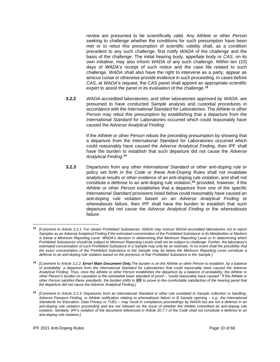review are presumed to be scientifically valid. Any *Athlete* or other *Person* seeking to challenge whether the conditions for such presumption have been met or to rebut this presumption of scientific validity shall, as a condition precedent to any such challenge, first notify *WADA* of the challenge and the basis of the challenge. The initial hearing body, appellate body or *CAS*, on its own initiative, may also inform *WADA* of any such challenge. Within ten (10) days of *WADA's* receipt of such notice and the case file related to such challenge, *WADA* shall also have the right to intervene as a party, appear as amicus curiae or otherwise provide evidence in such proceeding. In cases before *CAS*, at *WADA*'s request, the *CAS* panel shall appoint an appropriate scientific expert to assist the panel in its evaluation of the challenge.**<sup>13</sup>**

**3.2.2** *WADA*-accredited laboratories, and other laboratories approved by *WADA*, are presumed to have conducted *Sample* analysis and custodial procedures in accordance with the *International Standard* for Laboratories. The *Athlete* or other *Person* may rebut this presumption by establishing that a departure from the *International Standard* for Laboratories occurred which could reasonably have caused the *Adverse Analytical Finding*.

> If the *Athlete* or other *Person* rebuts the preceding presumption by showing that a departure from the *International Standard* for Laboratories occurred which could reasonably have caused the *Adverse Analytical Finding*, then IPF shall have the burden to establish that such departure did not cause the *Adverse Analytical Finding*. **14**

**3.2.3** Departures from any other *International Standard* or other anti-doping rule or policy set forth in the *Code* or these Anti-Doping Rules shall not invalidate analytical results or other evidence of an anti-doping rule violation, and shall not constitute a defense to an anti-doping rule violation;**<sup>15</sup>** provided, however, if the *Athlete* or other *Person* establishes that a departure from one of the specific *International Standard* provisions listed below could reasonably have caused an anti-doping rule violation based on an *Adverse Analytical Finding* or whereabouts failure, then IPF shall have the burden to establish that such departure did not cause the *Adverse Analytical Finding* or the whereabouts failure:

**<sup>13</sup>** *[Comment to Article 3.2.1: For certain Prohibited Substances, WADA may instruct WADA-accredited laboratories not to report Samples as an Adverse Analytical Finding if the estimated concentration of the Prohibited Substance or its Metabolites or Markers is below a Minimum Reporting Level. WADA's decision in determining that Minimum Reporting Level or in determining which Prohibited Substances should be subject to Minimum Reporting Levels shall not be subject to challenge. Further, the laboratory's*  estimated concentration of such Prohibited Substance in a Sample may only be an estimate. In no event shall the possibility that *the exact concentration of the Prohibited Substance in the Sample may be below the Minimum Reporting Level constitute a defense to an anti-doping rule violation based on the presence of that Prohibited Substance in the Sample.]*

**<sup>14</sup>** *[Comment to Article 3.2.2: Error! Main Document Only.The burden is on the Athlete or other Person to establish, by a balance of probability, a departure from the International Standard for Laboratories that could reasonably have caused the Adverse Analytical Finding. Thus, once the Athlete or other Person establishes the departure by a balance of probability, the Athlete or other Person's burden on causation is the somewhat lower standard of proof – "could reasonably have caused." If the Athlete or other Person satisfies these standards, the burden shifts to IPF to prove to the comfortable satisfaction of the hearing panel that the departure did not cause the Adverse Analytical Finding.]*

**<sup>15</sup>** *[Comment to Article 3.2.3: Departures from an International Standard or other rule unrelated to Sample collection or handling, Adverse Passport Finding, or Athlete notification relating to whereabouts failure or B Sample opening – e.g., the International Standards for Education, Data Privacy or TUEs – may result in compliance proceedings by WADA but are not a defense in an anti-doping rule violation proceeding and are not relevant on the issue of whether the Athlete committed an anti-doping rule violation. Similarly, IPF's violation of the document referenced in Article 20.7.7 of the Code shall not constitute a defense to an anti-doping rule violation.]*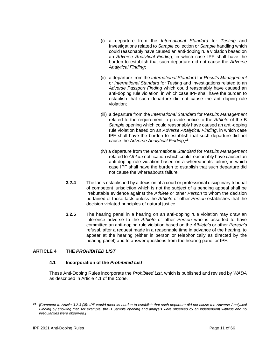- (i) a departure from the *International Standard* for *Testing* and Investigations related to *Sample* collection or *Sample* handling which could reasonably have caused an anti-doping rule violation based on an *Adverse Analytical Finding*, in which case IPF shall have the burden to establish that such departure did not cause the *Adverse Analytical Finding*;
- (ii) a departure from the *International Standard* for *Results Management* or *International Standard* for *Testing* and Investigations related to an *Adverse Passport Finding* which could reasonably have caused an anti-doping rule violation, in which case IPF shall have the burden to establish that such departure did not cause the anti-doping rule violation;
- (iii) a departure from the *International Standard* for *Results Management* related to the requirement to provide notice to the *Athlete* of the B *Sample* opening which could reasonably have caused an anti-doping rule violation based on an *Adverse Analytical Finding*, in which case IPF shall have the burden to establish that such departure did not cause the *Adverse Analytical Finding*; **16**
- (iv) a departure from the *International Standard* for *Results Management* related to *Athlete* notification which could reasonably have caused an anti-doping rule violation based on a whereabouts failure, in which case IPF shall have the burden to establish that such departure did not cause the whereabouts failure.
- **3.2.4** The facts established by a decision of a court or professional disciplinary tribunal of competent jurisdiction which is not the subject of a pending appeal shall be irrebuttable evidence against the *Athlete* or other *Person* to whom the decision pertained of those facts unless the *Athlete* or other *Person* establishes that the decision violated principles of natural justice.
- **3.2.5** The hearing panel in a hearing on an anti-doping rule violation may draw an inference adverse to the *Athlete* or other *Person* who is asserted to have committed an anti-doping rule violation based on the *Athlete's* or other *Person's* refusal, after a request made in a reasonable time in advance of the hearing, to appear at the hearing (either in person or telephonically as directed by the hearing panel) and to answer questions from the hearing panel or IPF.

## <span id="page-10-0"></span>**ARTICLE 4 THE** *PROHIBITED LIST*

## **4.1 Incorporation of the** *Prohibited List*

These Anti-Doping Rules incorporate the *Prohibited List*, which is published and revised by *WADA* as described in Article 4.1 of the *Code*.

**<sup>16</sup>** *[Comment to Article 3.2.3 (iii): IPF would meet its burden to establish that such departure did not cause the Adverse Analytical Finding by showing that, for example, the B Sample opening and analysis were observed by an independent witness and no irregularities were observed.]*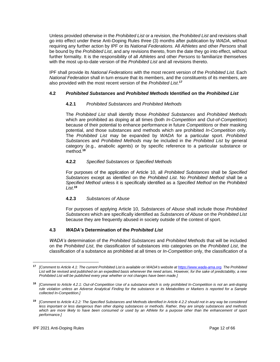Unless provided otherwise in the *Prohibited List* or a revision, the *Prohibited List* and revisions shall go into effect under these Anti-Doping Rules three (3) months after publication by *WADA*, without requiring any further action by IPF or its *National Federations.* All *Athletes* and other *Persons* shall be bound by the *Prohibited List*, and any revisions thereto, from the date they go into effect, without further formality. It is the responsibility of all *Athletes* and other *Persons* to familiarize themselves with the most up-to-date version of the *Prohibited List* and all revisions thereto.

IPF shall provide its *National Federations* with the most recent version of the *Prohibited List*. Each *National Federation* shall in turn ensure that its members, and the constituents of its members, are also provided with the most recent version of the *Prohibited List*. **17**

## **4.2** *Prohibited Substances* **and** *Prohibited Methods* **Identified on the** *Prohibited List*

## **4.2.1** *Prohibited Substances* and *Prohibited Methods*

The *Prohibited List* shall identify those *Prohibited Substances* and *Prohibited Methods*  which are prohibited as doping at all times (both *In-Competition* and *Out-of-Competition*) because of their potential to enhance performance in future *Competitions* or their masking potential, and those substances and methods which are prohibited *In-Competition* only. The *Prohibited List* may be expanded by *WADA* for a particular sport. *Prohibited Substance*s and *Prohibited Methods* may be included in the *Prohibited List* by general category (e.g., anabolic agents) or by specific reference to a particular substance or method.**<sup>18</sup>**

## **4.2.2** *Specified Substances* or *Specified Methods*

For purposes of the application of Article 10, all *Prohibited Substances* shall be *Specified Substances* except as identified on the *Prohibited List*. No *Prohibited Method* shall be a *Specified Method* unless it is specifically identified as a *Specified Method* on the *Prohibited List*. **19**

## **4.2.3** *Substances of Abuse*

For purposes of applying Article 10, *Substances of Abuse* shall include those *Prohibited Substances* which are specifically identified as *Substances of Abuse* on the *Prohibited List* because they are frequently abused in society outside of the context of sport.

## **4.3** *WADA's* **Determination of the** *Prohibited List*

*WADA's* determination of the *Prohibited Substances* and *Prohibited Methods* that will be included on the *Prohibited List*, the classification of substances into categories on the *Prohibited List*, the classification of a substance as prohibited at all times or *In-Competition* only, the classification of a

**<sup>17</sup>** *[Comment to Article 4.1: The current Prohibited List is available on WADA's website a[t https://www.wada-ama.org.](https://www.wada-ama.org/) The Prohibited List will be revised and published on an expedited basis whenever the need arises. However, for the sake of predictability, a new Prohibited List will be published every year whether or not changes have been made.]*

**<sup>18</sup>** *[Comment to Article 4.2.1: Out-of-Competition Use of a substance which is only prohibited In-Competition is not an anti-doping rule violation unless an Adverse Analytical Finding for the substance or its Metabolites or Markers is reported for a Sample collected In-Competition.]*

**<sup>19</sup>** *[Comment to Article 4.2.2: The Specified Substances and Methods identified in Article 4.2.2 should not in any way be considered less important or less dangerous than other doping substances or methods. Rather, they are simply substances and methods* which are more likely to have been consumed or used by an Athlete for a purpose other than the enhancement of sport *performance.]*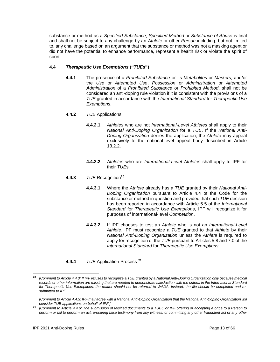substance or method as a *Specified Substance*, *Specified Method* or *Substance of Abuse* is final and shall not be subject to any challenge by an *Athlete* or other *Person* including, but not limited to, any challenge based on an argument that the substance or method was not a masking agent or did not have the potential to enhance performance, represent a health risk or violate the spirit of sport.

## **4.4** *Therapeutic Use Exemptions* **("***TUEs***")**

**4.4.1** The presence of a *Prohibited Substance* or its *Metabolites* or *Markers*, and/or the *Use* or *Attempted Use*, *Possession* or *Administration* or *Attempted Administration* of a *Prohibited Substance* or *Prohibited Method*, shall not be considered an anti-doping rule violation if it is consistent with the provisions of a *TUE* granted in accordance with the *International Standard* for *Therapeutic Use Exemptions*.

## **4.4.2** *TUE* Applications

- **4.4.2.1** *Athletes* who are not *International-Level Athletes* shall apply to their *National Anti-Doping Organization* for a *TUE*. If the *National Anti-Doping Organization* denies the application, the *Athlete* may appeal exclusively to the national-level appeal body described in Article 13.2.2.
- **4.4.2.2** *Athletes* who are *International-Level Athletes* shall apply to IPF for their *TUE*s.

## **4.4.3** *TUE* Recognition**<sup>20</sup>**

- **4.4.3.1** Where the *Athlete* already has a *TUE* granted by their *National Anti-Doping Organization* pursuant to Article 4.4 of the Code for the substance or method in question and provided that such *TUE* decision has been reported in accordance with Article 5.5 of the *International Standard* for *Therapeutic Use Exemptions*, IPF will recognize it for purposes of international-level *Competition*.
- **4.4.3.2** If IPF chooses to test an *Athlete* who is not an *International-Level Athlete*, IPF must recognize a *TUE* granted to that *Athlete* by their *National Anti-Doping Organization* unless the *Athlete* is required to apply for recognition of the *TUE* pursuant to Articles 5.8 and 7.0 of the *International Standard* for *Therapeutic Use Exemptions*.
- **4.4.4** *TUE* Application Process **<sup>21</sup>**

**<sup>20</sup>** *[Comment to Article 4.4.3: If IPF refuses to recognize a TUE granted by a National Anti-Doping Organization only because medical*  records or other information are missing that are needed to demonstrate satisfaction with the criteria in the International Standard *for Therapeutic Use Exemptions, the matter should not be referred to WADA. Instead, the file should be completed and resubmitted to IPF*

*<sup>[</sup>Comment to Article 4.4.3: IPF may agree with a National Anti-Doping Organization that the National Anti-Doping Organization will consider TUE applications on behalf of IPF.]*

**<sup>21</sup>** *[Comment to Article 4.4.6: The submission of falsified documents to a TUEC or IPF offering or accepting a bribe to a Person to perform or fail to perform an act, procuring false testimony from any witness, or committing any other fraudulent act or any other*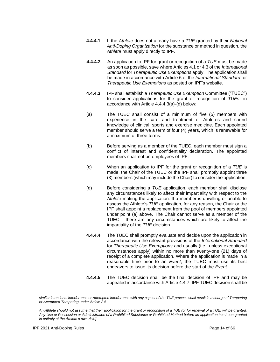- **4.4.4.1** If the *Athlete* does not already have a *TUE* granted by their *National Anti-Doping Organization* for the substance or method in question, the *Athlete* must apply directly to IPF.
- **4.4.4.2** An application to IPF for grant or recognition of a *TUE* must be made as soon as possible, save where Articles 4.1 or 4.3 of the *International Standard* for *Therapeutic Use Exemptions* apply. The application shall be made in accordance with Article 6 of the *International Standard* for *Therapeutic Use Exemptions* as posted on IPF's website.
- **4.4.4.3** IPF shall establish a *Therapeutic Use Exemption* Committee ("TUEC") to consider applications for the grant or recognition of *TUEs*. in accordance with Article 4.4.4.3(a)-(d) below:
- (a) The TUEC shall consist of a minimum of five (5) members with experience in the care and treatment of Athletes and sound knowledge of clinical, sports and exercise medicine. Each appointed member should serve a term of four (4) years, which is renewable for a maximum of three terms.
- (b) Before serving as a member of the TUEC, each member must sign a conflict of interest and confidentiality declaration. The appointed members shall not be employees of IPF.
- (c) When an application to IPF for the grant or recognition of a *TUE* is made, the Chair of the TUEC or the IPF shall promptly appoint three (3) members (which may include the Chair) to consider the application.
- (d) Before considering a *TUE* application, each member shall disclose any circumstances likely to affect their impartiality with respect to the *Athlete* making the application. If a member is unwilling or unable to assess the Athlete's *TUE* application, for any reason, the Chair or the IPF shall appoint a replacement from the pool of members appointed under point (a) above. The Chair cannot serve as a member of the TUEC if there are any circumstances which are likely to affect the impartiality of the *TUE* decision.
- **4.4.4.4** The TUEC shall promptly evaluate and decide upon the application in accordance with the relevant provisions of the *International Standard* for *Therapeutic Use Exemptions* and usually (i.e., unless exceptional circumstances apply) within no more than twenty-one (21) days of receipt of a complete application. Where the application is made in a reasonable time prior to an *Event*, the TUEC must use its best endeavors to issue its decision before the start of the *Event*.
- **4.4.4.5** The TUEC decision shall be the final decision of IPF and may be appealed in accordance with Article 4.4.7. IPF TUEC decision shall be

*similar intentional interference or Attempted interference with any aspect of the TUE process shall result in a charge of Tampering or Attempted Tampering under Article 2.5.*

*An Athlete should not assume that their application for the grant or recognition of a TUE (or for renewal of a TUE) will be granted. Any Use or Possession or Administration of a Prohibited Substance or Prohibited Method before an application has been granted is entirely at the Athlete's own risk.]*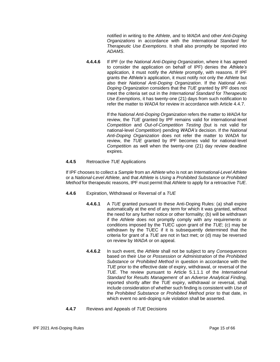notified in writing to the *Athlete*, and to *WADA* and other *Anti-Doping Organizations* in accordance with the *International Standard* for *Therapeutic Use Exemptions*. It shall also promptly be reported into *ADAMS*.

**4.4.4.6** If IPF (or the *National Anti-Doping Organization*, where it has agreed to consider the application on behalf of IPF) denies the *Athlete's* application, it must notify the *Athlete* promptly, with reasons. If IPF grants the *Athlete's* application, it must notify not only the *Athlete* but also their *National Anti-Doping Organization*. If the *National Anti-Doping Organization* considers that the *TUE* granted by IPF does not meet the criteria set out in the *International Standard* for *Therapeutic Use Exemptions*, it has twenty-one (21) days from such notification to refer the matter to *WADA* for review in accordance with Article 4.4.7.

> If the *National Anti-Doping Organization* refers the matter to *WADA* for review, the *TUE* granted by IPF remains valid for international-level *Competition* and *Out-of-Competition Testing* (but is not valid for national-level *Competition*) pending *WADA's* decision. If the *National Anti-Doping Organization* does not refer the matter to *WADA* for review, the *TUE* granted by IPF becomes valid for national-level *Competitio*n as well when the twenty-one (21) day review deadline expires.

## **4.4.5** Retroactive *TUE* Applications

If IPF chooses to collect a *Sample* from an *Athlete* who is not an *International-Level Athlete*  or a *National-Level Athlete*, and that *Athlete* is *Using* a *Prohibited Substance* or *Prohibited Method* for therapeutic reasons, IPF must permit that *Athlete* to apply for a retroactive *TUE*.

- **4.4.6** Expiration, Withdrawal or Reversal of a *TUE*
	- **4.4.6.1** A *TUE* granted pursuant to these Anti-Doping Rules: (a) shall expire automatically at the end of any term for which it was granted, without the need for any further notice or other formality; (b) will be withdrawn if the *Athlete* does not promptly comply with any requirements or conditions imposed by the TUEC upon grant of the *TUE*; (c) may be withdrawn by the TUEC if it is subsequently determined that the criteria for grant of a *TUE* are not in fact met; or (d) may be reversed on review by *WADA* or on appeal.
	- **4.4.6.2** In such event, the *Athlete* shall not be subject to any *Consequences* based on their *Use* or *Possession* or *Administration* of the *Prohibited Substance* or *Prohibited Method* in question in accordance with the *TUE* prior to the effective date of expiry, withdrawal, or reversal of the *TUE*. The review pursuant to Article 5.1.1.1 of the *International Standard* for *Results Management* of an *Adverse Analytical Finding,* reported shortly after the *TUE* expiry, withdrawal or reversal, shall include consideration of whether such finding is consistent with *Use* of the *Prohibited Substance* or *Prohibited Method* prior to that date, in which event no anti-doping rule violation shall be asserted.
- **4.4.7** Reviews and Appeals of *TUE* Decisions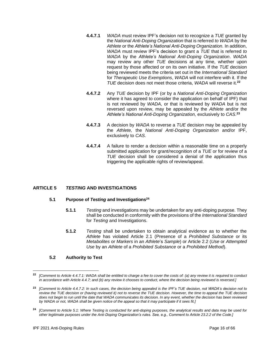- **4.4.7.1** *WADA* must review IPF's decision not to recognize a *TUE* granted by the *National Anti-Doping Organization* that is referred *to WADA* by the *Athlete* or the *Athlete's National Anti-Doping Organization.* In addition, *WADA* must review IPF's decision to grant a *TUE* that is referred *to WADA* by the *Athlete's National Anti-Doping Organization*. *WADA* may review any other *TUE* decisions at any time, whether upon request by those affected or on its own initiative. If the *TUE* decision being reviewed meets the criteria set out in the *International Standard*  for *Therapeutic Use Exemptions*, *WADA* will not interfere with it. If the *TUE* decision does not meet those criteria, *WADA* will reverse it.**<sup>22</sup>**
- **4.4.7.2** Any *TUE* decision by IPF (or by a *National Anti-Doping Organization* where it has agreed to consider the application on behalf of IPF) that is not reviewed by *WADA*, or that is reviewed by *WADA* but is not reversed upon review, may be appealed by the *Athlete* and/or the *Athlete's National Anti-Doping Organization,* exclusively to *CAS*. **23**
- **4.4.7.3** A decision by *WADA* to reverse a *TUE* decision may be appealed by the *Athlete,* the *National Anti-Doping Organization* and/or IPF, exclusively to *CAS*.
- **4.4.7.4** A failure to render a decision within a reasonable time on a properly submitted application for grant/recognition of a *TUE* or for review of a *TUE* decision shall be considered a denial of the application thus triggering the applicable rights of review/appeal.

## <span id="page-15-0"></span>**ARTICLE 5** *TESTING* **AND INVESTIGATIONS**

#### **5.1 Purpose of** *Testing* **and Investigations<sup>24</sup>**

- **5.1.1** *Testing* and investigations may be undertaken for any anti-doping purpose. They shall be conducted in conformity with the provisions of the *International Standard* for *Testing* and Investigations.
- **5.1.2** *Testing* shall be undertaken to obtain analytical evidence as to whether the *Athlete* has violated Article 2.1 (Presence of a *Prohibited Substance* or its *Metabolites* or *Markers* in an *Athlete*'s *Sample*) or Article 2.2 (*Use* or *Attempted Use* by an *Athlete* of a *Prohibited Substance* or a *Prohibited Method*).

#### **5.2 Authority to Test**

**<sup>22</sup>** *[Comment to Article 4.4.7.1: WADA shall be entitled to charge a fee to cover the costs of: (a) any review it is required to conduct*  in accordance with Article 4.4.7; and (b) any review it chooses to conduct, where the decision being reviewed is reversed.]

**<sup>23</sup>** *[Comment to Article 4.4.7.2: In such cases, the decision being appealed is the IPF's TUE decision, not WADA's decision not to review the TUE decision or (having reviewed it) not to reverse the TUE decision. However, the time to appeal the TUE decision does not begin to run until the date that WADA communicates its decision. In any event, whether the decision has been reviewed by WADA or not, WADA shall be given notice of the appeal so that it may participate if it sees fit.]*

**<sup>24</sup>** *[Comment to Article 5.1: Where Testing is conducted for anti-doping purposes, the analytical results and data may be used for other legitimate purposes under the Anti-Doping Organization's rules. See, e.g., Comment to Article 23.2.2 of the Code.]*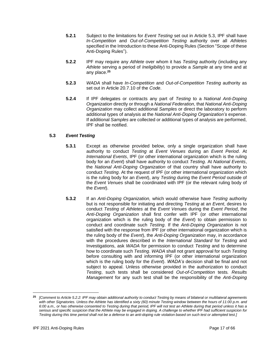- **5.2.1** Subject to the limitations for *Event Testing* set out in Article 5.3, IPF shall have *In-Competition* and *Out-of-Competition Testing* authority over all *Athletes* specified in the Introduction to these Anti-Doping Rules (Section "Scope of these Anti-Doping Rules").
- **5.2.2** IPF may require any *Athlete* over whom it has *Testing* authority (including any *Athlete* serving a period of *Ineligibility*) to provide a *Sample* at any time and at any place.**<sup>25</sup>**
- **5.2.3** *WADA* shall have *In-Competition* and *Out-of-Competition Testing* authority as set out in Article 20.7.10 of the *Code*.
- **5.2.4** If IPF delegates or contracts any part of *Testing* to a *National Anti-Doping Organization* directly or through a *National Federation*, that *National Anti-Doping Organization* may collect additional *Samples* or direct the laboratory to perform additional types of analysis at the *National Anti-Doping Organization's* expense. If additional *Samples* are collected or additional types of analysis are performed, IPF shall be notified.

## **5.3** *Event Testing*

- **5.3.1** Except as otherwise provided below, only a single organization shall have authority to conduct *Testing* at *Event Venues* during an *Event Period*. At *International Events*, IPF (or other international organization which is the ruling body for an *Event*) shall have authority to conduct *Testing*. At *National Events*, the *National Anti-Doping Organization* of that country shall have authority to conduct *Testing*. At the request of IPF (or other international organization which is the ruling body for an *Event*), any *Testing* during the *Event Period* outside of the *Event Venues* shall be coordinated with IPF (or the relevant ruling body of the *Event*).
- **5.3.2** If an *Anti-Doping Organization,* which would otherwise have *Testing* authority but is not responsible for initiating and directing *Testing* at an *Event*, desires to conduct *Testing* of *Athletes* at the *Event Venues* during the *Event Period*, the *Anti-Doping Organization* shall first confer with IPF (or other international organization which is the ruling body of the *Event*) to obtain permission to conduct and coordinate such *Testing*. If the *Anti-Doping Organization* is not satisfied with the response from IPF (or other international organization which is the ruling body of the *Event*), the *Anti-Doping Organization* may, in accordance with the procedures described in the *International Standard* for *Testing* and Investigations, ask *WADA* for permission to conduct *Testing* and to determine how to coordinate such *Testing*. *WADA* shall not grant approval for such *Testing* before consulting with and informing IPF (or other international organization which is the ruling body for the *Event*). *WADA's* decision shall be final and not subject to appeal. Unless otherwise provided in the authorization to conduct *Testing*, such tests shall be considered *Out-of-Competition* tests*. Results Management* for any such test shall be the responsibility of the *Anti-Doping*

**<sup>25</sup>** *[Comment to Article 5.2.2: IPF may obtain additional authority to conduct Testing by means of bilateral or multilateral agreements with other Signatories. Unless the Athlete has identified a sixty (60) minute Testing window between the hours of 11:00 p.m. and 6:00 a.m., or has otherwise consented to Testing during that period, IPF will not test an Athlete during that period unless it has a serious and specific suspicion that the Athlete may be engaged in doping. A challenge to whether IPF had sufficient suspicion for Testing during this time period shall not be a defense to an anti-doping rule violation based on such test or attempted test.]*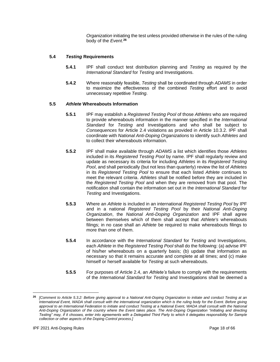*Organization* initiating the test unless provided otherwise in the rules of the ruling body of the *Event*. **26**

## **5.4** *Testing* **Requirements**

- **5.4.1** IPF shall conduct test distribution planning and *Testing* as required by the *International Standard* for *Testing* and Investigations.
- **5.4.2** Where reasonably feasible, *Testing* shall be coordinated through *ADAMS* in order to maximize the effectiveness of the combined *Testing* effort and to avoid unnecessary repetitive *Testing*.

## **5.5** *Athlete* **Whereabouts Information**

- **5.5.1** IPF may establish a *Registered Testing Pool* of those *Athletes* who are required to provide whereabouts information in the manner specified in the *International Standard* for *Testing* and Investigations and who shall be subject to *Consequences* for Article 2.4 violations as provided in Article 10.3.2. IPF shall coordinate with *National Anti-Doping Organizations* to identify such *Athletes* and to collect their whereabouts information.
- **5.5.2** IPF shall make available through *ADAMS* a list which identifies those *Athletes* included in its *Registered Testing Pool* by name. IPF shall regularly review and update as necessary its criteria for including *Athletes* in its *Registered Testing Pool*, and shall periodically (but not less than quarterly) review the list of *Athletes* in its *Registered Testing Pool* to ensure that each listed *Athlete* continues to meet the relevant criteria. *Athletes* shall be notified before they are included in the *Registered Testing Pool* and when they are removed from that pool. The notification shall contain the information set out in the *International Standard* for *Testing* and Investigations.
- **5.5.3** Where an *Athlete* is included in an international *Registered Testing Pool* by IPF and in a national *Registered Testing Pool* by their *National Anti-Doping Organization*, the *National Anti-Doping Organization* and IPF shall agree between themselves which of them shall accept that *Athlete's* whereabouts filings; in no case shall an *Athlete* be required to make whereabouts filings to more than one of them.
- **5.5.4** In accordance with the *International Standard* for *Testing* and Investigations, each *Athlete* in the *Registered Testing Pool* shall do the following: (a) advise IPF of his/her whereabouts on a quarterly basis; (b) update that information as necessary so that it remains accurate and complete at all times; and (c) make himself or herself available for *Testing* at such whereabouts.
- **5.5.5** For purposes of Article 2.4, an *Athlete's* failure to comply with the requirements of the *International Standard* for *Testing* and Investigations shall be deemed a

**<sup>26</sup>** *[Comment to Article 5.3.2: Before giving approval to a National Anti-Doping Organization to initiate and conduct Testing at an International Event, WADA shall consult with the international organization which is the ruling body for the Event. Before giving*  approval to an International Federation to initiate and conduct Testing at a National Event, WADA shall consult with the National *Anti-Doping Organization of the country where the Event takes place. The Anti-Doping Organization "initiating and directing Testing" may, if it chooses, enter into agreements with a Delegated Third Party to which it delegates responsibility for Sample collection or other aspects of the Doping Control process.]*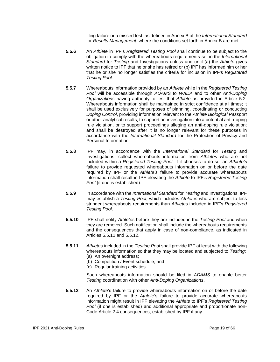filing failure or a missed test, as defined in Annex B of the *International Standard*  for *Results Management*, where the conditions set forth in Annex B are met.

- **5.5.6** An *Athlete* in IPF's *Registered Testing Pool* shall continue to be subject to the obligation to comply with the whereabouts requirements set in the *International Standard* for *Testing* and Investigations unless and until (a) the *Athlete* gives written notice to IPF that he or she has retired or (b) IPF has informed him or her that he or she no longer satisfies the criteria for inclusion in IPF's *Registered Testing Pool*.
- **5.5.7** Whereabouts information provided by an *Athlete* while in the *Registered Testing Pool* will be accessible through *ADAMS* to *WADA* and to other *Anti-Doping Organizations* having authority to test that *Athlete* as provided in Article 5.2. Whereabouts information shall be maintained in strict confidence at all times; it shall be used exclusively for purposes of planning, coordinating or conducting *Doping Control*, providing information relevant to the *Athlete Biological Passport*  or other analytical results, to support an investigation into a potential anti-doping rule violation, or to support proceedings alleging an anti-doping rule violation; and shall be destroyed after it is no longer relevant for these purposes in accordance with the *International Standard* for the Protection of Privacy and Personal Information.
- **5.5.8** IPF may, in accordance with the *International Standard* for *Testing* and Investigations, collect whereabouts information from *Athletes* who are not included within a *Registered Testing Pool*. If it chooses to do so, an *Athlete's* failure to provide requested whereabouts information on or before the date required by IPF or the *Athlete's* failure to provide accurate whereabouts information shall result in IPF elevating the *Athlete* to IPF's *Registered Testing Pool* (if one is established).
- **5.5.9** In accordance with the *International Standard* for *Testing* and Investigations, IPF may establish a *Testing Pool*, which includes *Athletes* who are subject to less stringent whereabouts requirements than *Athletes* included in IPF's *Registered Testing Pool*.
- **5.5.10** IPF shall notify *Athletes* before they are included in the *Testing Pool* and when they are removed. Such notification shall include the whereabouts requirements and the consequences that apply in case of non-compliance, as indicated in Articles 5.5.11 and 5.5.12.
- **5.5.11** *Athletes* included in the *Testing Pool* shall provide IPF at least with the following whereabouts information so that they may be located and subjected to *Testing*:
	- (a) An overnight address;
	- (b) Competition / Event schedule; and
	- (c) Regular training activities.

Such whereabouts information should be filed in *ADAMS* to enable better *Testing* coordination with other *Anti-Doping Organizations*.

**5.5.12** An *Athlete*'s failure to provide whereabouts information on or before the date required by IPF or the *Athlete*'s failure to provide accurate whereabouts information might result in IPF elevating the *Athlete* to IPF's *Registered Testing Pool* (if one is established) and additional appropriate and proportionate non-Code Article 2.4 consequences, established by IPF if any.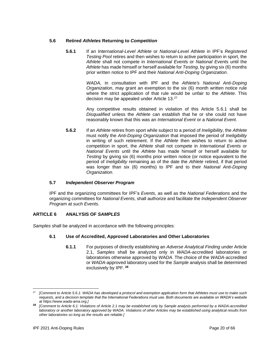## **5.6 Retired** *Athletes* **Returning to** *Competition*

**5.6.1** If an *International-Level Athlete* or *National-Level Athlete* in IPF's *Registered Testing Pool* retires and then wishes to return to active participation in sport, the *Athlete* shall not compete in *International Event*s or *National Event*s until the *Athlete* has made himself or herself available for *Testing*, by giving six (6) months prior written notice to IPF and their *National Anti-Doping Organization*.

> *WADA*, in consultation with IPF and the *Athlete's National Anti-Doping Organization*, may grant an exemption to the six (6) month written notice rule where the strict application of that rule would be unfair to the *Athlete*. This decision may be appealed under Article 13.<sup>27</sup>

> Any competitive results obtained in violation of this Article 5.6.1 shall be *Disqualified* unless the *Athlete* can establish that he or she could not have reasonably known that this was an *International Event* or a *National Event*.

**5.6.2** If an *Athlete* retires from sport while subject to a period of *Ineligibility*, the *Athlete*  must notify the *Anti-Doping Organization* that imposed the period of *Ineligibility* in writing of such retirement. If the *Athlete* then wishes to return to active competition in sport, the *Athlete* shall not compete in *International Events* or *National Events* until the *Athlete* has made himself or herself available for *Testing* by giving six (6) months prior written notice (or notice equivalent to the period of *Ineligibility* remaining as of the date the *Athlete* retired, if that period was longer than six (6) months) to IPF and to their *National Anti-Doping Organization*.

#### **5.7** *Independent Observer Program*

IPF and the organizing committees for IPF's *Events*, as well as the *National Federations* and the organizing committees for *National Events,* shall authorize and facilitate the *Independent Observer Program* at *such Events*.

## <span id="page-19-0"></span>**ARTICLE 6 ANALYSIS OF** *SAMPLES*

*Samples* shall be analyzed in accordance with the following principles:

## **6.1 Use of Accredited, Approved Laboratories and Other Laboratories**

**6.1.1** For purposes of directly establishing an *Adverse Analytical Finding* under Article 2.1, *Samples* shall be analyzed only in *WADA*-accredited laboratories or laboratories otherwise approved by *WADA*. The choice of the *WADA*-accredited or *WADA*-approved laboratory used for the *Sample* analysis shall be determined exclusively by IPF. **28**

<sup>27</sup> *[Comment to Article 5.6.1: WADA has developed a [protocol and exemption application form](https://www.wada-ama.org/en/resources/article-571-exemption-application-form-and-procedure-for-athletes) that Athletes must use to make such requests, and a [decision template](https://www.wada-ama.org/en/resources/article-571-exemption-application-form-and-procedure-for-ado) that the International Federations must use. Both documents are available on WADA's website a[t https://www.wada-ama.org.](https://www.wada-ama.org/)]*

**<sup>28</sup>** *[Comment to Article 6.1: Violations of Article 2.1 may be established only by Sample analysis performed by a WADA-accredited laboratory or another laboratory approved by WADA. Violations of other Articles may be established using analytical results from other laboratories so long as the results are reliable.]*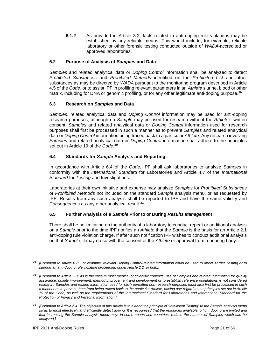**6.1.2** As provided in Article 3.2, facts related to anti-doping rule violations may be established by any reliable means. This would include, for example, reliable laboratory or other forensic testing conducted outside of *WADA*-accredited or approved laboratories.

## **6.2 Purpose of Analysis of** *Samples* **and Data**

*Samples* and related analytical data or *Doping Control* information shall be analyzed to detect *Prohibited Substances* and *Prohibited Methods* identified on the *Prohibited List* and other substances as may be directed by *WADA* pursuant to the monitoring program described in Article 4.5 of the *Code*, or to assist IPF in profiling relevant parameters in an *Athlete's* urine, blood or other matrix, including for DNA or genomic profiling, or for any other legitimate anti-doping purpose.**<sup>29</sup>**

## **6.3 Research on** *Samples* **and Data**

*Samples*, related analytical data and *Doping Control* information may be used for anti-doping research purposes, although no *Sample* may be used for research without the *Athlete's* written consent. *Samples* and related analytical data or *Doping Control* information used for research purposes shall first be processed in such a manner as to prevent *Samples* and related analytical data or *Doping Control* information being traced back to a particular *Athlete*. Any research involving *Samples* and related analytical data or *Doping Control* information shall adhere to the principles set out in Article 19 of the *Code*. **30**

## **6.4 Standards for** *Sample* **Analysis and Reporting**

In accordance with Article 6.4 of the *Code*, IPF shall ask laboratories to analyze *Samples* in conformity with the *International Standard* for Laboratories and Article 4.7 of the *International Standard* for *Testing* and Investigations.

Laboratories at their own initiative and expense may analyze *Samples* for *Prohibited Substances*  or *Prohibited Methods* not included on the standard *Sample* analysis menu, or as requested by IPF. Results from any such analysis shall be reported to IPF and have the same validity and *Consequences* as any other analytical result.**<sup>31</sup>**

## **6.5 Further Analysis of a** *Sample* **Prior to or During** *Results Management*

There shall be no limitation on the authority of a laboratory to conduct repeat or additional analysis on a *Sample* prior to the time IPF notifies an *Athlete* that the *Sample* is the basis for an Article 2.1 anti-doping rule violation charge. If after such notification IPF wishes to conduct additional analysis on that *Sample*, it may do so with the consent of the *Athlete* or approval from a hearing body.

**<sup>29</sup>** *[Comment to Article 6.2: For example, relevant Doping Control-related information could be used to direct Target Testing or to support an anti-doping rule violation proceeding under Article 2.2, or both.]*

**<sup>30</sup>** *[Comment to Article 6.3: As is the case in most medical or scientific contexts, use of Samples and related information for quality assurance, quality improvement, method improvement and development or to establish reference populations is not considered research. Samples and related information used for such permitted non-research purposes must also first be processed in such a manner as to prevent them from being traced back to the particular Athlete, having due regard to the principles set out in Article 19 of the Code, as well as the requirements of the International Standard for Laboratories and International Standard for the Protection of Privacy and Personal Information.]* 

**<sup>31</sup>** *[Comment to Article 6.4: The objective of this Article is to extend the principle of "Intelligent Testing" to the Sample analysis menu so as to most effectively and efficiently detect doping. It is recognized that the resources available to fight doping are limited and*  that increasing the Sample analysis menu may, in some sports and countries, reduce the number of Samples which can be *analyzed.]*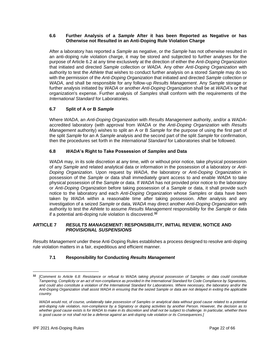## **6.6 Further Analysis of a** *Sample* **After it has been Reported as Negative or has Otherwise not Resulted in an Anti-Doping Rule Violation Charge**

After a laboratory has reported a *Sample* as negative, or the *Sample* has not otherwise resulted in an anti-doping rule violation charge, it may be stored and subjected to further analyses for the purpose of Article 6.2 at any time exclusively at the direction of either the *Anti-Doping Organization* that initiated and directed *Sample* collection or *WADA*. Any other *Anti-Doping Organization* with authority to test the *Athlete* that wishes to conduct further analysis on a stored *Sample* may do so with the permission of the *Anti-Doping Organization* that initiated and directed *Sample* collection or *WADA*, and shall be responsible for any follow-up *Results Management*. Any *Sample* storage or further analysis initiated by *WADA* or another *Anti-Doping Organization* shall be at *WADA*'s or that organization's expense. Further analysis of *Samples* shall conform with the requirements of the *International Standard* for Laboratories.

## **6.7 Split of A or B** *Sample*

Where *WADA*, an *Anti-Doping Organization* with *Results Management* authority, and/or a *WADA*accredited laboratory (with approval from *WADA* or the *Anti-Doping Organization* with *Results Management* authority) wishes to split an A or B *Sample* for the purpose of using the first part of the split *Sample* for an A *Sample* analysis and the second part of the split *Sample* for confirmation, then the procedures set forth in the *International Standard* for Laboratories shall be followed.

## **6.8** *WADA***'s Right to Take Possession of** *Samples* **and Data**

*WADA* may, in its sole discretion at any time, with or without prior notice, take physical possession of any *Sample* and related analytical data or information in the possession of a laboratory or *Anti-Doping Organization*. Upon request by *WADA*, the laboratory or *Anti-Doping Organization* in possession of the *Sample* or data shall immediately grant access to and enable *WADA* to take physical possession of the *Sample* or data. If *WADA* has not provided prior notice to the laboratory or *Anti-Doping Organization* before taking possession of a *Sample* or data, it shall provide such notice to the laboratory and each *Anti-Doping Organization* whose *Samples* or data have been taken by *WADA* within a reasonable time after taking possession. After analysis and any investigation of a seized *Sample* or data, *WADA* may direct another *Anti-Doping Organization* with authority to test the *Athlete* to assume *Results Management* responsibility for the *Sample* or data if a potential anti-doping rule violation is discovered.**<sup>32</sup>**

## <span id="page-21-0"></span>**ARTICLE 7** *RESULTS MANAGEMENT***: RESPONSIBILITY, INITIAL REVIEW, NOTICE AND**  *PROVISIONAL SUSPENSIONS*

*Results Management* under these Anti-Doping Rules establishes a process designed to resolve anti-doping rule violation matters in a fair, expeditious and efficient manner.

## **7.1 Responsibility for Conducting** *Results Management*

**<sup>32</sup>** *[Comment to Article 6.8: Resistance or refusal to WADA taking physical possession of Samples or data could constitute Tampering, Complicity or an act of non-compliance as provided in the International Standard for Code Compliance by Signatories, and could also constitute a violation of the International Standard for Laboratories. Where necessary, the laboratory and/or the Anti-Doping Organization shall assist WADA in ensuring that the seized Sample or data are not delayed in exiting the applicable country.*

WADA would not, of course, unilaterally take possession of Samples or analytical data without good cause related to a potential *anti-doping rule violation, non-compliance by a Signatory or doping activities by another Person. However, the decision as to whether good cause exists is for WADA to make in its discretion and shall not be subject to challenge. In particular, whether there is good cause or not shall not be a defense against an anti-doping rule violation or its Consequences.]*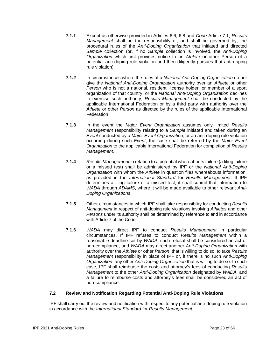- **7.1.1** Except as otherwise provided in Articles 6.6, 6.8 and *Code* Article 7.1, *Results Management* shall be the responsibility of, and shall be governed by, the procedural rules of the *Anti-Doping Organization* that initiated and directed *Sample* collection (or, if no *Sample* collection is involved, the *Anti-Doping Organization* which first provides notice to an *Athlete* or other Person of a potential anti-doping rule violation and then diligently pursues that anti-doping rule violation).
- **7.1.2** In circumstances where the rules of a *National Anti-Doping Organization* do not give the *National Anti-Doping Organization* authority over an *Athlete* or other *Person* who is not a national, resident, license holder, or member of a sport organization of that country, or the *National Anti-Doping Organization* declines to exercise such authority, *Results Management* shall be conducted by the applicable International Federation or by a third party with authority over the *Athlete* or other *Person* as directed by the rules of the applicable International Federation.
- **7.1.3** In the event the *Major Event Organization* assumes only limited *Results Management* responsibility relating to a *Sample* initiated and taken during an *Event* conducted by a *Major Event Organization*, or an anti-doping rule violation occurring during such *Event*, the case shall be referred by the *Major Event Organization* to the applicable International Federation for completion of *Results Management*.
- **7.1.4** *Results Management* in relation to a potential whereabouts failure (a filing failure or a missed test) shall be administered by IPF or the *National Anti-Doping Organization* with whom the *Athlete* in question files whereabouts information, as provided in the *International Standard* for *Results Management*. If IPF determines a filing failure or a missed test, it shall submit that information to *WADA* through *ADAMS*, where it will be made available to other relevant *Anti-Doping Organizations*.
- **7.1.5** Other circumstances in which IPF shall take responsibility for conducting *Results Management* in respect of anti-doping rule violations involving *Athletes* and other *Persons* under its authority shall be determined by reference to and in accordance with Article 7 of the *Code*.
- **7.1.6** *WADA* may direct IPF to conduct *Results Management* in particular circumstances. If IPF refuses to conduct *Results Management* within a reasonable deadline set by *WADA*, such refusal shall be considered an act of non-compliance, and *WADA* may direct another *Anti-Doping Organization* with authority over the *Athlete* or other *Person*, that is willing to do so, to take *Results Management* responsibility in place of IPF or, if there is no such *Anti-Doping Organization*, any other *Anti-Doping Organization* that is willing to do so. In such case, IPF shall reimburse the costs and attorney's fees of conducting *Results Management* to the other *Anti-Doping Organization* designated by *WADA,* and a failure to reimburse costs and attorney's fees shall be considered an act of non-compliance.

## **7.2 Review and Notification Regarding Potential Anti-Doping Rule Violations**

IPF shall carry out the review and notification with respect to any potential anti-doping rule violation in accordance with the *International Standard* for *Results Management*.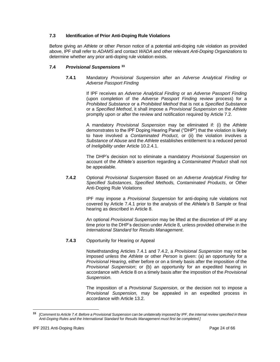## **7.3 Identification of Prior Anti-Doping Rule Violations**

Before giving an *Athlete* or other *Person* notice of a potential anti-doping rule violation as provided above, IPF shall refer to *ADAMS* and contact *WADA* and other relevant *Anti-Doping Organizations* to determine whether any prior anti-doping rule violation exists.

## **7.4** *Provisional Suspensions* **<sup>33</sup>**

**7.4.1** Mandatory *Provisional Suspension* after an *Adverse Analytical Finding* or *Adverse Passport Finding*

> If IPF receives an *Adverse Analytical Finding* or an *Adverse Passport Finding*  (upon completion of the *Adverse Passport Finding* review process) for a *Prohibited Substance* or a *Prohibited Method* that is not a *Specified Substance* or a *Specified Method*, it shall impose a *Provisional Suspension* on the *Athlete* promptly upon or after the review and notification required by Article 7.2.

> A mandatory *Provisional Suspension* may be eliminated if: (i) the *Athlete*  demonstrates to the IPF Doping Hearing Panel ("DHP") that the violation is likely to have involved a *Contaminated Product,* or (ii) the violation involves a *Substance of Abuse* and the *Athlete* establishes entitlement to a reduced period of *Ineligibility* under Article 10.2.4.1.

> The DHP's decision not to eliminate a mandatory *Provisional Suspension* on account of the *Athlete's* assertion regarding a *Contaminated Product* shall not be appealable.

**7.4.2** Optional *Provisional Suspension* Based on an *Adverse Analytical Finding* for *Specified Substances*, *Specified Methods, Contaminated Products*, or Other Anti-Doping Rule Violations

> IPF may impose a *Provisional Suspension* for anti-doping rule violations not covered by Article 7.4.1 prior to the analysis of the *Athlete's* B *Sample* or final hearing as described in Article 8.

> An optional *Provisional Suspension* may be lifted at the discretion of IPF at any time prior to the DHP's decision under Article 8, unless provided otherwise in the *International Standard* for *Results Management*.

#### **7.4.3** Opportunity for Hearing or Appeal

Notwithstanding Articles 7.4.1 and 7.4.2, a *Provisional Suspension* may not be imposed unless the *Athlete* or other *Person* is given: (a) an opportunity for a *Provisional Hearing*, either before or on a timely basis after the imposition of the *Provisional Suspension*; or (b) an opportunity for an expedited hearing in accordance with Article 8 on a timely basis after the imposition of the *Provisional Suspension.*

The imposition of a *Provisional Suspension*, or the decision not to impose a *Provisional Suspension,* may be appealed in an expedited process in accordance with Article 13.2.

**<sup>33</sup>** *[Comment to Article 7.4: Before a Provisional Suspension can be unilaterally imposed by IPF, the internal review specified in these Anti-Doping Rules and the International Standard* for *Results Management must first be completed.]*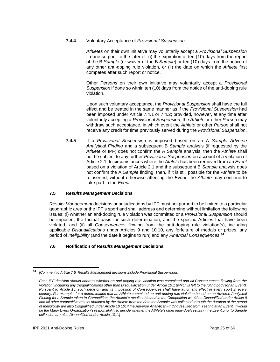## **7.4.4** Voluntary Acceptance of *Provisional Suspension*

*Athletes* on their own initiative may voluntarily accept a *Provisional Suspension* if done so prior to the later of: (i) the expiration of ten (10) days from the report of the B *Sample* (or waiver of the B *Sample*) or ten (10) days from the notice of any other anti-doping rule violation, or (ii) the date on which the *Athlete* first competes after such report or notice.

Other *Persons* on their own initiative may voluntarily accept a *Provisional Suspension* if done so within ten (10) days from the notice of the anti-doping rule violation.

Upon such voluntary acceptance, the *Provisional Suspension* shall have the full effect and be treated in the same manner as if the *Provisional Suspension* had been imposed under Article 7.4.1 or 7.4.2; provided, however, at any time after voluntarily accepting a *Provisional Suspension*, the *Athlete* or other *Person* may withdraw such acceptance, in which event the *Athlete* or other *Person* shall not receive any credit for time previously served during the *Provisional Suspension*.

**7.4.5** If a *Provisional Suspension* is imposed based on an A *Sample Adverse Analytical Finding* and a subsequent B *Sample* analysis (if requested by the *Athlete* or IPF) does not confirm the A *Sample* analysis, then the *Athlete* shall not be subject to any further *Provisional Suspension* on account of a violation of Article 2.1. In circumstances where the *Athlete* has been removed from an *Event* based on a violation of Article 2.1 and the subsequent B *Sample* analysis does not confirm the A *Sample* finding, then, if it is still possible for the *Athlete* to be reinserted, without otherwise affecting the *Event*, the *Athlete* may continue to take part in the *Event*.

## **7.5** *Results Management* **Decisions**

*Results Management* decisions or adjudications by IPF must not purport to be limited to a particular geographic area or the IPF's sport and shall address and determine without limitation the following issues: (i) whether an anti-doping rule violation was committed or a *Provisional Suspension* should be imposed, the factual basis for such determination, and the specific Articles that have been violated, and (ii) all *Consequences* flowing from the anti-doping rule violation(s), including applicable *Disqualifications* under Articles 9 and 10.10, any forfeiture of medals or prizes, any period of *Ineligibility* (and the date it begins to run) and any *Financial Consequences*. **34**

## **7.6 Notification of** *Results Management* **Decisions**

**<sup>34</sup>** *[Comment to Article 7.5: Results Management decisions include Provisional Suspensions.*

*Each IPF decision should address whether an anti-doping rule violation was committed and all Consequences flowing from the violation, including any Disqualifications other than Disqualification under Article 10.1 (which is left to the ruling body for an Event). Pursuant to Article 15, such decision and its imposition of Consequences shall have automatic effect in every sport in every country. For example, for a determination that an Athlete committed an anti-doping rule violation based on an Adverse Analytical Finding for a Sample taken In-Competition, the Athlete's results obtained in the Competition would be Disqualified under Article 9 and all other competitive results obtained by the Athlete from the date the Sample was collected through the duration of the period of Ineligibility are also Disqualified under Article 10.10; if the Adverse Analytical Finding resulted from Testing at an Event, it would*  be the Major Event Organization's responsibility to decide whether the Athlete's other individual results in the Event prior to Sample *collection are also Disqualified under Article 10.1.]*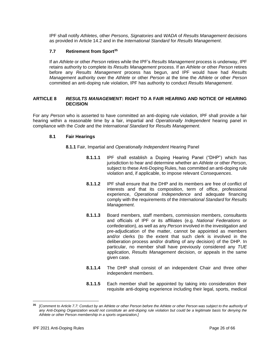IPF shall notify *Athletes*, other *Persons*, *Signatories* and *WADA* of *Results Management* decisions as provided in Article 14.2 and in the *International Standard* for *Results Management*.

## **7.7 Retirement from Sport<sup>35</sup>**

If an *Athlete* or other *Person* retires while the IPF's *Results Management* process is underway, IPF retains authority to complete its *Results Management* process. If an *Athlete* or other *Person* retires before any *Results Management* process has begun, and IPF would have had *Results Management* authority over the *Athlete* or other *Person* at the time the *Athlete* or other *Person* committed an anti-doping rule violation, IPF has authority to conduct *Results Management*.

#### <span id="page-25-0"></span>**ARTICLE 8** *RESULTS MANAGEMENT***: RIGHT TO A FAIR HEARING AND NOTICE OF HEARING DECISION**

For any *Person* who is asserted to have committed an anti-doping rule violation, IPF shall provide a fair hearing within a reasonable time by a fair, impartial and *Operationally Independent* hearing panel in compliance with the *Code* and the *International Standard* for *Results Management*.

## **8.1 Fair Hearings**

**8.1.1** Fair, Impartial and *Operationally Independent* Hearing Panel

- **8.1.1.1** IPF shall establish a Doping Hearing Panel ("DHP") which has jurisdiction to hear and determine whether an *Athlete* or other *Person*, subject to these Anti-Doping Rules, has committed an anti-doping rule violation and, if applicable, to impose relevant *Consequences*.
- **8.1.1.2** IPF shall ensure that the DHP and its members are free of conflict of interests and that its composition, term of office, professional experience, *Operational Independence* and adequate financing comply with the requirements of the *International Standard* for *Results Management*.
- **8.1.1.3** Board members, staff members, commission members, consultants and officials of IPF or its affiliates (e.g. *National Federations* or confederation), as well as any *Person* involved in the investigation and pre-adjudication of the matter, cannot be appointed as members and/or clerks (to the extent that such clerk is involved in the deliberation process and/or drafting of any decision) of the DHP. In particular, no member shall have previously considered any *TUE*  application, *Results Management* decision, or appeals in the same given case.
- **8.1.1.4** The DHP shall consist of an independent Chair and three other independent members.
- **8.1.1.5** Each member shall be appointed by taking into consideration their requisite anti-doping experience including their legal, sports, medical

**<sup>35</sup>** *[Comment to Article 7.7: Conduct by an Athlete or other Person before the Athlete or other Person was subject to the authority of any Anti-Doping Organization would not constitute an anti-doping rule violation but could be a legitimate basis for denying the Athlete or other Person membership in a sports organization.]*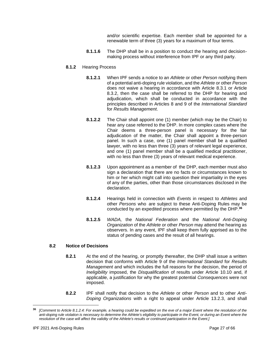and/or scientific expertise. Each member shall be appointed for a renewable term of three (3) years for a maximum of four terms.

- **8.1.1.6** The DHP shall be in a position to conduct the hearing and decisionmaking process without interference from IPF or any third party.
- **8.1.2** Hearing Process
	- **8.1.2.1** When IPF sends a notice to an *Athlete* or other *Person* notifying them of a potential anti-doping rule violation, and the *Athlete* or other *Person*  does not waive a hearing in accordance with Article 8.3.1 or Article 8.3.2, then the case shall be referred to the DHP for hearing and adjudication, which shall be conducted in accordance with the principles described in Articles 8 and 9 of the *International Standard* for *Results Management*.
	- **8.1.2.2** The Chair shall appoint one (1) member (which may be the Chair) to hear any case referred to the DHP. In more complex cases where the Chair deems a three-person panel is necessary for the fair adjudication of the matter, the Chair shall appoint a three-person panel. In such a case, one (1) panel member shall be a qualified lawyer, with no less than three (3) years of relevant legal experience, and one (1) panel member shall be a qualified medical practitioner, with no less than three (3) years of relevant medical experience.
	- **8.1.2.3** Upon appointment as a member of the DHP, each member must also sign a declaration that there are no facts or circumstances known to him or her which might call into question their impartiality in the eyes of any of the parties, other than those circumstances disclosed in the declaration.
	- **8.1.2.4** Hearings held in connection with *Events* in respect to *Athletes* and other *Persons* who are subject to these Anti-Doping Rules may be conducted by an expedited process where permitted by the DHP. **36**
	- **8.1.2.5** *WADA,* the *National Federation* and the *National Anti-Doping Organization* of the *Athlete* or other *Person* may attend the hearing as observers. In any event, IPF shall keep them fully apprised as to the status of pending cases and the result of all hearings.

#### **8.2 Notice of Decisions**

- **8.2.1** At the end of the hearing, or promptly thereafter, the DHP shall issue a written decision that conforms with Article 9 of the *International Standard* for *Results Management* and which includes the full reasons for the decision, the period of *Ineligibility* imposed, the *Disqualification* of results under Article 10.10 and, if applicable, a justification for why the greatest potential *Consequences* were not imposed.
- **8.2.2** IPF shall notify that decision to the *Athlete* or other *Person* and to other *Anti-Doping Organizations* with a right to appeal under Article 13.2.3, and shall

**<sup>36</sup>** *[Comment to Article 8.1.2.4: For example, a hearing could be expedited on the eve of a major Event where the resolution of the anti-doping rule violation is necessary to determine the Athlete's eligibility to participate in the Event, or during an Event where the resolution of the case will affect the validity of the Athlete's results or continued participation in the Event.]*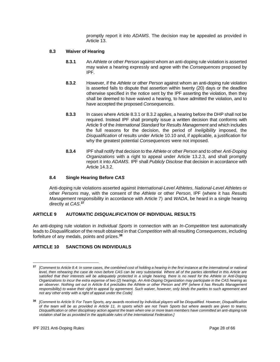promptly report it into *ADAMS*. The decision may be appealed as provided in Article 13.

## **8.3 Waiver of Hearing**

- **8.3.1** An *Athlete* or other *Person* against whom an anti-doping rule violation is asserted may waive a hearing expressly and agree with the *Consequences* proposed by IPF.
- **8.3.2** However, if the *Athlete* or other *Person* against whom an anti-doping rule violation is asserted fails to dispute that assertion within twenty (20) days or the deadline otherwise specified in the notice sent by the IPF asserting the violation, then they shall be deemed to have waived a hearing, to have admitted the violation, and to have accepted the proposed *Consequences*.
- **8.3.3** In cases where Article 8.3.1 or 8.3.2 applies, a hearing before the DHP shall not be required. Instead IPF shall promptly issue a written decision that conforms with Article 9 of the *International Standard* for *Results Management* and which includes the full reasons for the decision, the period of *Ineligibility* imposed, the *Disqualification* of results under Article 10.10 and, if applicable, a justification for why the greatest potential *Consequences* were not imposed.
- **8.3.4** IPF shall notify that decision to the *Athlete* or other *Person* and to other *Anti-Doping Organizations* with a right to appeal under Article 13.2.3, and shall promptly report it into *ADAMS*. IPF shall *Publicly Disclose* that decision in accordance with Article 14.3.2.

## **8.4 Single Hearing Before** *CAS*

Anti-doping rule violations asserted against *International-Level Athletes*, *National-Level Athletes* or other *Persons* may, with the consent of the *Athlete* or other *Person*, IPF (where it has *Results Management* responsibility in accordance with Article 7) and *WADA*, be heard in a single hearing directly at *CAS*. **37**

## <span id="page-27-0"></span>**ARTICLE 9 AUTOMATIC** *DISQUALIFICATION* **OF INDIVIDUAL RESULTS**

An anti-doping rule violation in *Individual Sports* in connection with an *In-Competition* test automatically leads to *Disqualification* of the result obtained in that *Competition* with all resulting *Consequences*, including forfeiture of any medals, points and prizes.**<sup>38</sup>**

## <span id="page-27-1"></span>**ARTICLE 10 SANCTIONS ON INDIVIDUALS**

**<sup>37</sup>** *[Comment to Article 8.4: In some cases, the combined cost of holding a hearing in the first instance at the international or national level, then rehearing the case de novo before CAS can be very substantial. Where all of the parties identified in this Article are satisfied that their interests will be adequately protected in a single hearing, there is no need for the Athlete or Anti-Doping Organizations to incur the extra expense of two (2) hearings. An Anti-Doping Organization may participate in the CAS hearing as an observer. Nothing set out in Article 8.4 precludes the Athlete or other Person and IPF (where it has Results Management responsibility) to waive their right to appeal by agreement. Such waiver, however, only binds the parties to such agreement and not any other entity with a right of appeal under the Code]*

**<sup>38</sup>** *[Comment to Article 9: For Team Sports, any awards received by individual players will be Disqualified. However, Disqualification of the team will be as provided in Article 11. In sports which are not Team Sports but where awards are given to teams, Disqualification or other disciplinary action against the team when one or more team members have committed an anti-doping rule violation shall be as provided in the applicable rules of the International Federation.]*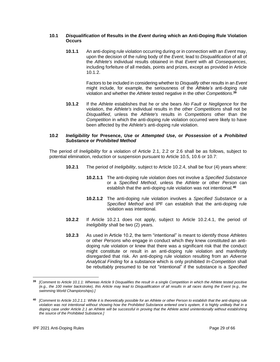## **10.1** *Disqualification* **of Results in the** *Event* **during which an Anti-Doping Rule Violation Occurs**

**10.1.1** An anti-doping rule violation occurring during or in connection with an *Event* may, upon the decision of the ruling body of the *Event*, lead to *Disqualification* of all of the *Athlete's* individual results obtained in that *Event* with all *Consequences*, including forfeiture of all medals, points and prizes, except as provided in Article 10.1.2.

> Factors to be included in considering whether to *Disqualify* other results in an *Event* might include, for example, the seriousness of the *Athlete's* anti-doping rule violation and whether the *Athlete* tested negative in the other *Competitions*. **39**

**10.1.2** If the *Athlete* establishes that he or she bears *No Fault* or *Negligence* for the violation, the *Athlete's* individual results in the other *Competitions* shall not be *Disqualified*, unless the *Athlete's* results in *Competitions* other than the *Competition* in which the anti-doping rule violation occurred were likely to have been affected by the *Athlete's* anti-doping rule violation.

#### **10.2** *Ineligibility* **for Presence,** *Use* **or** *Attempted Use***, or** *Possession* **of a** *Prohibited Substance* **or** *Prohibited Method*

The period of *Ineligibility* for a violation of Article 2.1, 2.2 or 2.6 shall be as follows, subject to potential elimination, reduction or suspension pursuant to Article 10.5, 10.6 or 10.7:

- **10.2.1** The period of *Ineligibility*, subject to Article 10.2.4, shall be four (4) years where:
	- **10.2.1.1** The anti-doping rule violation does not involve a *Specified Substance* or a *Specified Method*, unless the *Athlete* or other *Person* can establish that the anti-doping rule violation was not intentional.**<sup>40</sup>**
	- **10.2.1.2** The anti-doping rule violation involves a *Specified Substance* or a *Specified Method* and IPF can establish that the anti-doping rule violation was intentional.
- **10.2.2** If Article 10.2.1 does not apply, subject to Article 10.2.4.1, the period of *Ineligibility* shall be two (2) years.
- **10.2.3** As used in Article 10.2, the term "intentional" is meant to identify those *Athletes* or other *Persons* who engage in conduct which they knew constituted an antidoping rule violation or knew that there was a significant risk that the conduct might constitute or result in an anti-doping rule violation and manifestly disregarded that risk. An anti-doping rule violation resulting from an *Adverse Analytical Finding* for a substance which is only prohibited *In-Competition* shall be rebuttably presumed to be not "intentional" if the substance is a *Specified*

**<sup>39</sup>** *[Comment to Article 10.1.1: Whereas Article 9 Disqualifies the result in a single Competition in which the Athlete tested positive (e.g., the 100 meter backstroke), this Article may lead to Disqualification of all results in all races during the Event (e.g., the swimming World Championships).]*

**<sup>40</sup>** *[Comment to Article 10.2.1.1: While it is theoretically possible for an Athlete or other Person to establish that the anti-doping rule violation was not intentional without showing how the Prohibited Substance entered one's system, it is highly unlikely that in a doping case under Article 2.1 an Athlete will be successful in proving that the Athlete acted unintentionally without establishing the source of the Prohibited Substance.]*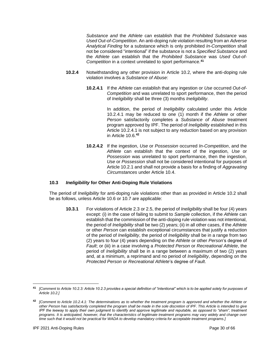*Substance and* the *Athlete* can establish that the *Prohibited Substance* was *Used Out-of-Competition*. An anti-doping rule violation resulting from an *Adverse Analytical Finding* for a substance which is only prohibited *In-Competition* shall not be considered "intentional" if the substance is not a *Specified Substance* and the *Athlete* can establish that the *Prohibited Substance* was *Used Out-of-Competition* in a context unrelated to sport performance.**<sup>41</sup>**

- **10.2.4** Notwithstanding any other provision in Article 10.2, where the anti-doping rule violation involves a *Substance of Abuse*:
	- **10.2.4.1** If the *Athlete* can establish that any ingestion or *Use* occurred *Out-of-Competition* and was unrelated to sport performance, then the period of *Ineligibility* shall be three (3) months *Ineligibility*.

In addition, the period of *Ineligibility* calculated under this Article 10.2.4.1 may be reduced to one (1) month if the *Athlete* or other *Person* satisfactorily completes a *Substance of Abuse* treatment program approved by IPF. The period of *Ineligibility* established in this Article 10.2.4.1 is not subject to any reduction based on any provision in Article 10.6.**<sup>42</sup>**

**10.2.4.2** If the ingestion, *Use* or *Possession* occurred *In-Competition*, and the *Athlete* can establish that the context of the ingestion, *Use* or *Possession* was unrelated to sport performance, then the ingestion, *Use* or *Possession* shall not be considered intentional for purposes of Article 10.2.1 and shall not provide a basis for a finding of *Aggravating Circumstances* under Article 10.4.

#### **10.3** *Ineligibility* **for Other Anti-Doping Rule Violations**

The period of *Ineligibility* for anti-doping rule violations other than as provided in Article 10.2 shall be as follows, unless Article 10.6 or 10.7 are applicable:

**10.3.1** For violations of Article 2.3 or 2.5, the period of *Ineligibility* shall be four (4) years except: (i) in the case of failing to submit to *Sample* collection, if the *Athlete* can establish that the commission of the anti-doping rule violation was not intentional, the period of *Ineligibility* shall be two (2) years; (ii) in all other cases, if the *Athlete* or other *Person* can establish exceptional circumstances that justify a reduction of the period of *Ineligibility*, the period of *Ineligibility* shall be in a range from two (2) years to four (4) years depending on the *Athlete* or other *Person*'s degree of *Fault*; or (iii) in a case involving a *Protected Person* or *Recreational Athlete*, the period of *Ineligibility* shall be in a range between a maximum of two (2) years and, at a minimum, a reprimand and no period of *Ineligibility*, depending on the *Protected Person* or *Recreational Athlete*'s degree of *Fault*.

**<sup>41</sup>** *[Comment to Article 10.2.3: Article 10.2.3 provides a special definition of "intentional" which is to be applied solely for purposes of Article 10.2.]*

**<sup>42</sup>** *[Comment to Article 10.2.4.1: The determinations as to whether the treatment program is approved and whether the Athlete or other Person has satisfactorily completed the program shall be made in the sole discretion of IPF. This Article is intended to give IPF the leeway to apply their own judgment to identify and approve legitimate and reputable, as opposed to "sham", treatment programs. It is anticipated, however, that the characteristics of legitimate treatment programs may vary widely and change over time such that it would not be practical for WADA to develop mandatory criteria for acceptable treatment programs.]*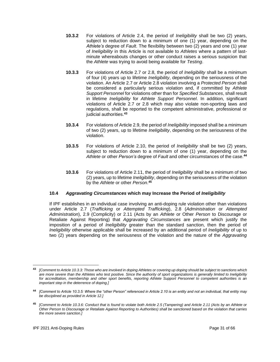- **10.3.2** For violations of Article 2.4, the period of *Ineligibility* shall be two (2) years, subiect to reduction down to a minimum of one (1) year, depending on the *Athlete's* degree of *Fault*. The flexibility between two (2) years and one (1) year of *Ineligibility* in this Article is not available to *Athletes* where a pattern of lastminute whereabouts changes or other conduct raises a serious suspicion that the *Athlete* was trying to avoid being available for *Testing*.
- **10.3.3** For violations of Article 2.7 or 2.8, the period of *Ineligibility* shall be a minimum of four (4) years up to lifetime *Ineligibility*, depending on the seriousness of the violation. An Article 2.7 or Article 2.8 violation involving a *Protected Person* shall be considered a particularly serious violation and, if committed by *Athlete Support Personnel* for violations other than for *Specified Substances*, shall result in lifetime *Ineligibility* for *Athlete Support Personnel*. In addition, significant violations of Article 2.7 or 2.8 which may also violate non-sporting laws and regulations, shall be reported to the competent administrative, professional or judicial authorities.**<sup>43</sup>**
- **10.3.4** For violations of Article 2.9, the period of *Ineligibility* imposed shall be a minimum of two (2) years, up to lifetime *Ineligibility*, depending on the seriousness of the violation.
- **10.3.5** For violations of Article 2.10, the period of *Ineligibility* shall be two (2) years, subject to reduction down to a minimum of one (1) year, depending on the *Athlete* or other *Person's* degree of *Fault* and other circumstances of the case.**<sup>44</sup>**
- **10.3.6** For violations of Article 2.11, the period of *Ineligibility* shall be a minimum of two (2) years, up to lifetime *Ineligibility*, depending on the seriousness of the violation by the *Athlete* or other *Person*. **45**

## **10.4** *Aggravating Circumstances* **which may Increase the Period of** *Ineligibility*

If IPF establishes in an individual case involving an anti-doping rule violation other than violations under Article 2.7 (*Trafficking* or *Attempted Trafficking*), 2.8 (*Administration* or *Attempted Administration*), 2.9 (Complicity) or 2.11 (Acts by an *Athlete* or Other *Person* to Discourage or Retaliate Against Reporting) that *Aggravating Circumstances* are present which justify the imposition of a period of *Ineligibility* greater than the standard sanction, then the period of *Ineligibility* otherwise applicable shall be increased by an additional period of *Ineligibility* of up to two (2) years depending on the seriousness of the violation and the nature of the *Aggravating* 

**<sup>43</sup>** *[Comment to Article 10.3.3: Those who are involved in doping Athletes or covering up doping should be subject to sanctions which are more severe than the Athletes who test positive. Since the authority of sport organizations is generally limited to Ineligibility for accreditation, membership and other sport benefits, reporting Athlete Support Personnel to competent authorities is an important step in the deterrence of doping.]*

**<sup>44</sup>** *[Comment to Article 10.3.5: Where the "other Person" referenced in Article 2.10 is an entity and not an individual, that entity may be disciplined as provided in Article 12.]*

**<sup>45</sup>** *[Comment to Article 10.3.6: Conduct that is found to violate both Article 2.5 (Tampering) and Article 2.11 (Acts by an Athlete or Other Person to Discourage or Retaliate Against Reporting to Authorities) shall be sanctioned based on the violation that carries the more severe sanction.]*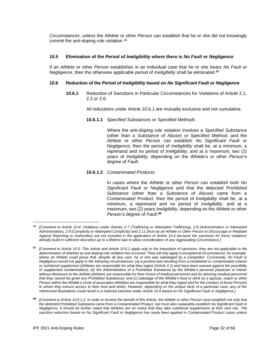*Circumstances*, unless the *Athlete* or other *Person* can establish that he or she did not knowingly commit the anti-doping rule violation.<sup>46</sup>

## **10.5 Elimination of the Period of** *Ineligibility* **where there is** *No Fault* **or** *Negligence*

If an *Athlete* or other *Person* establishes in an individual case that he or she bears *No Fault* or *Negligence*, then the otherwise applicable period of *Ineligibility* shall be eliminated.**<sup>47</sup>**

#### **10.6 Reduction of the Period of** *Ineligibility* **based on** *No Significant Fault* **or** *Negligence*

**10.6.1** Reduction of Sanctions in Particular Circumstances for Violations of Article 2.1, 2.2 or 2.6.

All reductions under Article 10.6.1 are mutually exclusive and not cumulative.

**10.6.1.1** *Specified Substances* or *Specified Methods*

Where the anti-doping rule violation involves a *Specified Substance* (other than a *Substance of Abuse*) or *Specified Method*, and the *Athlete* or other *Person* can establish *No Significant Fault* or *Negligence*, then the period of *Ineligibility* shall be, at a minimum, a reprimand and no period of *Ineligibility*, and at a maximum, two (2) years of *Ineligibility*, depending on the *Athlete's* or other *Person's* degree of *Fault*.

## **10.6.1.2** *Contaminated Products*

In cases where the *Athlete* or other *Person* can establish both *No Significant Fault* or *Negligence* and that the detected *Prohibited Substance* (other than a *Substance of Abuse*) came from a *Contaminated Product*, then the period of *Ineligibility* shall be, at a minimum, a reprimand and no period of *Ineligibility*, and at a maximum, two (2) years *Ineligibility*, depending on the *Athlete* or other *Person's* degree of *Fault*. **48**

<sup>46</sup> *[Comment to Article 10.4: Violations under Articles 2.7 (Trafficking or Attempted Trafficking), 2.8 (Administration or Attempted Administration), 2.9 (Complicity or Attempted Complicity) and 2.11 (Acts by an Athlete or Other Person to Discourage or Retaliate Against Reporting to Authorities) are not included in the application of Article 10.4 because the sanctions for these violations already build in sufficient discretion up to a lifetime ban to allow consideration of any Aggravating Circumstance.]*

**<sup>47</sup>** *[Comment to Article 10.5: This Article and Article 10.6.2 apply only to the imposition of sanctions; they are not applicable to the determination of whether an anti-doping rule violation has occurred. They will only apply in exceptional circumstances, for example, where an Athlete could prove that, despite all due care, he or she was sabotaged by a competitor. Conversely, No Fault or Negligence would not apply in the following circumstances: (a) a positive test resulting from a mislabeled or contaminated vitamin or nutritional supplement (Athletes are responsible for what they ingest (Article 2.1) and have been warned against the possibility of supplement contamination); (b) the Administration of a Prohibited Substance by the Athlete's personal physician or trainer without disclosure to the Athlete (Athletes are responsible for their choice of medical personnel and for advising medical personnel that they cannot be given any Prohibited Substance); and (c) sabotage of the Athlete's food or drink by a spouse, coach or other Person within the Athlete's circle of associates (Athletes are responsible for what they ingest and for the conduct of those Persons to whom they entrust access to their food and drink). However, depending on the unique facts of a particular case, any of the referenced illustrations could result in a reduced sanction under Article 10.6 based on No Significant Fault or Negligence.]*

**<sup>48</sup>** *[Comment to Article 10.6.1.2: In order to receive the benefit of this Article, the Athlete or other Person must establish not only that the detected Prohibited Substance came from a Contaminated Product, but must also separately establish No Significant Fault or Negligence. It should be further noted that Athletes are on notice that they take nutritional supplements at their own risk. The sanction reduction based on No Significant Fault or Negligence has rarely been applied in Contaminated Product cases unless*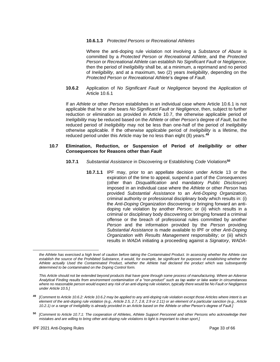#### **10.6.1.3** *Protected Persons* or *Recreational Athletes*

Where the anti-doping rule violation not involving a *Substance of Abuse* is committed by a *Protected Person* or *Recreational Athlete*, and the *Protected Person* or *Recreational Athlete* can establish *No Significant Fault* or *Negligence*, then the period of *Ineligibility* shall be, at a minimum, a reprimand and no period of *Ineligibility*, and at a maximum, two (2) years *Ineligibility*, depending on the *Protected Person* or *Recreational Athlete*'s degree of *Fault*.

**10.6.2** Application of *No Significant Fault* or *Negligence* beyond the Application of Article 10.6.1

If an *Athlete* or other *Person* establishes in an individual case where Article 10.6.1 is not applicable that he or she bears *No Significant Fault* or *Negligence*, then, subject to further reduction or elimination as provided in Article 10.7, the otherwise applicable period of *Ineligibility* may be reduced based on the *Athlete* or other *Person's* degree of *Fault*, but the reduced period of *Ineligibility* may not be less than one-half of the period of *Ineligibility* otherwise applicable. If the otherwise applicable period of *Ineligibility* is a lifetime, the reduced period under this Article may be no less than eight (8) years.**<sup>49</sup>**

#### **10.7 Elimination, Reduction, or Suspension of Period of** *Ineligibility* **or other** *Consequences* **for Reasons other than** *Fault*

- **10.7.1** *Substantial Assistance* in Discovering or Establishing *Code* Violations**<sup>50</sup>**
	- **10.7.1.1** IPF may, prior to an appellate decision under Article 13 or the expiration of the time to appeal, suspend a part of the *Consequences* (other than *Disqualification* and mandatory *Public Disclosure*) imposed in an individual case where the *Athlete* or other *Person* has provided *Substantial Assistance* to an *Anti-Doping Organization*, criminal authority or professional disciplinary body which results in: (i) the *Anti-Doping Organization* discovering or bringing forward an antidoping rule violation by another *Person*; or (ii) which results in a criminal or disciplinary body discovering or bringing forward a criminal offense or the breach of professional rules committed by another *Person* and the information provided by the *Person* providing *Substantial Assistance* is made available to IPF or other *Anti-Doping Organization* with *Results Management* responsibility; or (iii) which results in *WADA* initiating a proceeding against a *Signatory*, *WADA*-

*the Athlete has exercised a high level of caution before taking the Contaminated Product. In assessing whether the Athlete can*  establish the source of the Prohibited Substance, it would, for example, be significant for purposes of establishing whether the *Athlete actually Used the Contaminated Product, whether the Athlete had declared the product which was subsequently determined to be contaminated on the Doping Control form.* 

*This Article should not be extended beyond products that have gone through some process of manufacturing. Where an Adverse Analytical Finding results from environment contamination of a "non-product" such as tap water or lake water in circumstances where no reasonable person would expect any risk of an anti-doping rule violation, typically there would be No Fault or Negligence under Article 10.5.]*

**<sup>49</sup>** *[Comment to Article 10.6.2: Article 10.6.2 may be applied to any anti-doping rule violation except those Articles where intent is an element of the anti-doping rule violation (e.g., Article 2.5, 2.7, 2.8, 2.9 or 2.11) or an element of a particular sanction (e.g., Article 10.2.1) or a range of Ineligibility is already provided in an Article based on the Athlete or other Person's degree of Fault.]*

**<sup>50</sup>** *[Comment to Article 10.7.1: The cooperation of Athletes, Athlete Support Personnel and other Persons who acknowledge their mistakes and are willing to bring other anti-doping rule violations to light is important to clean sport.]*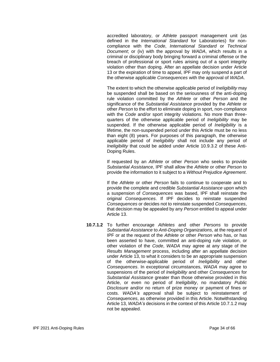accredited laboratory, or *Athlete* passport management unit (as defined in the *International Standard* for Laboratories) for noncompliance with the *Code*, *International Standard* or *Technical Document*; or (iv) with the approval by *WADA*, which results in a criminal or disciplinary body bringing forward a criminal offense or the breach of professional or sport rules arising out of a sport integrity violation other than doping. After an appellate decision under Article 13 or the expiration of time to appeal, IPF may only suspend a part of the otherwise applicable *Consequences* with the approval of *WADA*.

The extent to which the otherwise applicable period of *Ineligibility* may be suspended shall be based on the seriousness of the anti-doping rule violation committed by the *Athlete* or other *Person* and the significance of the *Substantial Assistance* provided by the *Athlete* or other *Person* to the effort to eliminate doping in sport, non-compliance with the *Code* and/or sport integrity violations. No more than threequarters of the otherwise applicable period of *Ineligibility* may be suspended. If the otherwise applicable period of *Ineligibility* is a lifetime, the non-suspended period under this Article must be no less than eight (8) years. For purposes of this paragraph, the otherwise applicable period of *Ineligibility* shall not include any period of *Ineligibility* that could be added under Article 10.9.3.2 of these Anti-Doping Rules.

If requested by an *Athlete* or other *Person* who seeks to provide *Substantial Assistance*, IPF shall allow the *Athlete* or other *Person* to provide the information to it subject to a *Without Prejudice Agreement*.

If the *Athlete* or other *Person* fails to continue to cooperate and to provide the complete and credible *Substantial Assistance* upon which a suspension of *Consequences* was based, IPF shall reinstate the original *Consequences*. If IPF decides to reinstate suspended *Consequences* or decides not to reinstate suspended *Consequences*, that decision may be appealed by any *Person* entitled to appeal under Article 13.

**10.7.1.2** To further encourage *Athletes* and other *Persons* to provide *Substantial Assistance* to *Anti-Doping Organizations*, at the request of IPF or at the request of the *Athlete* or other *Person* who has, or has been asserted to have, committed an anti-doping rule violation, or other violation of the *Code*, *WADA* may agree at any stage of the *Results Management* process, including after an appellate decision under Article 13, to what it considers to be an appropriate suspension of the otherwise-applicable period of *Ineligibility* and other *Consequences*. In exceptional circumstances, *WADA* may agree to suspensions of the period of *Ineligibility* and other *Consequences* for *Substantial Assistance* greater than those otherwise provided in this Article, or even no period of *Ineligibility*, no mandatory *Public Disclosure* and/or no return of prize money or payment of fines or costs. *WADA's* approval shall be subject to reinstatement of *Consequences*, as otherwise provided in this Article. Notwithstanding Article 13, *WADA's* decisions in the context of this Article 10.7.1.2 may not be appealed.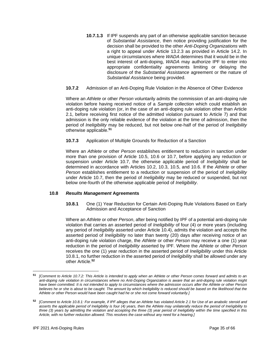**10.7.1.3** If IPF suspends any part of an otherwise applicable sanction because of *Substantial Assistance*, then notice providing justification for the decision shall be provided to the other *Anti-Doping Organizations* with a right to appeal under Article 13.2.3 as provided in Article 14.2. In unique circumstances where *WADA* determines that it would be in the best interest of anti-doping, *WADA* may authorize IPF to enter into appropriate confidentiality agreements limiting or delaying the disclosure of the *Substantial Assistance* agreement or the nature of *Substantial Assistance* being provided.

## **10.7.2** Admission of an Anti-Doping Rule Violation in the Absence of Other Evidence

Where an *Athlete* or other *Person* voluntarily admits the commission of an anti-doping rule violation before having received notice of a *Sample* collection which could establish an anti-doping rule violation (or, in the case of an anti-doping rule violation other than Article 2.1, before receiving first notice of the admitted violation pursuant to Article 7) and that admission is the only reliable evidence of the violation at the time of admission, then the period of *Ineligibility* may be reduced, but not below one-half of the period of *Ineligibility* otherwise applicable.**<sup>51</sup>**

## **10.7.3** Application of Multiple Grounds for Reduction of a Sanction

Where an *Athlete* or other *Person* establishes entitlement to reduction in sanction under more than one provision of Article 10.5, 10.6 or 10.7, before applying any reduction or suspension under Article 10.7, the otherwise applicable period of *Ineligibility* shall be determined in accordance with Articles 10.2, 10.3, 10.5, and 10.6. If the *Athlete* or other *Person* establishes entitlement to a reduction or suspension of the period of *Ineligibility* under Article 10.7, then the period of *Ineligibility* may be reduced or suspended, but not below one-fourth of the otherwise applicable period of *Ineligibility*.

#### **10.8** *Results Management* **Agreements**

**10.8.1** One (1) Year Reduction for Certain Anti-Doping Rule Violations Based on Early Admission and Acceptance of Sanction

Where an *Athlete* or other *Person*, after being notified by IPF of a potential anti-doping rule violation that carries an asserted period of *Ineligibility* of four (4) or more years (including any period of *Ineligibility* asserted under Article 10.4), admits the violation and accepts the asserted period of *Ineligibility* no later than twenty (20) days after receiving notice of an anti-doping rule violation charge, the *Athlete* or other *Person* may receive a one (1) year reduction in the period of *Ineligibility* asserted by IPF. Where the *Athlete* or other *Person* receives the one (1) year reduction in the asserted period of *Ineligibility* under this Article 10.8.1, no further reduction in the asserted period of *Ineligibility* shall be allowed under any other Article.**<sup>52</sup>**

**<sup>51</sup>** *[Comment to Article 10.7.2: This Article is intended to apply when an Athlete or other Person comes forward and admits to an anti-doping rule violation in circumstances where no Anti-Doping Organization is aware that an anti-doping rule violation might have been committed. It is not intended to apply to circumstances where the admission occurs after the Athlete or other Person believes he or she is about to be caught. The amount by which Ineligibility is reduced should be based on the likelihood that the Athlete or other Person would have been caught had he or she not come forward voluntarily.]*

**<sup>52</sup>** *[Comment to Article 10.8.1: For example, if IPF alleges that an Athlete has violated Article 2.1 for Use of an anabolic steroid and asserts the applicable period of Ineligibility is four (4) years, then the Athlete may unilaterally reduce the period of Ineligibility to three (3) years by admitting the violation and accepting the three (3) year period of Ineligibility within the time specified in this Article, with no further reduction allowed. This resolves the case without any need for a hearing.]*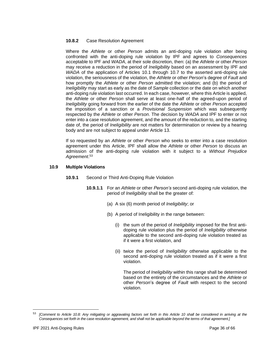#### **10.8.2** Case Resolution Agreement

Where the *Athlete* or other *Person* admits an anti-doping rule violation after being confronted with the anti-doping rule violation by IPF and agrees to *Consequences* acceptable to IPF and *WADA*, at their sole discretion, then: (a) the *Athlete* or other *Person* may receive a reduction in the period of *Ineligibility* based on an assessment by IPF and *WADA* of the application of Articles 10.1 through 10.7 to the asserted anti-doping rule violation, the seriousness of the violation, the *Athlete* or other *Person*'s degree of *Fault* and how promptly the *Athlete* or other *Person* admitted the violation; and (b) the period of *Ineligibility* may start as early as the date of *Sample* collection or the date on which another anti-doping rule violation last occurred. In each case, however, where this Article is applied, the *Athlete* or other *Person* shall serve at least one-half of the agreed-upon period of *Ineligibility* going forward from the earlier of the date the *Athlete* or other *Person* accepted the imposition of a sanction or a *Provisional Suspension* which was subsequently respected by the *Athlete* or other *Person*. The decision by *WADA* and IPF to enter or not enter into a case resolution agreement, and the amount of the reduction to, and the starting date of, the period of *Ineligibility* are not matters for determination or review by a hearing body and are not subject to appeal under Article 13.

If so requested by an *Athlete* or other *Person* who seeks to enter into a case resolution agreement under this Article, IPF shall allow the *Athlete* or other *Person* to discuss an admission of the anti-doping rule violation with it subject to a *Without Prejudice Agreement*. 53

#### **10.9 Multiple Violations**

- **10.9.1** Second or Third Anti-Doping Rule Violation
	- **10.9.1.1** For an *Athlete* or other *Person's* second anti-doping rule violation, the period of *Ineligibility* shall be the greater of:
		- (a) A six (6) month period of *Ineligibility*; or
		- (b) A period of Ineligibility in the range between:
			- (i) the sum of the period of *Ineligibility* imposed for the first antidoping rule violation plus the period of *Ineligibility* otherwise applicable to the second anti-doping rule violation treated as if it were a first violation, and
			- (ii) twice the period of *Ineligibility* otherwise applicable to the second anti-doping rule violation treated as if it were a first violation.

The period of *Ineligibility* within this range shall be determined based on the entirety of the circumstances and the *Athlete* or other *Person*'s degree of *Fault* with respect to the second violation.

<sup>53</sup> *[Comment to Article 10.8: Any mitigating or aggravating factors set forth in this Article 10 shall be considered in arriving at the Consequences set forth in the case resolution agreement, and shall not be applicable beyond the terms of that agreement.]*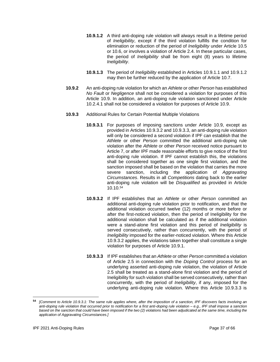- **10.9.1.2** A third anti-doping rule violation will always result in a lifetime period of *Ineligibility*, except if the third violation fulfills the condition for elimination or reduction of the period of *Ineligibility* under Article 10.5 or 10.6, or involves a violation of Article 2.4. In these particular cases, the period of *Ineligibility* shall be from eight (8) years to lifetime *Ineligibility*.
- **10.9.1.3** The period of *Ineligibility* established in Articles 10.9.1.1 and 10.9.1.2 may then be further reduced by the application of Article 10.7.
- **10.9.2** An anti-doping rule violation for which an *Athlete* or other *Person* has established *No Fault* or *Negligence* shall not be considered a violation for purposes of this Article 10.9. In addition, an anti-doping rule violation sanctioned under Article 10.2.4.1 shall not be considered a violation for purposes of Article 10.9.
- **10.9.3** Additional Rules for Certain Potential Multiple Violations
	- **10.9.3.1** For purposes of imposing sanctions under Article 10.9, except as provided in Articles 10.9.3.2 and 10.9.3.3, an anti-doping rule violation will only be considered a second violation if IPF can establish that the *Athlete* or other *Person* committed the additional anti-doping rule violation after the *Athlete* or other *Person* received notice pursuant to Article 7, or after IPF made reasonable efforts to give notice of the first anti-doping rule violation. If IPF cannot establish this, the violations shall be considered together as one single first violation, and the sanction imposed shall be based on the violation that carries the more severe sanction, including the application of *Aggravating Circumstances*. Results in all *Competitions* dating back to the earlier anti-doping rule violation will be *Disqualified* as provided in Article 10.10.<sup>54</sup>
	- **10.9.3.2** If IPF establishes that an *Athlete* or other *Person* committed an additional anti-doping rule violation prior to notification, and that the additional violation occurred twelve (12) months or more before or after the first-noticed violation, then the period of Ineligibility for the additional violation shall be calculated as if the additional violation were a stand-alone first violation and this period of *Ineligibility* is served consecutively, rather than concurrently, with the period of *Ineligibility* imposed for the earlier-noticed violation. Where this Article 10.9.3.2 applies, the violations taken together shall constitute a single violation for purposes of Article 10.9.1.
	- **10.9.3.3** If IPF establishes that an *Athlete* or other *Person* committed a violation of Article 2.5 in connection with the *Doping Control* process for an underlying asserted anti-doping rule violation, the violation of Article 2.5 shall be treated as a stand-alone first violation and the period of Ineligibility for such violation shall be served consecutively, rather than concurrently, with the period of *Ineligibility*, if any, imposed for the underlying anti-doping rule violation. Where this Article 10.9.3.3 is

**<sup>54</sup>** *[Comment to Article 10.9.3.1: The same rule applies where, after the imposition of a sanction, IPF discovers facts involving an anti-doping rule violation that occurred prior to notification for a first anti-doping rule violation – e.g., IPF shall impose a sanction based on the sanction that could have been imposed if the two (2) violations had been adjudicated at the same time, including the application of Aggravating Circumstances.]*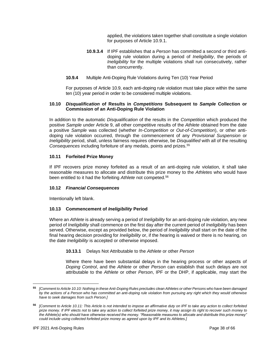applied, the violations taken together shall constitute a single violation for purposes of Article 10.9.1.

- **10.9.3.4** If IPF establishes that a *Person* has committed a second or third antidoping rule violation during a period of *Ineligibility*, the periods of *Ineligibility* for the multiple violations shall run consecutively, rather than concurrently.
- **10.9.4** Multiple Anti-Doping Rule Violations during Ten (10) Year Period

For purposes of Article 10.9, each anti-doping rule violation must take place within the same ten (10) year period in order to be considered multiple violations.

## **10.10** *Disqualification* **of Results in** *Competitions* **Subsequent to** *Sample* **Collection or Commission of an Anti-Doping Rule Violation**

In addition to the automatic *Disqualification* of the results in the *Competition* which produced the positive *Sample* under Article 9, all other competitive results of the *Athlete* obtained from the date a positive *Sample* was collected (whether *In-Competition* or *Out-of-Competition*), or other antidoping rule violation occurred, through the commencement of any *Provisional Suspension* or *Ineligibility* period, shall, unless fairness requires otherwise, be *Disqualified* with all of the resulting *Consequences* including forfeiture of any medals, points and prizes.<sup>55</sup>

## **10.11 Forfeited Prize Money**

If IPF recovers prize money forfeited as a result of an anti-doping rule violation, it shall take reasonable measures to allocate and distribute this prize money to the *Athletes* who would have been entitled to it had the forfeiting *Athlete* not competed.<sup>56</sup>

#### **10.12** *Financial Consequences*

Intentionally left blank.

## **10.13 Commencement of** *Ineligibility* **Period**

Where an *Athlete* is already serving a period of *Ineligibility* for an anti-doping rule violation, any new period of *Ineligibility* shall commence on the first day after the current period of *Ineligibility* has been served. Otherwise, except as provided below, the period of *Ineligibility* shall start on the date of the final hearing decision providing for *Ineligibility* or, if the hearing is waived or there is no hearing, on the date *Ineligibility* is accepted or otherwise imposed.

#### **10.13.1** Delays Not Attributable to the *Athlete* or other *Person*

Where there have been substantial delays in the hearing process or other aspects of *Doping Control*, and the *Athlete* or other *Person* can establish that such delays are not attributable to the *Athlete* or other *Person*, IPF or the DHP, if applicable, may start the

**<sup>55</sup>** *[Comment to Article 10.10: Nothing in these Anti-Doping Rules precludes clean Athletes or other Persons who have been damaged by the actions of a Person who has committed an anti-doping rule violation from pursuing any right which they would otherwise have to seek damages from such Person.]*

**<sup>56</sup>** *[Comment to Article 10.11: This Article is not intended to impose an affirmative duty on IPF to take any action to collect forfeited prize money. If IPF elects not to take any action to collect forfeited prize money, it may assign its right to recover such money to the Athlete(s) who should have otherwise received the money. "Reasonable measures to allocate and distribute this prize money" could include using collected forfeited prize money as agreed upon by IPF and its Athletes.]*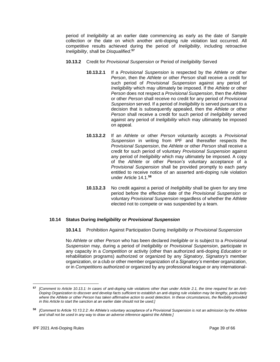period of *Ineligibility* at an earlier date commencing as early as the date of *Sample*  collection or the date on which another anti-doping rule violation last occurred. All competitive results achieved during the period of *Ineligibility*, including retroactive *Ineligibility*, shall be *Disqualified*. **57**

- **10.13.2** Credit for *Provisional Suspension* or Period of *Ineligibility* Served
	- **10.13.2.1** If a *Provisional Suspension* is respected by the *Athlete* or other *Person*, then the *Athlete* or other *Person* shall receive a credit for such period of *Provisional Suspension* against any period of *Ineligibility* which may ultimately be imposed. If the *Athlete* or other *Person* does not respect a *Provisional Suspension*, then the *Athlete* or other *Person* shall receive no credit for any period of *Provisional Suspension* served. If a period of *Ineligibility* is served pursuant to a decision that is subsequently appealed, then the *Athlete* or other *Person* shall receive a credit for such period of *Ineligibility* served against any period of *Ineligibility* which may ultimately be imposed on appeal.
	- **10.13.2.2** If an *Athlete* or other *Person* voluntarily accepts a *Provisional Suspension* in writing from IPF and thereafter respects the *Provisional Suspension*, the *Athlete* or other *Person* shall receive a credit for such period of voluntary *Provisional Suspension* against any period of *Ineligibility* which may ultimately be imposed. A copy of the *Athlete* or other *Person's* voluntary acceptance of a *Provisional Suspension* shall be provided promptly to each party entitled to receive notice of an asserted anti-doping rule violation under Article 14.1.**<sup>58</sup>**
	- **10.13.2.3** No credit against a period of *Ineligibility* shall be given for any time period before the effective date of the *Provisional Suspension* or voluntary *Provisional Suspension* regardless of whether the *Athlete* elected not to compete or was suspended by a team.

#### **10.14 Status During** *Ineligibility* **or** *Provisional Suspension*

**10.14.1** Prohibition Against Participation During *Ineligibility* or *Provisional Suspension*

No *Athlete* or other *Person* who has been declared *Ineligible* or is subject to a *Provisional Suspension* may, during a period of *Ineligibility* or *Provisional Suspension*, participate in any capacity in a *Competition* or activity (other than authorized anti-doping *Education* or rehabilitation programs) authorized or organized by any *Signatory*, *Signatory's* member organization, or a club or other member organization of a *Signatory's* member organization, or in *Competitions* authorized or organized by any professional league or any international-

**<sup>57</sup>** *[Comment to Article 10.13.1: In cases of anti-doping rule violations other than under Article 2.1, the time required for an Anti-Doping Organization to discover and develop facts sufficient to establish an anti-doping rule violation may be lengthy, particularly where the Athlete or other Person has taken affirmative action to avoid detection. In these circumstances, the flexibility provided in this Article to start the sanction at an earlier date should not be used.]*

**<sup>58</sup>** *[Comment to Article 10.13.2.2: An Athlete's voluntary acceptance of a Provisional Suspension is not an admission by the Athlete and shall not be used in any way to draw an adverse inference against the Athlete.]*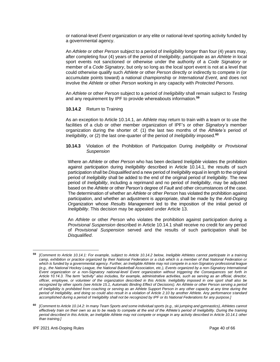or national-level *Event* organization or any elite or national-level sporting activity funded by a governmental agency.

An *Athlete* or other *Person* subject to a period of *Ineligibility* longer than four (4) years may, after completing four (4) years of the period of *Ineligibility*, participate as an *Athlete* in local sport events not sanctioned or otherwise under the authority of a *Code Signatory* or member of a *Code Signatory*, but only so long as the local sport event is not at a level that could otherwise qualify such *Athlete* or other *Person* directly or indirectly to compete in (or accumulate points toward) a national championship or *International Event*, and does not involve the *Athlete* or other *Person* working in any capacity with *Protected Persons*.

An *Athlete* or other *Person* subject to a period of *Ineligibility* shall remain subject to *Testing* and any requirement by IPF to provide whereabouts information.**<sup>59</sup>**

#### **10.14.2** Return to Training

As an exception to Article 10.14.1, an *Athlete* may return to train with a team or to use the facilities of a club or other member organization of IPF's or other *Signatory's* member organization during the shorter of: (1) the last two months of the *Athlete's* period of *Ineligibility*, or (2) the last one-quarter of the period of *Ineligibility* imposed.**<sup>60</sup>**

#### **10.14.3** Violation of the Prohibition of Participation During *Ineligibility* or *Provisional Suspension*

Where an *Athlete* or other *Person* who has been declared *Ineligible* violates the prohibition against participation during *Ineligibility* described in Article 10.14.1, the results of such participation shall be *Disqualified* and a new period of *Ineligibility* equal in length to the original period of *Ineligibility* shall be added to the end of the original period of *Ineligibility*. The new period of *Ineligibility*, including a reprimand and no period of *Ineligibility*, may be adjusted based on the *Athlete* or other *Person's* degree of *Fault* and other circumstances of the case. The determination of whether an *Athlete* or other *Person* has violated the prohibition against participation, and whether an adjustment is appropriate, shall be made by the *Anti-Doping Organization* whose *Results Management* led to the imposition of the initial period of *Ineligibility*. This decision may be appealed under Article 13.

An *Athlete* or other *Person* who violates the prohibition against participation during a *Provisional Suspension* described in Article 10.14.1 shall receive no credit for any period of *Provisional Suspension* served and the results of such participation shall be *Disqualified*.

**<sup>59</sup>** *[Comment to Article 10.14.1: For example, subject to Article 10.14.2 below, Ineligible Athletes cannot participate in a training camp, exhibition or practice organized by their National Federation or a club which is a member of that National Federation or*  which is funded by a governmental agency. Further, an Ineligible Athlete may not compete in a non-Signatory professional league *(e.g., the National Hockey League, the National Basketball Association, etc.), Events organized by a non-Signatory International Event organization or a non-Signatory national-level Event organization without triggering the Consequences set forth in Article 10.14.3. The term "activity" also includes, for example, administrative activities, such as serving as an official, director, officer, employee, or volunteer of the organization described in this Article. Ineligibility imposed in one sport shall also be recognized by other sports (see Article 15.1, Automatic Binding Effect of Decisions). An Athlete or other Person serving a period of Ineligibility is prohibited from coaching or serving as an Athlete Support Person in any other capacity at any time during the period of Ineligibility, and doing so could also result in a violation of Article 2.10 by another Athlete. Any performance standard accomplished during a period of Ineligibility shall not be recognized by IPF or its National Federations for any purpose.]*

**<sup>60</sup>** *[Comment to Article 10.14.2: In many Team Sports and some individual sports (e.g., ski jumping and gymnastics), Athletes cannot effectively train on their own so as to be ready to compete at the end of the Athlete's period of Ineligibility. During the training period described in this Article, an Ineligible Athlete may not compete or engage in any activity described in Article 10.14.1 other than training.]*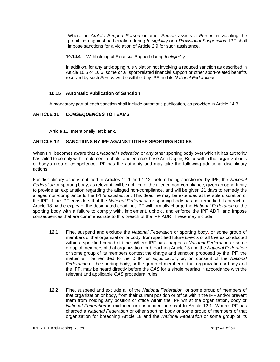Where an *Athlete Support Person* or other *Person* assists a *Person* in violating the prohibition against participation during *Ineligibility* or a *Provisional Suspension*, IPF shall impose sanctions for a violation of Article 2.9 for such assistance.

**10.14.4** Withholding of Financial Support during *Ineligibility*

In addition, for any anti-doping rule violation not involving a reduced sanction as described in Article 10.5 or 10.6, some or all sport-related financial support or other sport-related benefits received by such *Person* will be withheld by IPF and its *National Federations*.

## **10.15 Automatic Publication of Sanction**

A mandatory part of each sanction shall include automatic publication, as provided in Article 14.3.

## <span id="page-40-0"></span>**ARTICLE 11** *CONSEQUENCES* **TO TEAMS**

Article 11. Intentionally left blank.

## <span id="page-40-1"></span>**ARTICLE 12 SANCTIONS BY IPF AGAINST OTHER SPORTING BODIES**

When IPF becomes aware that a *National Federation* or any other sporting body over which it has authority has failed to comply with, implement, uphold, and enforce these Anti-Doping Rules within that organization's or body's area of competence, IPF has the authority and may take the following additional disciplinary actions.

For disciplinary actions outlined in Articles 12.1 and 12.2, before being sanctioned by IPF, the *National Federation* or sporting body, as relevant, will be notified of the alleged non-compliance, given an opportunity to provide an explanation regarding the alleged non-compliance, and will be given 21 days to remedy the alleged non-compliance to the IPF's satisfaction. This deadline may be extended at the sole discretion of the IPF. If the IPF considers that the *National Federation* or sporting body has not remedied its breach of Article 18 by the expiry of the designated deadline, IPF will formally charge the *National Federation* or the sporting body with a failure to comply with, implement, uphold, and enforce the IPF ADR, and impose consequences that are commensurate to this breach of the IPF ADR. These may include:

- **12.1** Fine, suspend and exclude the *National Federation* or sporting body, or some group of members of that organization or body, from specified future *Events* or all *Events* conducted within a specified period of time. Where IPF has charged a *National Federation* or some group of members of that organization for breaching Article 18 and the *National Federation* or some group of its members contest the charge and sanction proposed by the IPF, the matter will be remitted to the DHP for adjudication, or, on consent of the *National Federation* or the sporting body, or the group of member of that organization or body and the IPF, may be heard directly before the *CAS* for a single hearing in accordance with the relevant and applicable *CAS* procedural rules
- **12.2** Fine, suspend and exclude all of the *National Federation*, or some group of members of that organization or body, from their current position or office within the IPF and/or prevent them from holding any position or office within the IPF whilst the organization, body or *National Federation* is excluded or suspended pursuant to Article 12.1. Where IPF has charged a *National Federation* or other sporting body or some group of members of that organization for breaching Article 18 and the *National Federation* or some group of its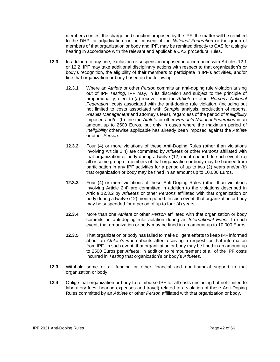members contest the charge and sanction proposed by the IPF, the matter will be remitted to the DHP for adjudication. or, on consent of the *National Federation* or the group of members of that organization or body and IPF, may be remitted directly to CAS for a single hearing in accordance with the relevant and applicable CAS procedural rules.

- **12.3** In addition to any fine, exclusion or suspension imposed in accordance with Articles 12.1 or 12.2, IPF may take additional disciplinary actions with respect to that organization's or body's recognition, the eligibility of their members to participate in IPF's activities, and/or fine that organization or body based on the following:
	- **12.3.1** Where an *Athlete* or other *Person* commits an anti-doping rule violation arising out of IPF *Testing*, IPF may, in its discretion and subject to the principle of proportionality, elect to (a) recover from the *Athlete* or other *Person's National Federation* costs associated with the anti-doping rule violation, (including but not limited to costs associated with *Sample* analysis, production of reports, *Results Management* and attorney's fees), regardless of the period of *Ineligibility*  imposed and/or (b) fine the *Athlete* or other *Person's National Federation* in an amount up to 2500 Euros, but only in cases where the maximum period of *Ineligibility* otherwise applicable has already been imposed against the *Athlete* or other *Person*.
	- **12.3.2** Four (4) or more violations of these Anti-Doping Rules (other than violations involving Article 2.4) are committed by *Athletes* or other *Persons* affiliated with that organization or body during a twelve (12) month period. In such event: (a) all or some group of members of that organization or body may be banned from participation in any IPF activities for a period of up to two (2) years and/or (b) that organization or body may be fined in an amount up to 10,000 Euros.
	- **12.3.3** Four (4) or more violations of these Anti-Doping Rules (other than violations involving Article 2.4) are committed in addition to the violations described in Article 12.3.2 by *Athletes* or other *Persons* affiliated with that organization or body during a twelve (12) month period*.* In such event, that organization or body may be suspended for a period of up to four (4) years.
	- **12.3.4** More than one *Athlete* or other *Person* affiliated with that organization or body commits an anti-doping rule violation during an *International Event.* In such event, that organization or body may be fined in an amount up to 10,000 Euros.
	- **12.3.5** That organization or body has failed to make diligent efforts to keep IPF informed about an *Athlete's* whereabouts after receiving a request for that information from IPF. In such event, that organization or body may be fined in an amount up to 2500 Euros per *Athlete*, in addition to reimbursement of all of the IPF costs incurred in *Testing* that organization's or body's *Athletes*.
- **12.3** Withhold some or all funding or other financial and non-financial support to that organization or body.
- **12.4** Oblige that organization or body to reimburse IPF for all costs (including but not limited to laboratory fees, hearing expenses and travel) related to a violation of these Anti-Doping Rules committed by an *Athlete* or other *Person* affiliated with that organization or body.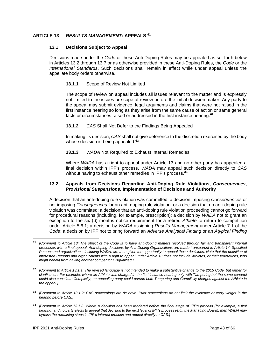## <span id="page-42-0"></span>**ARTICLE 13** *RESULTS MANAGEMENT***: APPEALS 61**

#### **13.1 Decisions Subject to Appeal**

Decisions made under the *Code* or these Anti-Doping Rules may be appealed as set forth below in Articles 13.2 through 13.7 or as otherwise provided in these Anti-Doping Rules, the *Code* or the *International Standards*. Such decisions shall remain in effect while under appeal unless the appellate body orders otherwise.

#### **13.1.1** Scope of Review Not Limited

The scope of review on appeal includes all issues relevant to the matter and is expressly not limited to the issues or scope of review before the initial decision maker. Any party to the appeal may submit evidence, legal arguments and claims that were not raised in the first instance hearing so long as they arise from the same cause of action or same general facts or circumstances raised or addressed in the first instance hearing.**<sup>62</sup>**

## **13.1.2** *CAS* Shall Not Defer to the Findings Being Appealed

In making its decision, *CAS* shall not give deference to the discretion exercised by the body whose decision is being appealed.**<sup>63</sup>**

## **13.1.3** *WADA* Not Required to Exhaust Internal Remedies

Where *WADA* has a right to appeal under Article 13 and no other party has appealed a final decision within IPF's process, *WADA* may appeal such decision directly to *CAS* without having to exhaust other remedies in IPF's process.**<sup>64</sup>**

#### **13.2 Appeals from Decisions Regarding Anti-Doping Rule Violations,** *Consequences***,**  *Provisional Suspensions,* **Implementation of Decisions and Authority**

A decision that an anti-doping rule violation was committed, a decision imposing *Consequences* or not imposing *Consequences* for an anti-doping rule violation, or a decision that no anti-doping rule violation was committed; a decision that an anti-doping rule violation proceeding cannot go forward for procedural reasons (including, for example, prescription); a decision by *WADA* not to grant an exception to the six (6) months notice requirement for a retired *Athlete* to return to competition under Article 5.6.1; a decision by *WADA* assigning *Results Management* under Article 7.1 of the *Code*; a decision by IPF not to bring forward an *Adverse Analytical Finding* or an *Atypical Finding*

**<sup>61</sup>** *[Comment to Article 13: The object of the Code is to have anti-doping matters resolved through fair and transparent internal processes with a final appeal. Anti-doping decisions by Anti-Doping Organizations are made transparent in Article 14. Specified Persons and organizations, including WADA, are then given the opportunity to appeal those decisions. Note that the definition of interested Persons and organizations with a right to appeal under Article 13 does not include Athletes, or their federations, who might benefit from having another competitor Disqualified.]*

**<sup>62</sup>** *[Comment to Article 13.1.1: The revised language is not intended to make a substantive change to the 2015 Code, but rather for clarification. For example, where an Athlete was charged in the first instance hearing only with Tampering but the same conduct could also constitute Complicity, an appealing party could pursue both Tampering and Complicity charges against the Athlete in the appeal.]*

**<sup>63</sup>** *[Comment to Article 13.1.2: CAS proceedings are de novo. Prior proceedings do not limit the evidence or carry weight in the hearing before CAS.]*

**<sup>64</sup>** *[Comment to Article 13.1.3: Where a decision has been rendered before the final stage of IPF's process (for example, a first hearing) and no party elects to appeal that decision to the next level of IPF's process (e.g., the Managing Board), then WADA may bypass the remaining steps in IPF's internal process and appeal directly to CAS.]*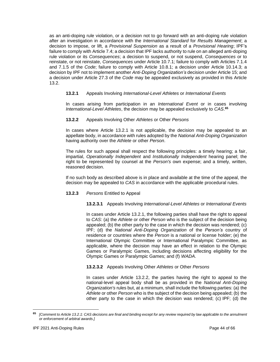as an anti-doping rule violation, or a decision not to go forward with an anti-doping rule violation after an investigation in accordance with the *International Standard* for *Results Management*; a decision to impose, or lift, a *Provisional Suspension* as a result of a *Provisional Hearing*; IPF's failure to comply with Article 7.4; a decision that IPF lacks authority to rule on an alleged anti-doping rule violation or its *Consequences*; a decision to suspend, or not suspend, *Consequences* or to reinstate, or not reinstate, *Consequences* under Article 10.7.1; failure to comply with Articles 7.1.4 and 7.1.5 of the *Code*; failure to comply with Article 10.8.1; a decision under Article 10.14.3; a decision by IPF not to implement another *Anti-Doping Organization's* decision under Article 15; and a decision under Article 27.3 of the *Code* may be appealed exclusively as provided in this Article 13.2.

## **13.2.1** Appeals Involving *International-Level Athletes* or *International Events*

In cases arising from participation in an *International Event* or in cases involving *International-Level Athletes*, the decision may be appealed exclusively to *CAS*. **65**

**13.2.2** Appeals Involving Other *Athletes* or Other *Persons*

In cases where Article 13.2.1 is not applicable, the decision may be appealed to an appellate body, in accordance with rules adopted by the *National Anti-Doping Organization* having authority over the *Athlete* or other *Person*.

The rules for such appeal shall respect the following principles: a timely hearing; a fair, impartial, *Operationally Independent* and *Institutionally Independent* hearing panel; the right to be represented by counsel at the *Person's* own expense; and a timely, written, reasoned decision.

If no such body as described above is in place and available at the time of the appeal, the decision may be appealed to *CAS* in accordance with the applicable procedural rules.

#### **13.2.3** *Persons* Entitled to Appeal

#### **13.2.3.1** Appeals Involving *International-Level Athletes* or *International Events*

In cases under Article 13.2.1, the following parties shall have the right to appeal to *CAS*: (a) the *Athlete* or other *Person* who is the subject of the decision being appealed; (b) the other party to the case in which the decision was rendered; (c) IPF; (d) the *National Anti-Doping Organization* of the *Person's* country of residence or countries where the *Person* is a national or license holder; (e) the International Olympic Committee or International Paralympic Committee, as applicable, where the decision may have an effect in relation to the Olympic Games or Paralympic Games, including decisions affecting eligibility for the Olympic Games or Paralympic Games; and (f) *WADA*.

**13.2.3.2** Appeals Involving Other *Athletes* or Other *Persons*

In cases under Article 13.2.2, the parties having the right to appeal to the national-level appeal body shall be as provided in the *National Anti-Doping Organization's* rules but, at a minimum, shall include the following parties: (a) the *Athlete* or other *Person* who is the subject of the decision being appealed; (b) the other party to the case in which the decision was rendered; (c) IPF; (d) the

**<sup>65</sup>** *[Comment to Article 13.2.1: CAS decisions are final and binding except for any review required by law applicable to the annulment or enforcement of arbitral awards.]*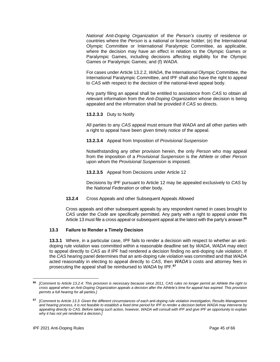*National Anti-Doping Organization* of the *Person's* country of residence or countries where the *Person* is a national or license holder; (e) the International Olympic Committee or International Paralympic Committee, as applicable, where the decision may have an effect in relation to the Olympic Games or Paralympic Games, including decisions affecting eligibility for the Olympic Games or Paralympic Games; and (f) *WADA*.

For cases under Article 13.2.2, *WADA*, the International Olympic Committee, the International Paralympic Committee, and IPF shall also have the right to appeal to *CAS* with respect to the decision of the national-level appeal body.

Any party filing an appeal shall be entitled to assistance from *CAS* to obtain all relevant information from the *Anti-Doping Organization* whose decision is being appealed and the information shall be provided if *CAS* so directs.

**13.2.3.3** Duty to Notify

All parties to any *CAS* appeal must ensure that *WADA* and all other parties with a right to appeal have been given timely notice of the appeal.

**13.2.3.4** Appeal from Imposition of *Provisional Suspension*

Notwithstanding any other provision herein, the only *Person* who may appeal from the imposition of a *Provisional Suspension* is the *Athlete* or other *Person* upon whom the *Provisional Suspension* is imposed.

**13.2.3.5** Appeal from Decisions under Article 12

Decisions by IPF pursuant to Article 12 may be appealed exclusively to *CAS* by the *National Federation* or other body.

#### **13.2.4** Cross Appeals and other Subsequent Appeals Allowed

Cross appeals and other subsequent appeals by any respondent named in cases brought to *CAS* under the *Code* are specifically permitted. Any party with a right to appeal under this Article 13 must file a cross appeal or subsequent appeal at the latest with the party's answer.**<sup>66</sup>**

## **13.3 Failure to Render a Timely Decision**

**13.3.1** Where, in a particular case, IPF fails to render a decision with respect to whether an antidoping rule violation was committed within a reasonable deadline set by *WADA*, *WADA* may elect to appeal directly to *CAS* as if IPF had rendered a decision finding no anti-doping rule violation. If the *CAS* hearing panel determines that an anti-doping rule violation was committed and that *WADA* acted reasonably in electing to appeal directly to *CAS*, then *WADA's* costs and attorney fees in prosecuting the appeal shall be reimbursed to *WADA* by IPF. **67**

**<sup>66</sup>** *[Comment to Article 13.2.4: This provision is necessary because since 2011, CAS rules no longer permit an Athlete the right to cross appeal when an Anti-Doping Organization appeals a decision after the Athlete's time for appeal has expired. This provision permits a full hearing for all parties.]*

**<sup>67</sup>** *[Comment to Article 13.3: Given the different circumstances of each anti-doping rule violation investigation, Results Management and hearing process, it is not feasible to establish a fixed time period for IPF to render a decision before WADA may intervene by appealing directly to CAS. Before taking such action, however, WADA will consult with IPF and give IPF an opportunity to explain why it has not yet rendered a decision.]*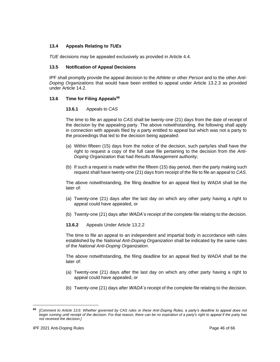#### **13.4 Appeals Relating to** *TUEs*

*TUE* decisions may be appealed exclusively as provided in Article 4.4.

#### **13.5 Notification of Appeal Decisions**

IPF shall promptly provide the appeal decision to the *Athlete* or other *Person* and to the other *Anti-Doping Organizations* that would have been entitled to appeal under Article 13.2.3 as provided under Article 14.2.

#### **13.6 Time for Filing Appeals<sup>68</sup>**

#### **13.6.1** Appeals to *CAS*

The time to file an appeal to *CAS* shall be twenty-one (21) days from the date of receipt of the decision by the appealing party. The above notwithstanding, the following shall apply in connection with appeals filed by a party entitled to appeal but which was not a party to the proceedings that led to the decision being appealed:

- (a) Within fifteen (15) days from the notice of the decision, such party/ies shall have the right to request a copy of the full case file pertaining to the decision from the *Anti-Doping Organization* that had *Results Management* authority;
- (b) If such a request is made within the fifteen (15) day period, then the party making such request shall have twenty-one (21) days from receipt of the file to file an appeal to *CAS*.

The above notwithstanding, the filing deadline for an appeal filed by *WADA* shall be the later of:

- (a) Twenty-one (21) days after the last day on which any other party having a right to appeal could have appealed, or
- (b) Twenty-one (21) days after *WADA's* receipt of the complete file relating to the decision.
- **13.6.2** Appeals Under Article 13.2.2

The time to file an appeal to an independent and impartial body in accordance with rules established by the *National Anti-Doping Organization* shall be indicated by the same rules of the *National Anti-Doping Organization*.

The above notwithstanding, the filing deadline for an appeal filed by *WADA* shall be the later of:

- (a) Twenty-one (21) days after the last day on which any other party having a right to appeal could have appealed, or
- (b) Twenty-one (21) days after *WADA's* receipt of the complete file relating to the decision.

**<sup>68</sup>** *[Comment to Article 13.6: Whether governed by CAS rules or these Anti-Doping Rules, a party's deadline to appeal does not begin running until receipt of the decision. For that reason, there can be no expiration of a party's right to appeal if the party has not received the decision.]*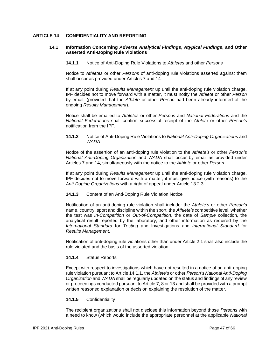## <span id="page-46-0"></span>**ARTICLE 14 CONFIDENTIALITY AND REPORTING**

#### **14.1 Information Concerning** *Adverse Analytical Findings***,** *Atypical Findings***, and Other Asserted Anti-Doping Rule Violations**

**14.1.1** Notice of Anti-Doping Rule Violations to *Athletes* and other *Persons*

Notice to *Athletes* or other *Persons* of anti-doping rule violations asserted against them shall occur as provided under Articles 7 and 14.

If at any point during *Results Management* up until the anti-doping rule violation charge, IPF decides not to move forward with a matter, it must notify the *Athlete* or other *Person* by email, (provided that the *Athlete* or other *Person* had been already informed of the ongoing *Results Management*).

Notice shall be emailed to *Athletes* or other *Persons* and *National Federations* and the *National Federations* shall confirm successful receipt of the *Athlete* or other *Person's* notification from the IPF.

**14.1.2** Notice of Anti-Doping Rule Violations to *National Anti-Doping Organizations* and *WADA*

Notice of the assertion of an anti-doping rule violation to the *Athlete's* or other *Person's National Anti-Doping Organization* and *WADA* shall occur by email as provided under Articles 7 and 14, simultaneously with the notice to the *Athlete* or other *Person*.

If at any point during *Results Management* up until the anti-doping rule violation charge, IPF decides not to move forward with a matter, it must give notice (with reasons) to the *Anti-Doping Organizations* with a right of appeal under Article 13.2.3.

#### **14.1.3** Content of an Anti-Doping Rule Violation Notice

Notification of an anti-doping rule violation shall include: the *Athlete's* or other *Person's* name, country, sport and discipline within the sport, the *Athlete's* competitive level, whether the test was *In-Competition* or *Out-of-Competition*, the date of *Sample* collection, the analytical result reported by the laboratory, and other information as required by the *International Standard* for *Testing* and Investigations and *International Standard* for *Results Management*.

Notification of anti-doping rule violations other than under Article 2.1 shall also include the rule violated and the basis of the asserted violation.

## **14.1.4** Status Reports

Except with respect to investigations which have not resulted in a notice of an anti-doping rule violation pursuant to Article 14.1.1, the *Athlete's* or other *Person's National Anti-Doping Organization* and *WADA* shall be regularly updated on the status and findings of any review or proceedings conducted pursuant to Article 7, 8 or 13 and shall be provided with a prompt written reasoned explanation or decision explaining the resolution of the matter.

#### **14.1.5** Confidentiality

The recipient organizations shall not disclose this information beyond those *Persons* with a need to know (which would include the appropriate personnel at the applicable *National*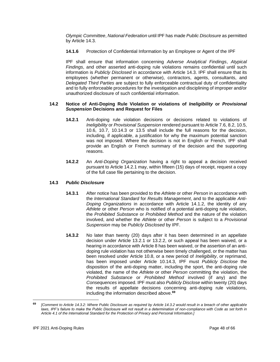*Olympic Committee*, *National Federation* until IPF has made *Public Disclosure* as permitted by Article 14.3.

**14.1.6** Protection of Confidential Information by an Employee or Agent of the IPF

IPF shall ensure that information concerning *Adverse Analytical Findings*, *Atypical Findings*, and other asserted anti-doping rule violations remains confidential until such information is *Publicly Disclosed* in accordance with Article 14.3. IPF shall ensure that its employees (whether permanent or otherwise), contractors, agents, consultants, and *Delegated Third Parties* are subject to fully enforceable contractual duty of confidentiality and to fully enforceable procedures for the investigation and disciplining of improper and/or unauthorized disclosure of such confidential information.

## **14.2 Notice of Anti-Doping Rule Violation or violations of** *Ineligibility* **or** *Provisional Suspension* **Decisions and Request for Files**

- **14.2.1** Anti-doping rule violation decisions or decisions related to violations of *Ineligibility* or *Provisional Suspension* rendered pursuant to Article 7.6, 8.2, 10.5, 10.6, 10.7, 10.14.3 or 13.5 shall include the full reasons for the decision, including, if applicable, a justification for why the maximum potential sanction was not imposed. Where the decision is not in English or French, IPF shall provide an English or French summary of the decision and the supporting reasons.
- **14.2.2** An *Anti-Doping Organization* having a right to appeal a decision received pursuant to Article 14.2.1 may, within fifteen (15) days of receipt, request a copy of the full case file pertaining to the decision.

## **14.3** *Public Disclosure*

- **14.3.1** After notice has been provided to the *Athlete* or other *Person* in accordance with the *International Standard* for *Results Management*, and to the applicable *Anti-Doping Organizations* in accordance with Article 14.1.2, the identity of any *Athlete* or other *Person* who is notified of a potential anti-doping rule violation, the *Prohibited Substance* or *Prohibited Method* and the nature of the violation involved, and whether the *Athlete* or other *Person* is subject to a *Provisional Suspension* may be *Publicly Disclosed* by IPF.
- **14.3.2** No later than twenty (20) days after it has been determined in an appellate decision under Article 13.2.1 or 13.2.2, or such appeal has been waived, or a hearing in accordance with Article 8 has been waived, or the assertion of an antidoping rule violation has not otherwise been timely challenged, or the matter has been resolved under Article 10.8, or a new period of *Ineligibility*, or reprimand, has been imposed under Article 10.14.3, IPF must *Publicly Disclose* the disposition of the anti-doping matter, including the sport, the anti-doping rule violated, the name of the *Athlete* or other *Person* committing the violation, the *Prohibited Substance* or *Prohibited Method* involved (if any) and the *Consequences* imposed. IPF must also *Publicly Disclose* within twenty (20) days the results of appellate decisions concerning anti-doping rule violations, including the information described above. **69**

**<sup>69</sup>** *[Comment to Article 14.3.2: Where Public Disclosure as required by Article 14.3.2 would result in a breach of other applicable*  laws, IPF's failure to make the Public Disclosure will not result in a determination of non-compliance with Code as set forth in *Article 4.1 of the International Standard for the Protection of Privacy and Personal Information.]*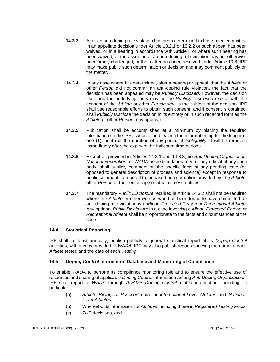- **14.3.3** After an anti-doping rule violation has been determined to have been committed in an appellate decision under Article 13.2.1 or 13.2.2 or such appeal has been waived, or in a hearing in accordance with Article 8 or where such hearing has been waived, or the assertion of an anti-doping rule violation has not otherwise been timely challenged, or the matter has been resolved under Article 10.8, IPF may make public such determination or decision and may comment publicly on the matter.
- **14.3.4** In any case where it is determined, after a hearing or appeal, that the *Athlete* or other *Person* did not commit an anti-doping rule violation, the fact that the decision has been appealed may be *Publicly Disclosed*. However, the decision itself and the underlying facts may not be *Publicly Disclosed* except with the consent of the *Athlete* or other *Person* who is the subject of the decision. IPF shall use reasonable efforts to obtain such consent, and if consent is obtained, shall *Publicly Disclose* the decision in its entirety or in such redacted form as the *Athlete* or other *Person* may approve.
- **14.3.5** Publication shall be accomplished at a minimum by placing the required information on the IPF's website and leaving the information up for the longer of one (1) month or the duration of any period of *Ineligibility*. It will be removed immediately after the expiry of the indicated time periods.
- **14.3.6** Except as provided in Articles 14.3.1 and 14.3.3, no *Anti-Doping Organization*, *National Federation*, or *WADA-*accredited laboratory, or any official of any such body, shall publicly comment on the specific facts of any pending case (as opposed to general description of process and science) except in response to public comments attributed to, or based on information provided by, the *Athlete*, other *Person* or their entourage or other representatives.
- **14.3.7** The mandatory *Public Disclosure* required in Article 14.3.2 shall not be required where the *Athlete* or other *Person* who has been found to have committed an anti-doping rule violation is a *Minor*, *Protected Person* or *Recreational Athlete*. Any optional *Public Disclosure* in a case involving a *Minor*, *Protected Person* or *Recreational Athlete* shall be proportionate to the facts and circumstances of the case.

## **14.4 Statistical Reporting**

IPF shall, at least annually, publish publicly a general statistical report of its *Doping Control* activities, with a copy provided to *WADA*. IPF may also publish reports showing the name of each *Athlete* tested and the date of each *Testing*.

#### **14.5** *Doping Control* **Information Database and Monitoring of Compliance**

To enable *WADA* to perform its compliance monitoring role and to ensure the effective use of resources and sharing of applicable *Doping Control* information among *Anti-Doping Organizations*, IPF shall report to *WADA* through *ADAMS Doping Control*-related information, including, in particular:

- (a) *Athlete Biological Passport* data for *International-Level Athletes* and *National-Level Athletes*,
- (b) Whereabouts information for *Athletes* including those in *Registered Testing Pools*,
- (c) *TUE* decisions, and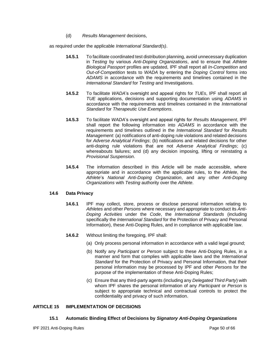(d) *Results Management* decisions,

as required under the applicable *International Standard(s)*.

- **14.5.1** To facilitate coordinated test distribution planning, avoid unnecessary duplication in *Testing* by various *Anti-Doping Organizations*, and to ensure that *Athlete Biological Passport* profiles are updated, IPF shall report all *In-Competition* and *Out-of-Competition* tests to *WADA* by entering the *Doping Control* forms into *ADAMS* in accordance with the requirements and timelines contained in the *International Standard* for *Testing* and Investigations.
- **14.5.2** To facilitate *WADA*'s oversight and appeal rights for *TUEs*, IPF shall report all *TUE* applications, decisions and supporting documentation using *ADAMS* in accordance with the requirements and timelines contained in the *International Standard* for *Therapeutic Use Exemptions*.
- **14.5.3** To facilitate *WADA*'s oversight and appeal rights for *Results Management*, IPF shall report the following information into *ADAMS* in accordance with the requirements and timelines outlined in the *International Standard* for *Results Management*: (a) notifications of anti-doping rule violations and related decisions for *Adverse Analytical Findings*; (b) notifications and related decisions for other anti-doping rule violations that are not *Adverse Analytical Findings*; (c) whereabouts failures; and (d) any decision imposing, lifting or reinstating a *Provisional Suspension*.
- **14.5.4** The information described in this Article will be made accessible, where appropriate and in accordance with the applicable rules, to the *Athlete*, the *Athlete*'s *National Anti-Doping Organization*, and any other *Anti-Doping Organizations* with *Testing* authority over the *Athlete*.

## **14.6 Data Privacy**

- **14.6.1** IPF may collect, store, process or disclose personal information relating to *Athletes* and other *Persons* where necessary and appropriate to conduct its *Anti-Doping Activities* under the *Code*, the *International Standards* (including specifically the *International Standard* for the Protection of Privacy and Personal Information), these Anti-Doping Rules, and in compliance with applicable law.
- **14.6.2** Without limiting the foregoing, IPF shall:
	- (a) Only process personal information in accordance with a valid legal ground;
	- (b) Notify any *Participant* or *Person* subject to these Anti-Doping Rules, in a manner and form that complies with applicable laws and the *International Standard* for the Protection of Privacy and Personal Information, that their personal information may be processed by IPF and other *Persons* for the purpose of the implementation of these Anti-Doping Rules;
	- (c) Ensure that any third-party agents (including any *Delegated Third Party*) with whom IPF shares the personal information of any *Participant* or *Person* is subject to appropriate technical and contractual controls to protect the confidentiality and privacy of such information.

## <span id="page-49-0"></span>**ARTICLE 15 IMPLEMENTATION OF DECISIONS**

#### **15.1 Automatic Binding Effect of Decisions by** *Signatory Anti-Doping Organizations*

IPF 2021 Anti-Doping Rules Page 50 of 66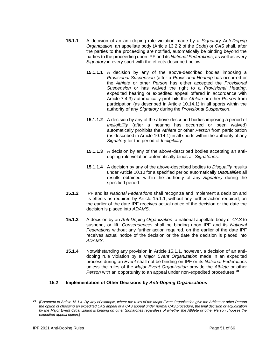- **15.1.1** A decision of an anti-doping rule violation made by a *Signatory Anti-Doping Organization*, an appellate body (Article 13.2.2 of the *Code*) or *CAS* shall, after the parties to the proceeding are notified, automatically be binding beyond the parties to the proceeding upon IPF and its *National Federations*, as well as every *Signatory* in every sport with the effects described below:
	- **15.1.1.1** A decision by any of the above-described bodies imposing a *Provisional Suspension* (after a *Provisional Hearing* has occurred or the *Athlete* or other *Person* has either accepted the *Provisional Suspension* or has waived the right to a *Provisional Hearing*, expedited hearing or expedited appeal offered in accordance with Article 7.4.3) automatically prohibits the *Athlete* or other *Person* from participation (as described in Article 10.14.1) in all sports within the authority of any *Signatory* during the *Provisional Suspension*.
	- **15.1.1.2** A decision by any of the above-described bodies imposing a period of *Ineligibility* (after a hearing has occurred or been waived) automatically prohibits the *Athlete* or other *Person* from participation (as described in Article 10.14.1) in all sports within the authority of any *Signatory* for the period of *Ineligibility*.
	- **15.1.1.3** A decision by any of the above-described bodies accepting an antidoping rule violation automatically binds all *Signatories*.
	- **15.1.1.4** A decision by any of the above-described bodies to *Disqualify* results under Article 10.10 for a specified period automatically *Disqualifies* all results obtained within the authority of any *Signatory* during the specified period.
- **15.1.2** IPF and its *National Federations* shall recognize and implement a decision and its effects as required by Article 15.1.1, without any further action required, on the earlier of the date IPF receives actual notice of the decision or the date the decision is placed into *ADAMS*.
- **15.1.3** A decision by an *Anti-Doping Organization*, a national appellate body or *CAS* to suspend, or lift, *Consequences* shall be binding upon IPF and its *National Federations* without any further action required, on the earlier of the date IPF receives actual notice of the decision or the date the decision is placed into *ADAMS*.
- **15.1.4** Notwithstanding any provision in Article 15.1.1, however, a decision of an antidoping rule violation by a *Major Event Organization* made in an expedited process during an *Event* shall not be binding on IPF or its *National Federations* unless the rules of the *Major Event Organization* provide the *Athlete* or other *Person* with an opportunity to an appeal under non-expedited procedures. **70**

## **15.2 Implementation of Other Decisions by** *Anti-Doping Organizations*

**<sup>70</sup>** *[Comment to Article 15.1.4: By way of example, where the rules of the Major Event Organization give the Athlete or other Person the option of choosing an expedited CAS appeal or a CAS appeal under normal CAS procedure, the final decision or adjudication by the Major Event Organization is binding on other Signatories regardless of whether the Athlete or other Person chooses the expedited appeal option.]*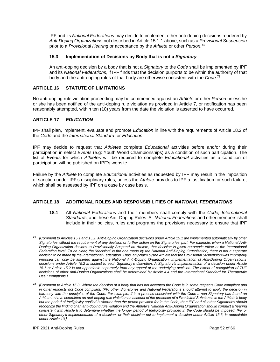IPF and its *National Federations* may decide to implement other anti-doping decisions rendered by *Anti-Doping Organizations* not described in Article 15.1.1 above, such as a *Provisional Suspension* prior to a *Provisional Hearing* or acceptance by the *Athlete* or other *Person*. **71**

## **15.3 Implementation of Decisions by Body that is not a** *Signatory*

An anti-doping decision by a body that is not a *Signatory* to the *Code* shall be implemented by IPF and its *National Federations*, if IPF finds that the decision purports to be within the authority of that body and the anti-doping rules of that body are otherwise consistent with the *Code*. **72**

## <span id="page-51-0"></span>**ARTICLE 16 STATUTE OF LIMITATIONS**

No anti-doping rule violation proceeding may be commenced against an *Athlete* or other *Person* unless he or she has been notified of the anti-doping rule violation as provided in Article 7, or notification has been reasonably attempted, within ten (10) years from the date the violation is asserted to have occurred.

## <span id="page-51-1"></span>**ARTICLE 17** *EDUCATION*

IPF shall plan, implement, evaluate and promote *Education* in line with the requirements of Article 18.2 of the *Code* and the *International Standard* for *Education*.

IPF may decide to request that *Athletes* complete *Educational* activities before and/or during their participation in select *Events* (e.g: Youth World Championships) as a condition of such participation. The list of *Events* for which *Athletes* will be required to complete *Educational* activities as a condition of participation will be published on IPF's website.

Failure by the *Athlete* to complete *Educational* activities as requested by IPF may result in the imposition of sanction under IPF's disciplinary rules, unless the *Athlete* provides to IPF a justification for such failure, which shall be assessed by IPF on a case by case basis.

## <span id="page-51-2"></span>**ARTICLE 18 ADDITIONAL ROLES AND RESPONSIBILITIES OF** *NATIONAL FEDERATIONS*

**18.1** All *National Federations* and their members shall comply with the *Code, International Standards*, and these Anti-Doping Rules. All *National Federations* and other members shall include in their policies, rules and programs the provisions necessary to ensure that IPF

**<sup>71</sup>** *[Comment to Articles 15.1 and 15.2: Anti-Doping Organization decisions under Article 15.1 are implemented automatically by other Signatories without the requirement of any decision or further action on the Signatories' part. For example, when a National Anti-Doping Organization decides to Provisionally Suspend an Athlete, that decision is given automatic effect at the International Federation level. To be clear, the "decision" is the one made by the National Anti-Doping Organization, there is not a separate decision to be made by the International Federation. Thus, any claim by the Athlete that the Provisional Suspension was improperly imposed can only be asserted against the National Anti-Doping Organization. Implementation of Anti-Doping Organizations' decisions under Article 15.2 is subject to each Signatory's discretion. A Signatory's implementation of a decision under Article 15.1 or Article 15.2 is not appealable separately from any appeal of the underlying decision. The extent of recognition of TUE decisions of other Anti-Doping Organizations shall be determined by Article 4.4 and the International Standard for Therapeutic Use Exemptions.]* 

**<sup>72</sup>** *[Comment to Article 15.3: Where the decision of a body that has not accepted the Code is in some respects Code compliant and in other respects not Code compliant, IPF, other Signatories and National Federations should attempt to apply the decision in harmony with the principles of the Code. For example, if in a process consistent with the Code a non-Signatory has found an Athlete to have committed an anti-doping rule violation on account of the presence of a Prohibited Substance in the Athlete's body but the period of Ineligibility applied is shorter than the period provided for in the Code, then IPF and all other Signatories should recognize the finding of an anti-doping rule violation and the Athlete's National Anti-Doping Organization should conduct a hearing consistent with Article 8 to determine whether the longer period of Ineligibility provided in the Code should be imposed. IPF or other Signatory's implementation of a decision, or their decision not to implement a decision under Article 15.3, is appealable under Article 13.]*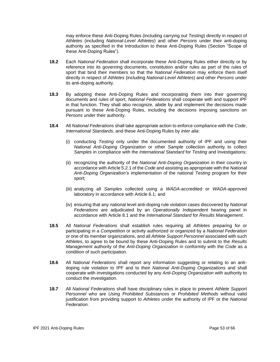may enforce these Anti-Doping Rules (including carrying out *Testing*) directly in respect of *Athletes* (including *National-Level Athletes*) and other *Persons* under their anti-doping authority as specified in the Introduction to these Anti-Doping Rules (Section "Scope of these Anti-Doping Rules").

- **18.2** Each *National Federation* shall incorporate these Anti-Doping Rules either directly or by reference into its governing documents, constitution and/or rules as part of the rules of sport that bind their members so that the *National Federation* may enforce them itself directly in respect of *Athletes* (including *National-Level Athletes*) and other *Persons* under its anti-doping authority.
- **18.3** By adopting these Anti-Doping Rules and incorporating them into their governing documents and rules of sport, *National Federations* shall cooperate with and support IPF in that function*.* They shall also recognize, abide by and implement the decisions made pursuant to these Anti-Doping Rules, including the decisions imposing sanctions on *Persons* under their authority.
- **18.4** All *National Federations* shall take appropriate action to enforce compliance with the *Code*, *International Standards*, and these Anti-Doping Rules by *inter alia*:
	- (i) conducting *Testing* only under the documented authority of IPF and using their *National Anti-Doping Organization* or other *Sample* collection authority to collect *Samples* in compliance with the *International Standard* for *Testing* and Investigations;
	- (ii) recognizing the authority of the *National Anti-Doping Organization* in their country in accordance with Article 5.2.1 of the *Code* and assisting as appropriate with the *National Anti-Doping Organization's* implementation of the national *Testing* program for their sport;
	- (iii) analyzing all *Samples* collected using a *WADA*-accredited or *WADA*-approved laboratory in accordance with Article 6.1; and
	- (iv) ensuring that any national level anti-doping rule violation cases discovered by *National Federations* are adjudicated by an *Operationally Independent* hearing panel in accordance with Article 8.1 and the *International Standard* for *Results Management*.
- **18.5** All *National Federations* shall establish rules requiring all *Athletes* preparing for or participating in a *Competition* or activity authorized or organized by a *National Federation* or one of its member organizations, and all *Athlete Support Personnel* associated with such *Athletes*, to agree to be bound by these Anti-Doping Rules and to submit to the *Results Management* authority of the *Anti-Doping Organization* in conformity with the *Code* as a condition of such participation.
- **18.6** All *National Federations* shall report any information suggesting or relating to an antidoping rule violation to IPF and to their *National Anti-Doping Organizations* and shall cooperate with investigations conducted by any *Anti-Doping Organization* with authority to conduct the investigation.
- **18.7** All *National Federations* shall have disciplinary rules in place to prevent *Athlete Support Personnel* who are *Using Prohibited Substances* or *Prohibited Methods* without valid justification from providing support to *Athletes* under the authority of IPF or the *National Federation*.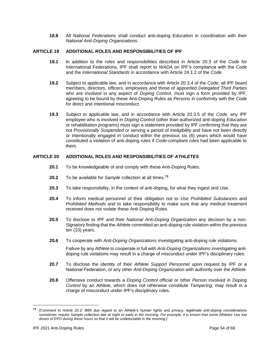**18.8** All *National Federations* shall conduct anti-doping *Education* in coordination with their *National Anti-Doping Organizations.*

## <span id="page-53-0"></span>**ARTICLE 19 ADDITIONAL ROLES AND RESPONSIBILITIES OF IPF**

- **19.1** In addition to the roles and responsibilities described in Article 20.3 of the *Code* for International Federations, IPF shall report to *WADA* on IPF's compliance with the *Code* and the *International Standards* in accordance with Article 24.1.2 of the *Code*.
- **19.2** Subject to applicable law, and in accordance with Article 20.3.4 of the *Code*, all IPF board members, directors, officers, employees and those of appointed *Delegated Third Parties* who are involved in any aspect of *Doping Control*, must sign a form provided by IPF, agreeing to be bound by these Anti-Doping Rules as *Persons* in conformity with the *Code* for direct and intentional misconduct.
- **19.3** Subject to applicable law, and in accordance with Article 20.3.5 of the *Code*, any IPF employee who is involved in *Doping Control* (other than authorized anti-doping *Education*  or rehabilitation programs) must sign a statement provided by IPF confirming that they are not *Provisionally Suspended* or serving a period of *Ineligibility* and have not been directly or intentionally engaged in conduct within the previous six (6) years which would have constituted a violation of anti-doping rules if *Code*-compliant rules had been applicable to them.

## <span id="page-53-1"></span>**ARTICLE 20 ADDITIONAL ROLES AND RESPONSIBILITIES OF** *ATHLETES*

- **20.1** To be knowledgeable of and comply with these Anti-Doping Rules.
- **20.2** To be available for *Sample* collection at all times.**<sup>73</sup>**
- **20.3** To take responsibility, in the context of anti-doping, for what they ingest and *Use*.
- **20.4** To inform medical personnel of their obligation not to *Use Prohibited Substance*s and *Prohibited Methods* and to take responsibility to make sure that any medical treatment received does not violate these Anti-Doping Rules.
- **20.5** To disclose to IPF and their *National Anti-Doping Organization* any decision by a non-*Signatory* finding that the *Athlete* committed an anti-doping rule violation within the previous ten (10) years.
- **20.6** To cooperate with *Anti-Doping Organizations* investigating anti-doping rule violations.

Failure by any *Athlete* to cooperate in full with *Anti-Doping Organizations* investigating antidoping rule violations may result in a charge of misconduct under IPF's disciplinary rules.

- **20.7** To disclose the identity of their *Athlete Support Personnel* upon request by IPF or a *National Federation*, or any other *Anti-Doping Organization* with authority over the *Athlete*.
- **20.8** Offensive conduct towards a *Doping Control* official or other *Person* involved in *Doping Control* by an *Athlete*, which does not otherwise constitute *Tampering*, may result in a charge of misconduct under IPF's disciplinary rules.

**<sup>73</sup>** *[Comment to Article 20.2: With due regard to an Athlete's human rights and privacy, legitimate anti-doping considerations sometimes require Sample collection late at night or early in the morning. For example, it is known that some Athletes Use low doses of EPO during these hours so that it will be undetectable in the morning.]*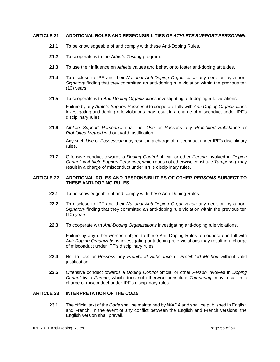## <span id="page-54-0"></span>**ARTICLE 21 ADDITIONAL ROLES AND RESPONSIBILITIES OF** *ATHLETE SUPPORT PERSONNEL*

- **21.1** To be knowledgeable of and comply with these Anti-Doping Rules.
- **21.2** To cooperate with the *Athlete Testing* program.
- **21.3** To use their influence on *Athlete* values and behavior to foster anti-doping attitudes.
- **21.4** To disclose to IPF and their *National Anti-Doping Organization* any decision by a non-*Signatory* finding that they committed an anti-doping rule violation within the previous ten (10) years.
- **21.5** To cooperate with *Anti-Doping Organizations* investigating anti-doping rule violations.

Failure by any *Athlete Support Personnel* to cooperate fully with *Anti-Doping Organizations* investigating anti-doping rule violations may result in a charge of misconduct under IPF's disciplinary rules.

**21.6** *Athlete Support Personnel* shall not *Use* or *Possess* any *Prohibited Substance* or *Prohibited Method* without valid justification.

Any such *Use* or *Possession* may result in a charge of misconduct under IPF's disciplinary rules.

**21.7** Offensive conduct towards a *Doping Control* official or other *Person* involved in *Doping Control* by *Athlete Support Personnel*, which does not otherwise constitute *Tampering*, may result in a charge of misconduct under IPF's disciplinary rules.

#### <span id="page-54-1"></span>**ARTICLE 22 ADDITIONAL ROLES AND RESPONSIBILITIES OF OTHER** *PERSONS* **SUBJECT TO THESE ANTI-DOPING RULES**

- **22.1** To be knowledgeable of and comply with these Anti-Doping Rules.
- **22.2** To disclose to IPF and their *National Anti-Doping Organization* any decision by a non-*Signatory* finding that they committed an anti-doping rule violation within the previous ten (10) years.
- **22.3** To cooperate with *Anti-Doping Organizations* investigating anti-doping rule violations.

Failure by any other *Person* subject to these Anti-Doping Rules to cooperate in full with *Anti-Doping Organizations* investigating anti-doping rule violations may result in a charge of misconduct under IPF's disciplinary rules.

- **22.4** Not to *Use* or *Possess* any *Prohibited Substance* or *Prohibited Method* without valid justification.
- **22.5** Offensive conduct towards a *Doping Control* official or other *Person* involved in *Doping Control* by a *Person*, which does not otherwise constitute *Tampering*, may result in a charge of misconduct under IPF's disciplinary rules.

## <span id="page-54-2"></span>**ARTICLE 23 INTERPRETATION OF THE** *CODE*

**23.1** The official text of the *Code* shall be maintained by *WADA* and shall be published in English and French. In the event of any conflict between the English and French versions, the English version shall prevail.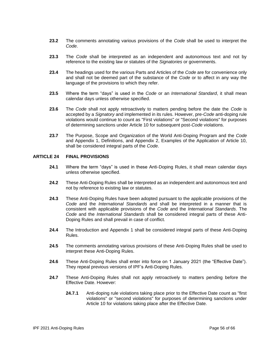- **23.2** The comments annotating various provisions of the *Code* shall be used to interpret the *Code*.
- **23.3** The *Code* shall be interpreted as an independent and autonomous text and not by reference to the existing law or statutes of the *Signatories* or governments.
- **23.4** The headings used for the various Parts and Articles of the *Code* are for convenience only and shall not be deemed part of the substance of the *Code* or to affect in any way the language of the provisions to which they refer.
- **23.5** Where the term "days" is used in the *Code* or an *International Standard*, it shall mean calendar days unless otherwise specified.
- **23.6** The *Code* shall not apply retroactively to matters pending before the date the *Code* is accepted by a *Signatory* and implemented in its rules. However, pre-*Code* anti-doping rule violations would continue to count as "First violations" or "Second violations" for purposes of determining sanctions under Article 10 for subsequent post-*Code* violations.
- **23.7** The Purpose, Scope and Organization of the World Anti-Doping Program and the *Code*  and Appendix 1, Definitions, and Appendix 2, Examples of the Application of Article 10, shall be considered integral parts of the *Code*.

#### <span id="page-55-0"></span>**ARTICLE 24 FINAL PROVISIONS**

- **24.1** Where the term "days" is used in these Anti-Doping Rules, it shall mean calendar days unless otherwise specified.
- **24.2** These Anti-Doping Rules shall be interpreted as an independent and autonomous text and not by reference to existing law or statutes.
- **24.3** These Anti-Doping Rules have been adopted pursuant to the applicable provisions of the *Code* and the *International Standards* and shall be interpreted in a manner that is consistent with applicable provisions of the *Code* and the *International Standards*. The *Code* and the *International Standards* shall be considered integral parts of these Anti-Doping Rules and shall prevail in case of conflict.
- **24.4** The Introduction and Appendix 1 shall be considered integral parts of these Anti-Doping Rules.
- **24.5** The comments annotating various provisions of these Anti-Doping Rules shall be used to interpret these Anti-Doping Rules.
- **24.6** These Anti-Doping Rules shall enter into force on 1 January 2021 (the "Effective Date"). They repeal previous versions of IPF's Anti-Doping Rules.
- **24.7** These Anti-Doping Rules shall not apply retroactively to matters pending before the Effective Date. However:
	- **24.7.1** Anti-doping rule violations taking place prior to the Effective Date count as "first violations" or "second violations" for purposes of determining sanctions under Article 10 for violations taking place after the Effective Date.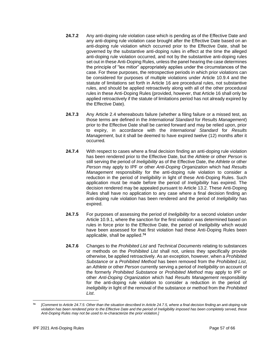- **24.7.2** Any anti-doping rule violation case which is pending as of the Effective Date and any anti-doping rule violation case brought after the Effective Date based on an anti-doping rule violation which occurred prior to the Effective Date, shall be governed by the substantive anti-doping rules in effect at the time the alleged anti-doping rule violation occurred, and not by the substantive anti-doping rules set out in these Anti-Doping Rules, unless the panel hearing the case determines the principle of "lex mitior" appropriately applies under the circumstances of the case. For these purposes, the retrospective periods in which prior violations can be considered for purposes of multiple violations under Article 10.9.4 and the statute of limitations set forth in Article 16 are procedural rules, not substantive rules, and should be applied retroactively along with all of the other procedural rules in these Anti-Doping Rules (provided, however, that Article 16 shall only be applied retroactively if the statute of limitations period has not already expired by the Effective Date).
- **24.7.3** Any Article 2.4 whereabouts failure (whether a filing failure or a missed test, as those terms are defined in the *International Standard* for *Results Management*) prior to the Effective Date shall be carried forward and may be relied upon, prior to expiry, in accordance with the *International Standard* for *Results Management*, but it shall be deemed to have expired twelve (12) months after it occurred*.*
- **24.7.4** With respect to cases where a final decision finding an anti-doping rule violation has been rendered prior to the Effective Date, but the *Athlete* or other *Person* is still serving the period of *Ineligibility* as of the Effective Date, the *Athlete* or other *Person* may apply to IPF or other *Anti-Doping Organization* which had *Results Management* responsibility for the anti-doping rule violation to consider a reduction in the period of *Ineligibility* in light of these Anti-Doping Rules. Such application must be made before the period of *Ineligibility* has expired. The decision rendered may be appealed pursuant to Article 13.2. These Anti-Doping Rules shall have no application to any case where a final decision finding an anti-doping rule violation has been rendered and the period of *Ineligibility* has expired.
- **24.7.5** For purposes of assessing the period of *Ineligibility* for a second violation under Article 10.9.1, where the sanction for the first violation was determined based on rules in force prior to the Effective Date, the period of *Ineligibility* which would have been assessed for that first violation had these Anti-Doping Rules been applicable, shall be applied. **74**
- **24.7.6** Changes to the *Prohibited List* and *Technical Documents* relating to substances or methods on the *Prohibited List* shall not, unless they specifically provide otherwise, be applied retroactively. As an exception, however, when a *Prohibited Substance* or a *Prohibited Method* has been removed from the *Prohibited List*, an *Athlete* or other *Person* currently serving a period of *Ineligibility* on account of the formerly *Prohibited Substance* or *Prohibited Method* may apply to IPF or other *Anti-Doping Organization* which had *Results Management* responsibility for the anti-doping rule violation to consider a reduction in the period of *Ineligibility* in light of the removal of the substance or method from the *Prohibited List*.

**<sup>74</sup>** *[Comment to Article 24.7.5: Other than the situation described in Article 24.7.5, where a final decision finding an anti-doping rule violation has been rendered prior to the Effective Date and the period of Ineligibility imposed has been completely served, these Anti-Doping Rules may not be used to re-characterize the prior violation.]*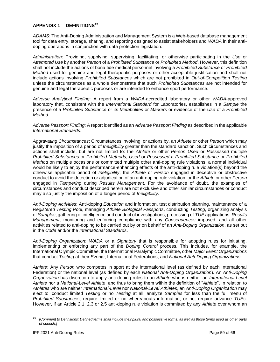#### <span id="page-58-0"></span>**APPENDIX 1 DEFINITIONS<sup>75</sup>**

*ADAMS*: The Anti-Doping Administration and Management System is a Web-based database management tool for data entry, storage, sharing, and reporting designed to assist stakeholders and *WADA* in their antidoping operations in conjunction with data protection legislation.

*Administration*: Providing, supplying, supervising, facilitating, or otherwise participating in the *Use* or *Attempted Use* by another *Person* of a *Prohibited Substance* or *Prohibited Method*. However, this definition shall not include the actions of bona fide medical personnel involving a *Prohibited Substance* or *Prohibited Method* used for genuine and legal therapeutic purposes or other acceptable justification and shall not include actions involving *Prohibited Substances* which are not prohibited in *Out-of-Competition Testing* unless the circumstances as a whole demonstrate that such *Prohibited Substances* are not intended for genuine and legal therapeutic purposes or are intended to enhance sport performance.

*Adverse Analytical Finding*: A report from a *WADA*-accredited laboratory or other *WADA*-approved laboratory that, consistent with the *International Standard* for Laboratories, establishes in a *Sample* the presence of a *Prohibited Substance* or its *Metabolites* or *Markers* or evidence of the *Use* of a *Prohibited Method*.

*Adverse Passport Finding*: A report identified as an *Adverse Passport Finding* as described in the applicable *International Standards*.

*Aggravating Circumstances*: Circumstances involving, or actions by, an *Athlete* or other *Person* which may justify the imposition of a period of *Ineligibility* greater than the standard sanction. Such circumstances and actions shall include, but are not limited to: the *Athlete* or other *Person Used* or *Possessed* multiple *Prohibited Substances* or *Prohibited Methods*, *Used* or *Possessed* a *Prohibited Substance* or *Prohibited Method* on multiple occasions or committed multiple other anti-doping rule violations; a normal individual would be likely to enjoy the performance-enhancing effects of the anti-doping rule violation(s) beyond the otherwise applicable period of *Ineligibility*; the *Athlete* or *Person* engaged in deceptive or obstructive conduct to avoid the detection or adjudication of an anti-doping rule violation; or the *Athlete* or other *Person* engaged in *Tampering* during *Results Management*. For the avoidance of doubt, the examples of circumstances and conduct described herein are not exclusive and other similar circumstances or conduct may also justify the imposition of a longer period of *Ineligibility*.

*Anti-Doping Activities*: Anti-doping *Education* and information, test distribution planning, maintenance of a *Registered Testing Pool*, managing *Athlete Biological Passports*, conducting *Testing*, organizing analysis of *Samples*, gathering of intelligence and conduct of investigations, processing of *TUE* applications, *Results Management*, monitoring and enforcing compliance with any *Consequences* imposed, and all other activities related to anti-doping to be carried out by or on behalf of an *Anti-Doping Organization*, as set out in the *Code* and/or the *International Standards*.

*Anti-Doping Organization*: *WADA* or a *Signatory* that is responsible for adopting rules for initiating, implementing or enforcing any part of the *Doping Control* process. This includes, for example, the International Olympic Committee, the International Paralympic Committee, other *Major Event Organizations* that conduct *Testing* at their *Events*, International Federations, and *National Anti-Doping Organizations.*

*Athlete*: Any *Person* who competes in sport at the international level (as defined by each International Federation) or the national level (as defined by each *National Anti-Doping Organization*). An *Anti-Doping Organization* has discretion to apply anti-doping rules to an *Athlete* who is neither an *International-Level Athlete* nor a *National-Level Athlete*, and thus to bring them within the definition of "*Athlete*". In relation to *Athletes* who are neither *International*-*Level* nor *National-Level Athletes*, an *Anti-Doping Organization* may elect to: conduct limited *Testing* or no *Testing* at all; analyze *Samples* for less than the full menu of *Prohibited Substances*; require limited or no whereabouts information; or not require advance *TUEs*. However, if an Article 2.1, 2.3 or 2.5 anti-doping rule violation is committed by any *Athlete* over whom an

**<sup>75</sup>** *[Comment to Definitions: Defined terms shall include their plural and possessive forms, as well as those terms used as other parts of speech.]*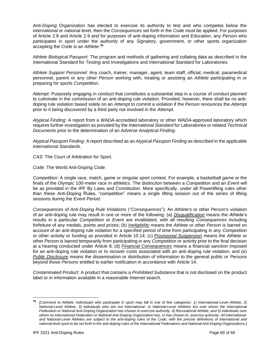*Anti-Doping Organization* has elected to exercise its authority to test and who competes below the international or national level, then the *Consequences* set forth in the *Code* must be applied. For purposes of Article 2.8 and Article 2.9 and for purposes of anti-doping information and *Education*, any *Person* who participates in sport under the authority of any *Signatory*, government, or other sports organization accepting the *Code* is an *Athlete*. **76**

*Athlete Biological Passport*: The program and methods of gathering and collating data as described in the *International Standard* for *Testing* and Investigations and *International Standard* for Laboratories.

*Athlete Support Personnel*: Any coach, trainer, manager, agent, team staff, official, medical, paramedical personnel, parent or any other *Person* working with, treating or assisting an *Athlete* participating in or preparing for sports *Competition*.

*Attempt*: Purposely engaging in conduct that constitutes a substantial step in a course of conduct planned to culminate in the commission of an anti-doping rule violation. Provided, however, there shall be no antidoping rule violation based solely on an *Attempt* to commit a violation if the *Person* renounces the *Attempt* prior to it being discovered by a third party not involved in the *Attempt*.

*Atypical Finding*: A report from a *WADA*-accredited laboratory or other *WADA*-approved laboratory which requires further investigation as provided by the *International Standard* for Laboratories or related *Technical Documents* prior to the determination of an *Adverse Analytical Finding*.

*Atypical Passport Finding*: A report described as an *Atypical Passport Finding* as described in the applicable *International Standards*.

*CAS*: The Court of Arbitration for Sport.

*Code*: The World Anti-Doping *Code*.

*Competition*: A single race, match, game or singular sport contest. For example, a basketball game or the finals of the Olympic 100-meter race in athletics. The distinction between a *Competition* and an *Event* will be as provided in the IPF By Laws and Constitution. More specifically, under all Powerlifting rules other than these Anti-Doping Rules, "competition" means a single lifting session out of the series of lifting sessions during the *Event Period*.

*Consequences of Anti-Doping Rule Violations* ("*Consequences*"): An *Athlete's* or other *Person's* violation of an anti-doping rule may result in one or more of the following: (a) *Disqualification* means the *Athlete's* results in a particular *Competition* or *Event* are invalidated, with all resulting *Consequences* including forfeiture of any medals, points and prizes; (b) *Ineligibility* means the *Athlete* or other *Person* is barred on account of an anti-doping rule violation for a specified period of time from participating in any *Competition* or other activity or funding as provided in Article 10.14; (c) *Provisional Suspension* means the *Athlete* or other *Person* is barred temporarily from participating in any *Competition* or activity prior to the final decision at a hearing conducted under Article 8; (d) *Financial Consequences* means a financial sanction imposed for an anti-doping rule violation or to recover costs associated with an anti-doping rule violation; and (e) *Public Disclosure* means the dissemination or distribution of information to the general public or *Persons* beyond those *Persons* entitled to earlier notification in accordance with Article 14.

*Contaminated Product*: A product that contains a *Prohibited Substance* that is not disclosed on the product label or in information available in a reasonable Internet search.

**<sup>76</sup>** *[Comment to Athlete: Individuals who participate in sport may fall in one of five categories: 1) International-Level Athlete, 2) National-Level Athlete, 3) individuals who are not International- or National-Level Athletes but over whom the International Federation or National Anti-Doping Organization has chosen to exercise authority, 4) Recreational Athlete, and 5) individuals over whom no International Federation or National Anti-Doping Organization has, or has chosen to, exercise authority. All Internationaland National-Level Athletes are subject to the anti-doping rules of the Code, with the precise definitions of international and national level sport to be set forth in the anti-doping rules of the International Federations and National Anti-Doping Organizations.]*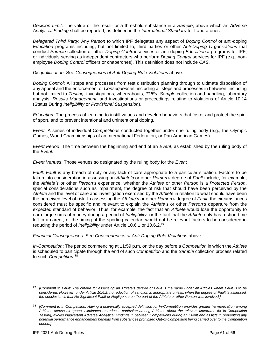*Decision Limit*: The value of the result for a threshold substance in a *Sample*, above which an *Adverse Analytical Finding* shall be reported, as defined in the *International Standard* for Laboratories.

*Delegated Third Party*: Any *Person* to which IPF delegates any aspect of *Doping Control* or anti-doping *Education* programs including, but not limited to, third parties or other *Anti-Doping Organizations* that conduct *Sample* collection or other *Doping Control* services or anti-doping *Educational* programs for IPF, or individuals serving as independent contractors who perform *Doping Control* services for IPF (e.g., nonemployee *Doping Control* officers or chaperones). This definition does not include *CAS*.

*Disqualification*: See *Consequences of Anti-Doping Rule Violations* above.

*Doping Control*: All steps and processes from test distribution planning through to ultimate disposition of any appeal and the enforcement of *Consequences*, including all steps and processes in between, including but not limited to *Testing*, investigations, whereabouts, *TUEs*, *Sample* collection and handling, laboratory analysis, *Results Management*, and investigations or proceedings relating to violations of Article 10.14 (Status During *Ineligibility* or *Provisional Suspension*).

*Education*: The process of learning to instill values and develop behaviors that foster and protect the spirit of sport, and to prevent intentional and unintentional doping.

*Event*: A series of individual *Competitions* conducted together under one ruling body (e.g., the Olympic Games, World Championships of an International Federation, or Pan American Games).

*Event Period*: The time between the beginning and end of an *Event*, as established by the ruling body of the *Event.*

*Event Venues*: Those venues so designated by the ruling body for the *Event*

*Fault*: *Fault* is any breach of duty or any lack of care appropriate to a particular situation. Factors to be taken into consideration in assessing an *Athlete's* or other *Person's* degree of *Fault* include, for example, the *Athlete's* or other *Person's* experience, whether the *Athlete* or other *Person* is a *Protected Person*, special considerations such as impairment, the degree of risk that should have been perceived by the *Athlete* and the level of care and investigation exercised by the *Athlete* in relation to what should have been the perceived level of risk. In assessing the *Athlete's* or other *Person's* degree of *Fault*, the circumstances considered must be specific and relevant to explain the *Athlete's* or other *Person's* departure from the expected standard of behavior. Thus, for example, the fact that an *Athlete* would lose the opportunity to earn large sums of money during a period of *Ineligibility,* or the fact that the *Athlete* only has a short time left in a career, or the timing of the sporting calendar, would not be relevant factors to be considered in reducing the period of *Ineligibility* under Article 10.6.1 or 10.6.2.**<sup>77</sup>**

*Financial Consequences*: See *Consequences of Anti-Doping Rule Violations* above.

*In-Competition*: The period commencing at 11:59 p.m. on the day before a *Competition* in which the *Athlete* is scheduled to participate through the end of such *Competition* and the *Sample* collection process related to such *Competition*. **78**

**<sup>77</sup>** *[Comment to Fault: The criteria for assessing an Athlete's degree of Fault is the same under all Articles where Fault is to be considered. However, under Article 10.6.2, no reduction of sanction is appropriate unless, when the degree of Fault is assessed, the conclusion is that No Significant Fault or Negligence on the part of the Athlete or other Person was involved.]*

**<sup>78</sup>** *[Comment to In-Competition: Having a universally accepted definition for In-Competition provides greater harmonization among Athletes across all sports, eliminates or reduces confusion among Athletes about the relevant timeframe for In-Competition Testing, avoids inadvertent Adverse Analytical Findings in between Competitions during an Event and assists in preventing any potential performance enhancement benefits from substances prohibited Out-of-Competition being carried over to the Competition period.]*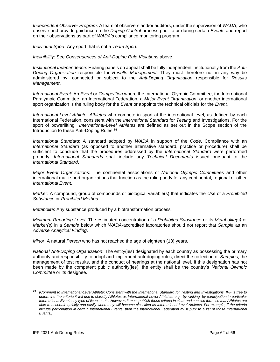*Independent Observer Program*: A team of observers and/or auditors, under the supervision of *WADA*, who observe and provide guidance on the *Doping Control* process prior to or during certain *Events* and report on their observations as part of *WADA's* compliance monitoring program.

*Individual Sport*: Any sport that is not a *Team Sport.*

*Ineligibility*: See *Consequences of Anti-Doping Rule Violations* above.

*Institutional Independence*: Hearing panels on appeal shall be fully independent institutionally from the *Anti-Doping Organization* responsible for *Results Management*. They must therefore not in any way be administered by, connected or subject to the *Anti-Doping Organization* responsible for *Results Management*.

*International Event*: An *Event* or *Competition* where the International Olympic Committee, the International Paralympic Committee, an International Federation, a *Major Event Organization,* or another international sport organization is the ruling body for the *Event* or appoints the technical officials for the *Event.*

*International-Level Athlete*: *Athletes* who compete in sport at the international level, as defined by each International Federation, consistent with the *International Standard* for *Testing* and Investigations. For the sport of powerlifting *International-Level Athletes* are defined as set out in the Scope section of the Introduction to these Anti-Doping Rules.**<sup>79</sup>**

*International Standard*: A standard adopted by *WADA* in support of the *Code*. Compliance with an *International Standard* (as opposed to another alternative standard, practice or procedure) shall be sufficient to conclude that the procedures addressed by the *International Standard* were performed properly. *International Standards* shall include any *Technical Documents* issued pursuant to the *International Standard*.

*Major Event Organizations*: The continental associations of *National Olympic Committees* and other international multi-sport organizations that function as the ruling body for any continental, regional or other *International Event*.

*Marker*: A compound, group of compounds or biological variable(s) that indicates the *Use* of a *Prohibited Substance* or *Prohibited Method.*

*Metabolite*: Any substance produced by a biotransformation process.

*Minimum Reporting Level*: The estimated concentration of a *Prohibited Substance* or its *Metabolite(s)* or *Marker(s)* in a *Sample* below which *WADA*-accredited laboratories should not report that *Sample* as an *Adverse Analytical Finding*.

*Minor*: A natural *Person* who has not reached the age of eighteen (18) years.

*National Anti-Doping Organization*: The entity(ies) designated by each country as possessing the primary authority and responsibility to adopt and implement anti-doping rules, direct the collection of *Samples*, the management of test results, and the conduct of hearings at the national level. If this designation has not been made by the competent public authority(ies), the entity shall be the country's *National Olympic Committee* or its designee.

**<sup>79</sup>** *[Comment to International-Level Athlete: Consistent with the International Standard for Testing and Investigations, IPF is free to determine the criteria it will use to classify Athletes as International-Level Athletes, e.g., by ranking, by participation in particular International Events, by type of license, etc. However, it must publish those criteria in clear and concise form, so that Athletes are able to ascertain quickly and easily when they will become classified as International-Level Athletes. For example, if the criteria*  include participation in certain International Events, then the International Federation must publish a list of those International *Events.]*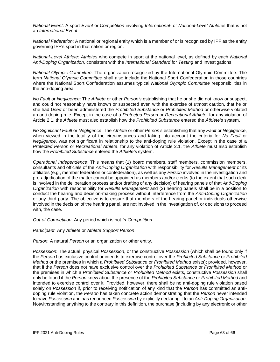*National Event*: A sport *Event* or *Competition* involving *International-* or *National-Level Athletes* that is not an *International Event*.

*National Federation*: A national or regional entity which is a member of or is recognized by IPF as the entity governing IPF's sport in that nation or region.

*National-Level Athlete*: *Athletes* who compete in sport at the national level, as defined by each *National Anti-Doping Organization,* consistent with the *International Standard* for *Testing* and Investigations.

*National Olympic Committee*: The organization recognized by the International Olympic Committee. The term *National Olympic Committee* shall also include the National Sport Confederation in those countries where the National Sport Confederation assumes typical *National Olympic Committee* responsibilities in the anti-doping area.

*No Fault* or *Negligence*: The *Athlete* or other *Person's* establishing that he or she did not know or suspect, and could not reasonably have known or suspected even with the exercise of utmost caution, that he or she had *Used* or been administered the *Prohibited Substance* or *Prohibited Method* or otherwise violated an anti-doping rule*.* Except in the case of a *Protected Person* or *Recreational Athlete*, for any violation of Article 2.1, the *Athlete* must also establish how the *Prohibited Substance* entered the *Athlete's* system.

*No Significant Fault* or *Negligence*: The *Athlete* or other *Person's* establishing that any *Fault* or *Negligence*, when viewed in the totality of the circumstances and taking into account the criteria for *No Fault* or *Negligence*, was not significant in relationship to the anti-doping rule violation. Except in the case of a *Protected Person* or *Recreational Athlete*, for any violation of Article 2.1, the *Athlete* must also establish how the *Prohibited Substance* entered the *Athlete's* system.

*Operational Independence*: This means that (1) board members, staff members, commission members, consultants and officials of the *Anti-Doping Organization* with responsibility for *Results Management* or its affiliates (e.g., member federation or confederation), as well as any *Person* involved in the investigation and pre-adjudication of the matter cannot be appointed as members and/or clerks (to the extent that such clerk is involved in the deliberation process and/or drafting of any decision) of hearing panels of that *Anti-Doping Organization* with responsibility for *Results Management* and (2) hearing panels shall be in a position to conduct the hearing and decision-making process without interference from the *Anti-Doping Organization* or any third party. The objective is to ensure that members of the hearing panel or individuals otherwise involved in the decision of the hearing panel, are not involved in the investigation of, or decisions to proceed with, the case.

*Out-of-Competition*: Any period which is not *In-Competition*.

*Participant*: Any *Athlete* or *Athlete Support Person*.

*Person*: A natural *Person* or an organization or other entity.

*Possession*: The actual, physical *Possession*, or the constructive *Possession* (which shall be found only if the *Person* has exclusive control or intends to exercise control over the *Prohibited Substance* or *Prohibited Method* or the premises in which a *Prohibited Substance* or *Prohibited Method* exists); provided, however, that if the *Person* does not have exclusive control over the *Prohibited Substance* or *Prohibited Method* or the premises in which a *Prohibited Substance* or *Prohibited Method* exists, constructive *Possession* shall only be found if the *Person* knew about the presence of the *Prohibited Substance* or *Prohibited Method* and intended to exercise control over it. Provided, however, there shall be no anti-doping rule violation based solely on *Possession* if, prior to receiving notification of any kind that the *Person* has committed an antidoping rule violation, the *Person* has taken concrete action demonstrating that the *Person* never intended to have *Possession* and has renounced *Possession* by explicitly declaring it to an *Anti-Doping Organization*. Notwithstanding anything to the contrary in this definition, the purchase (including by any electronic or other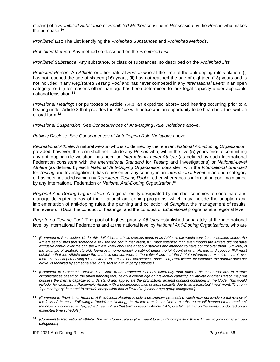means) of a *Prohibited Substance* or *Prohibited Method* constitutes *Possession* by the *Person* who makes the purchase.**<sup>80</sup>**

*Prohibited List*: The List identifying the *Prohibited Substances* and *Prohibited Methods*.

*Prohibited Method*: Any method so described on the *Prohibited List*.

*Prohibited Substance*: Any substance, or class of substances, so described on the *Prohibited List*.

*Protected Person*: An *Athlete* or other natural *Person* who at the time of the anti-doping rule violation: (i) has not reached the age of sixteen (16) years; (ii) has not reached the age of eighteen (18) years and is not included in any *Registered Testing Pool* and has never competed in any *International Event* in an open category; or (iii) for reasons other than age has been determined to lack legal capacity under applicable national legislation.**<sup>81</sup>**

*Provisional Hearing*: For purposes of Article 7.4.3, an expedited abbreviated hearing occurring prior to a hearing under Article 8 that provides the *Athlete* with notice and an opportunity to be heard in either written or oral form.**<sup>82</sup>**

*Provisional Suspension*: See *Consequences of Anti-Doping Rule Violations* above.

*Publicly Disclose*: See *Consequences of Anti-Doping Rule Violations* above.

*Recreational Athlete*: A natural *Person* who is so defined by the relevant *National Anti-Doping Organization*; provided, however, the term shall not include any *Person* who, within the five (5) years prior to committing any anti-doping rule violation, has been an *International-Level Athlete* (as defined by each International Federation consistent with the *International Standard* for *Testing* and Investigations) or *National-Level Athlete* (as defined by each *National Anti-Doping Organization* consistent with the *International Standard* for *Testing* and Investigations), has represented any country in an *International Event* in an open category or has been included within any *Registered Testing Pool* or other whereabouts information pool maintained by any International Federation or *National Anti-Doping Organization*. **83**

*Regional Anti-Doping Organization*: A regional entity designated by member countries to coordinate and manage delegated areas of their national anti-doping programs, which may include the adoption and implementation of anti-doping rules, the planning and collection of *Samples*, the management of results, the review of *TUEs*, the conduct of hearings, and the conduct of *Educational* programs at a regional level.

*Registered Testing Pool*: The pool of highest-priority *Athletes* established separately at the international level by International Federations and at the national level by *National Anti-Doping Organizations,* who are

**<sup>80</sup>** *[Comment to Possession: Under this definition, anabolic steroids found in an Athlete's car would constitute a violation unless the Athlete establishes that someone else used the car; in that event, IPF must establish that, even though the Athlete did not have exclusive control over the car, the Athlete knew about the anabolic steroids and intended to have control over them. Similarly, in the example of anabolic steroids found in a home medicine cabinet under the joint control of an Athlete and spouse, IPF must*  establish that the Athlete knew the anabolic steroids were in the cabinet and that the Athlete intended to exercise control over *them. The act of purchasing a Prohibited Substance alone constitutes Possession, even where, for example, the product does not arrive, is received by someone else, or is sent to a third party address.]*

**<sup>81</sup>** *[Comment to Protected Person: The Code treats Protected Persons differently than other Athletes or Persons in certain circumstances based on the understanding that, below a certain age or intellectual capacity, an Athlete or other Person may not possess the mental capacity to understand and appreciate the prohibitions against conduct contained in the Code. This would include, for example, a Paralympic Athlete with a documented lack of legal capacity due to an intellectual impairment. The term "open category" is meant to exclude competition that is limited to junior or age group categories.]* 

**<sup>82</sup>** *[Comment to Provisional Hearing: A Provisional Hearing is only a preliminary proceeding which may not involve a full review of the facts of the case. Following a Provisional Hearing, the Athlete remains entitled to a subsequent full hearing on the merits of the case. By contrast, an "expedited hearing", as that term is used in Article 7.4.3, is a full hearing on the merits conducted on an expedited time schedule.]*

**<sup>83</sup>** *[Comment to Recreational Athlete: The term "open category" is meant to exclude competition that is limited to junior or age group categories.]*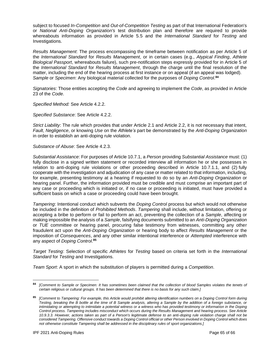subject to focused *In-Competition* and *Out-of-Competition Testing* as part of that International Federation's or *National Anti-Doping Organization's* test distribution plan and therefore are required to provide whereabouts information as provided in Article 5.5 and the *International Standard* for *Testing* and Investigations.

*Results Management*: The process encompassing the timeframe between notification as per Article 5 of the *International Standard* for *Results Management*, or in certain cases (e.g., *Atypical Finding*, *Athlete Biological Passport*, whereabouts failure), such pre-notification steps expressly provided for in Article 5 of the *International Standard* for *Results Management*, through the charge until the final resolution of the matter, including the end of the hearing process at first instance or on appeal (if an appeal was lodged). *Sample* or *Specimen*: Any biological material collected for the purposes of *Doping Control*. **84**

*Signatories*: Those entities accepting the *Code* and agreeing to implement the *Code*, as provided in Article 23 of the *Code*.

*Specified Method:* See Article 4.2.2.

*Specified Substance*: See Article 4.2.2.

*Strict Liability*: The rule which provides that under Article 2.1 and Article 2.2, it is not necessary that intent, *Fault*, *Negligence*, or knowing *Use* on the *Athlete's* part be demonstrated by the *Anti-Doping Organization* in order to establish an anti-doping rule violation.

*Substance of Abuse*: See Article 4.2.3.

*Substantial Assistance*: For purposes of Article 10.7.1, a *Person* providing *Substantial Assistance* must: (1) fully disclose in a signed written statement or recorded interview all information he or she possesses in relation to anti-doping rule violations or other proceeding described in Article 10.7.1.1, and (2) fully cooperate with the investigation and adjudication of any case or matter related to that information, including, for example, presenting testimony at a hearing if requested to do so by an *Anti-Doping Organization* or hearing panel. Further, the information provided must be credible and must comprise an important part of any case or proceeding which is initiated or, if no case or proceeding is initiated, must have provided a sufficient basis on which a case or proceeding could have been brought.

*Tampering*: Intentional conduct which subverts the *Doping Control* process but which would not otherwise be included in the definition of *Prohibited Methods*. *Tampering* shall include, without limitation, offering or accepting a bribe to perform or fail to perform an act, preventing the collection of a *Sample*, affecting or making impossible the analysis of a *Sample*, falsifying documents submitted to an *Anti-Doping Organization* or *TUE* committee or hearing panel, procuring false testimony from witnesses, committing any other fraudulent act upon the *Anti-Doping Organization* or hearing body to affect *Results Management* or the imposition of *Consequences*, and any other similar intentional interference or *Attempted* interference with any aspect of *Doping Control*. **85**

*Target Testing*: Selection of specific *Athletes* for *Testing* based on criteria set forth in the *International Standard* for *Testing* and Investigations.

*Team Sport*: A sport in which the substitution of players is permitted during a *Competition*.

**<sup>84</sup>** *[Comment to Sample or Specimen: It has sometimes been claimed that the collection of blood Samples violates the tenets of certain religious or cultural groups. It has been determined that there is no basis for any such claim.]*

**<sup>85</sup>** *[Comment to Tampering: For example, this Article would prohibit altering identification numbers on a Doping Control form during Testing, breaking the B bottle at the time of B Sample analysis, altering a Sample by the addition of a foreign substance, or intimidating or attempting to intimidate a potential witness or a witness who has provided testimony or information in the Doping Control process. Tampering includes misconduct which occurs during the Results Management and hearing process. See Article 10.9.3.3. However, actions taken as part of a Person's legitimate defense to an anti-doping rule violation charge shall not be considered Tampering. Offensive conduct towards a Doping Control official or other Person involved in Doping Control which does not otherwise constitute Tampering shall be addressed in the disciplinary rules of sport organizations.]*